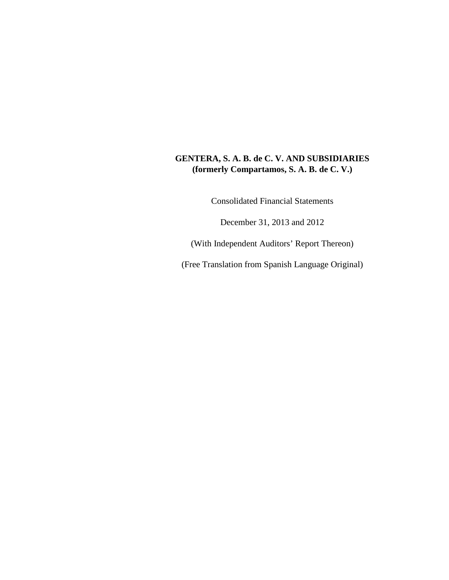# **GENTERA, S. A. B. de C. V. AND SUBSIDIARIES (formerly Compartamos, S. A. B. de C. V.)**

Consolidated Financial Statements

December 31, 2013 and 2012

(With Independent Auditors' Report Thereon)

(Free Translation from Spanish Language Original)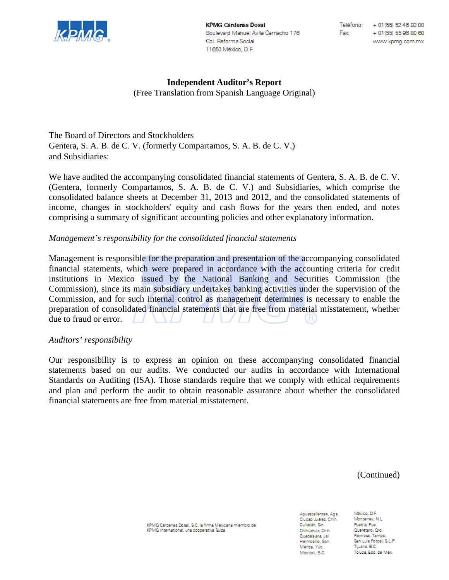

**KPMG Cárdenas Dosal** Boulevard Manuel Ávila Camacho 176 Col. Reforma Social 11650 México, D.F.

# **Independent Auditor's Report**

(Free Translation from Spanish Language Original)

The Board of Directors and Stockholders Gentera, S. A. B. de C. V. (formerly Compartamos, S. A. B. de C. V.) and Subsidiaries:

We have audited the accompanying consolidated financial statements of Gentera, S. A. B. de C. V. (Gentera, formerly Compartamos, S. A. B. de C. V.) and Subsidiaries, which comprise the consolidated balance sheets at December 31, 2013 and 2012, and the consolidated statements of income, changes in stockholders' equity and cash flows for the years then ended, and notes comprising a summary of significant accounting policies and other explanatory information.

## *Management's responsibility for the consolidated financial statements*

Management is responsible for the preparation and presentation of the accompanying consolidated financial statements, which were prepared in accordance with the accounting criteria for credit institutions in Mexico issued by the National Banking and Securities Commission (the Commission), since its main subsidiary undertakes banking activities under the supervision of the Commission, and for such internal control as management determines is necessary to enable the preparation of consolidated financial statements that are free from material misstatement, whether due to fraud or error.

### *Auditors' responsibility*

Our responsibility is to express an opinion on these accompanying consolidated financial statements based on our audits. We conducted our audits in accordance with International Standards on Auditing (ISA). Those standards require that we comply with ethical requirements and plan and perform the audit to obtain reasonable assurance about whether the consolidated financial statements are free from material misstatement.

(Continued)

KPMG Cardenas Dosal, S.C. la firma Mexicana miembro de KPMG International, una cooperativa Suiza.

Aguascalientes, Ags. Ciudad Juarez, Chih. Culiacan, Sin. Chihuahua, Chih. Guadalajara, Jal Hermosillo, Son. Merida, Yuc. Mexicali, B.C.

Mexico, D.F. Monterrey, N.L. Puebla, Pue. Querétaro, Qro. Reynosa, Tamps San Luis Potost, S.L.P. Tiluana, B.C. Toluca, Edo, de Mex.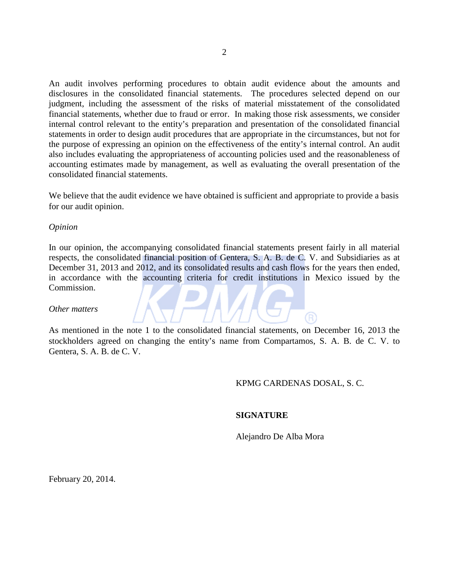An audit involves performing procedures to obtain audit evidence about the amounts and disclosures in the consolidated financial statements. The procedures selected depend on our judgment, including the assessment of the risks of material misstatement of the consolidated financial statements, whether due to fraud or error. In making those risk assessments, we consider internal control relevant to the entity's preparation and presentation of the consolidated financial statements in order to design audit procedures that are appropriate in the circumstances, but not for the purpose of expressing an opinion on the effectiveness of the entity's internal control. An audit also includes evaluating the appropriateness of accounting policies used and the reasonableness of accounting estimates made by management, as well as evaluating the overall presentation of the consolidated financial statements.

We believe that the audit evidence we have obtained is sufficient and appropriate to provide a basis for our audit opinion.

#### *Opinion*

In our opinion, the accompanying consolidated financial statements present fairly in all material respects, the consolidated financial position of Gentera, S. A. B. de C. V. and Subsidiaries as at December 31, 2013 and 2012, and its consolidated results and cash flows for the years then ended, in accordance with the accounting criteria for credit institutions in Mexico issued by the Commission.

#### *Other matters*

As mentioned in the note 1 to the consolidated financial statements, on December 16, 2013 the stockholders agreed on changing the entity's name from Compartamos, S. A. B. de C. V. to Gentera, S. A. B. de C. V.

#### KPMG CARDENAS DOSAL, S. C.

#### **SIGNATURE**

Alejandro De Alba Mora

February 20, 2014.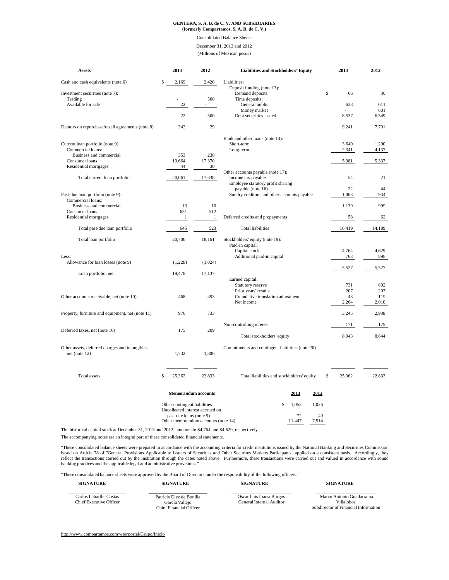# **GENTERA, S. A. B. de C. V. AND SUBSIDIARIES (formerly Compartamos, S. A. B. de C. V.)**

#### Consolidated Balance Sheets

December 31, 2013 and 2012

(Millions of Mexican pesos)

| <b>Assets</b>                                    | 2013        | 2012    | <b>Liabilities and Stockholders' Equity</b> | 2013     | 2012   |
|--------------------------------------------------|-------------|---------|---------------------------------------------|----------|--------|
| Cash and cash equivalents (note 6)               | 2,169<br>\$ | 2,426   | Liabilities:                                |          |        |
|                                                  |             |         | Deposit funding (note 13):                  |          |        |
| Investment securities (note 7):                  |             |         | Demand deposits                             | \$<br>66 | 30     |
| Trading                                          |             | 500     | Time deposits:                              |          |        |
| Available for sale                               | 22          |         | General public                              | 638      | 611    |
|                                                  |             |         | Money market                                |          | 601    |
|                                                  | 22          | 500     | Debt securities issued                      | 8,537    | 6,549  |
| Debtors on repurchase/resell agreements (note 8) | 342         | 29      |                                             | 9,241    | 7,791  |
|                                                  |             |         | Bank and other loans (note 14):             |          |        |
| Current loan portfolio (note 9):                 |             |         | Short-term                                  | 3,640    | 1,200  |
| Commercial loans:                                |             |         | Long-term                                   | 2,341    | 4,137  |
| Business and commercial                          | 353         | 238     |                                             |          |        |
| Consumer loans                                   | 19,664      | 17,370  |                                             | 5,981    | 5,337  |
| Residential mortgages                            | 44          | $30\,$  |                                             |          |        |
|                                                  |             |         | Other accounts payable (note 17):           |          |        |
| Total current loan portfolio                     | 20,061      | 17,638  | Income tax payable                          | 54       | 21     |
|                                                  |             |         | Employee statutory profit sharing           |          |        |
|                                                  |             |         | payable (note 16)                           | 22       | 44     |
| Past-due loan portfolio (note 9):                |             |         | Sundry creditors and other accounts payable | 1,063    | 934    |
| Commercial loans:                                |             |         |                                             |          |        |
| <b>Business and commercial</b>                   | 13          | 10      |                                             | 1,139    | 999    |
| Consumer loans                                   | 631         | 512     |                                             |          |        |
| Residential mortgages                            |             |         | Deferred credits and prepayments            | 58       | 62     |
| Total past-due loan portfolio                    | 645         | 523     | <b>Total liabilities</b>                    | 16,419   | 14,189 |
| Total loan portfolio                             | 20,706      | 18,161  | Stockholders' equity (note 19):             |          |        |
|                                                  |             |         | Paid-in capital:                            |          |        |
|                                                  |             |         | Capital stock                               | 4,764    | 4,629  |
| Less:                                            |             |         | Additional paid-in capital                  | 763      | 898    |
| Allowance for loan losses (note 9)               | (1,228)     | (1,024) |                                             |          |        |
| Loan portfolio, net                              | 19,478      | 17,137  |                                             | 5,527    | 5,527  |
|                                                  |             |         | Earned capital:                             |          |        |
|                                                  |             |         | <b>Statutory reserve</b>                    | 731      | 602    |
|                                                  |             |         | Prior years' results                        | 207      | 207    |
| Other accounts receivable, net (note 10)         | 468         | 493     | Cumulative translation adjustment           | 43       | 119    |
|                                                  |             |         | Net income                                  | 2,264    | 2,010  |
|                                                  |             |         |                                             |          |        |
| Property, furniture and equipment, net (note 11) | 976         | 733     |                                             | 3,245    | 2,938  |
|                                                  |             |         | Non-controlling interest                    | 171      | 179    |
| Deferred taxes, net (note 16)                    | 175         | 209     |                                             |          |        |
|                                                  |             |         | Total stockholders' equity                  | 8,943    | 8,644  |

| Other assets, deferred charges and intangibles,<br>net (note $12$ ) | 1,732                                                           | 1,306  | Commitments and contingent liabilities (note 20) |              |             |              |        |
|---------------------------------------------------------------------|-----------------------------------------------------------------|--------|--------------------------------------------------|--------------|-------------|--------------|--------|
| Total assets                                                        | 25,362                                                          | 22,833 | Total liabilities and stockholders' equity       |              |             | 25,362<br>Ъ. | 22,833 |
|                                                                     | <b>Memorandum accounts</b>                                      |        |                                                  | 2013         | 2012        |              |        |
|                                                                     | Other contingent liabilities<br>Uncollected interest accrued on |        | \$                                               | 1,053        | 1,026       |              |        |
|                                                                     | past due loans (note 9)<br>Other memorandum accounts (note 14)  |        |                                                  | 72<br>11,447 | 49<br>7,514 |              |        |

The historical capital stock at December 31, 2013 and 2012, amounts to \$4,764 and \$4,629, respectively.

<http://www.compartamos.com/wps/portal/Grupo/Inicio>

The accompanying notes are an integral part of these consolidated financial statements.

"These consolidated balance sheets were prepared in accordance with the accounting criteria for credit institutions issued by the National Banking and Securities Commission based on Article 78 of "General Provisions Applicable to Issuers of Securities and Other Securites Markets Participants" applied on a consistent basis. Accordingly, they reflect the transactions carried out by the Institution through the dates noted above. Furthermore, these transactions were carried out and valued in accordance with sound banking practices and the applicable legal and administrative provisions."

| <b>SIGNATURE</b>                                         | <b>SIGNATURE</b>                                                             | <b>SIGNATURE</b>                                     | <b>SIGNATURE</b>                                                                      |
|----------------------------------------------------------|------------------------------------------------------------------------------|------------------------------------------------------|---------------------------------------------------------------------------------------|
| Carlos Labarthe Costas<br><b>Chief Executive Officer</b> | Patricio Diez de Bonilla<br>García Vallejo<br><b>Chief Financial Officer</b> | Oscar Luis Ibarra Burgos<br>General Internal Auditor | Marco Antonio Guadarrama<br><b>Villalobos</b><br>Subdirector of Financial Information |

"These consolidated balance sheets were approved by the Board of Directors under the responsibility of the following officers."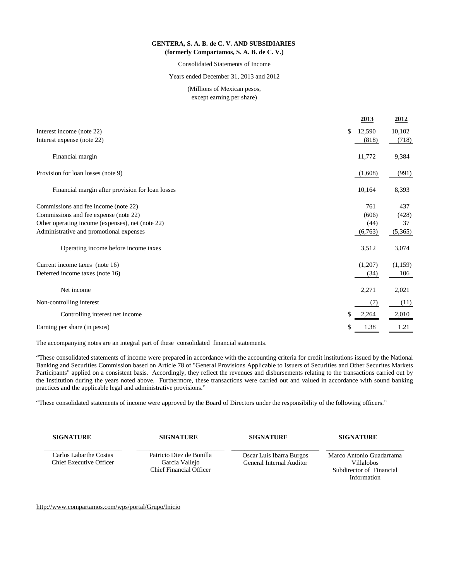## **GENTERA, S. A. B. de C. V. AND SUBSIDIARIES (formerly Compartamos, S. A. B. de C. V.)**

# Consolidated Statements of Income

# Years ended December 31, 2013 and 2012

# (Millions of Mexican pesos, except earning per share)

|                                                  |               | 2013    | 2012    |
|--------------------------------------------------|---------------|---------|---------|
| Interest income (note 22)                        | $\mathcal{S}$ | 12,590  | 10,102  |
| Interest expense (note 22)                       |               | (818)   | (718)   |
| Financial margin                                 |               | 11,772  | 9,384   |
| Provision for loan losses (note 9)               |               | (1,608) | (991)   |
| Financial margin after provision for loan losses |               | 10,164  | 8,393   |
| Commissions and fee income (note 22)             |               | 761     | 437     |
| Commissions and fee expense (note 22)            |               | (606)   | (428)   |
| Other operating income (expenses), net (note 22) |               | (44)    | 37      |
| Administrative and promotional expenses          |               | (6,763) | (5,365) |
| Operating income before income taxes             |               | 3,512   | 3,074   |
| Current income taxes (note 16)                   |               | (1,207) | (1,159) |
| Deferred income taxes (note 16)                  |               | (34)    | 106     |
| Net income                                       |               | 2,271   | 2,021   |
| Non-controlling interest                         |               | (7)     | (11)    |
| Controlling interest net income                  | \$            | 2,264   | 2,010   |
| Earning per share (in pesos)                     | \$            | 1.38    | 1.21    |

The accompanying notes are an integral part of these consolidated financial statements.

"These consolidated statements of income were prepared in accordance with the accounting criteria for credit institutions issued by the National Banking and Securities Commission based on Article 78 of "General Provisions Applicable to Issuers of Securities and Other Securites Markets Participants" applied on a consistent basis. Accordingly, they reflect the revenues and disbursements relating to the transactions carried out by the Institution during the years noted above. Furthermore, these transactions were carried out and valued in accordance with sound banking practices and the applicable legal and administrative provisions."

"These consolidated statements of income were approved by the Board of Directors under the responsibility of the following officers."

| <b>SIGNATURE</b>                                                | <b>SIGNATURE</b>                                                             | <b>SIGNATURE</b>                                            | <b>SIGNATURE</b>                                                                         |
|-----------------------------------------------------------------|------------------------------------------------------------------------------|-------------------------------------------------------------|------------------------------------------------------------------------------------------|
| <b>Carlos Labarthe Costas</b><br><b>Chief Executive Officer</b> | Patricio Diez de Bonilla<br>García Vallejo<br><b>Chief Financial Officer</b> | Oscar Luis Ibarra Burgos<br><b>General Internal Auditor</b> | Marco Antonio Guadarrama<br><b>Villalobos</b><br>Subdirector of Financial<br>Information |

<http://www.compartamos.com/wps/portal/Grupo/Inicio>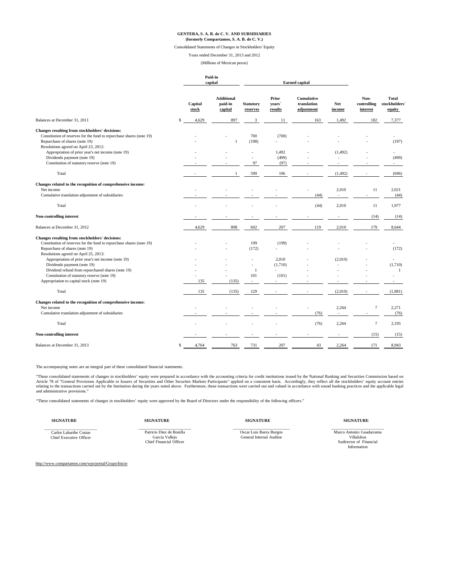# **GENTERA, S. A. B. de C. V. AND SUBSIDIARIES (formerly Compartamos, S. A. B. de C. V.)**

## Consolidated Statements of Changes in Stockholders' Equity

Years ended December 31, 2013 and 2012

#### (Millions of Mexican pesos)

|                                                                      |               | Paid-in<br>capital |                                         | <b>Earned capital</b>        |                                               |                                                |                      |                                        |                                               |
|----------------------------------------------------------------------|---------------|--------------------|-----------------------------------------|------------------------------|-----------------------------------------------|------------------------------------------------|----------------------|----------------------------------------|-----------------------------------------------|
|                                                                      |               | Capital<br>stock   | <b>Additional</b><br>paid-in<br>capital | <b>Statutory</b><br>reserves | <b>Prior</b><br>years <sup>2</sup><br>results | <b>Cumulative</b><br>translation<br>adjustment | <b>Net</b><br>income | Non-<br>controlling<br><i>interest</i> | <b>Total</b><br><b>stockholders</b><br>equity |
| Balances at December 31, 2011                                        | $\mathcal{S}$ | 4,629              | 897                                     | 3                            | 11                                            | 163                                            | 1,492                | 182                                    | 7,377                                         |
| <b>Changes resulting from stockholders' decisions:</b>               |               |                    |                                         |                              |                                               |                                                |                      |                                        |                                               |
| Constitution of reserves for the fund to repurchase shares (note 19) |               |                    |                                         | 700                          | (700)                                         |                                                |                      |                                        |                                               |
| Repurchase of shares (note 19)                                       |               |                    |                                         | (198)                        |                                               |                                                |                      |                                        | (197)                                         |
| Resolutions agreed on April 23, 2012:                                |               |                    |                                         |                              |                                               |                                                |                      |                                        |                                               |
| Appropriation of prior year's net income (note 19)                   |               |                    |                                         |                              | 1,492                                         |                                                | (1,492)              |                                        |                                               |
| Dividends payment (note 19)                                          |               |                    |                                         |                              | (499)                                         |                                                |                      |                                        | (499)                                         |
| Constitution of statutory reserve (note 19)                          |               |                    |                                         | 97                           | (97)                                          | $\overline{\phantom{a}}$                       |                      |                                        |                                               |
| Total                                                                |               |                    |                                         | 599                          | 196                                           |                                                | (1, 492)             |                                        | (696)                                         |
| Changes related to the recognition of comprehensive income:          |               |                    |                                         |                              |                                               |                                                |                      |                                        |                                               |
| Net income                                                           |               |                    |                                         |                              |                                               |                                                | 2,010                | 11                                     | 2,021                                         |
| Cumulative translation adjustment of subsidiaries                    |               |                    |                                         |                              |                                               | (44)                                           |                      |                                        | (44)                                          |
| Total                                                                |               |                    |                                         |                              |                                               | (44)                                           | 2,010                | 11                                     | 1,977                                         |
| <b>Non-controlling interest</b>                                      |               |                    |                                         |                              |                                               |                                                |                      | (14)                                   | (14)                                          |
| Balances at December 31, 2012                                        |               | 4,629              | 898                                     | 602                          | 207                                           | 119                                            | 2,010                | 179                                    | 8,644                                         |
| <b>Changes resulting from stockholders' decisions:</b>               |               |                    |                                         |                              |                                               |                                                |                      |                                        |                                               |
| Constitution of reserves for the fund to repurchase shares (note 19) |               |                    |                                         | 199                          | (199)                                         |                                                |                      |                                        |                                               |
| Repurchase of shares (note 19)                                       |               |                    |                                         | (172)                        |                                               |                                                |                      |                                        | (172)                                         |
| Resolutions agreed on April 25, 2013:                                |               |                    |                                         |                              |                                               |                                                |                      |                                        |                                               |
| Appropriation of prior year's net income (note 19)                   |               |                    |                                         |                              | 2,010                                         |                                                | (2,010)              |                                        |                                               |
| Dividends payment (note 19)                                          |               |                    |                                         |                              | (1,710)                                       |                                                |                      |                                        | (1,710)                                       |
| Dividend refund from repurchased shares (note 19)                    |               |                    |                                         |                              |                                               |                                                |                      |                                        |                                               |
| Constitution of statutory reserve (note 19)                          |               |                    |                                         | 101                          | (101)                                         |                                                |                      |                                        |                                               |
| Appropriation to capital stock (note 19)                             |               | 135                | (135)                                   |                              |                                               |                                                |                      |                                        |                                               |
| Total                                                                |               | 135                | (135)                                   | 129                          |                                               |                                                | (2,010)              |                                        | (1,881)                                       |
| Changes related to the recognition of comprehensive income:          |               |                    |                                         |                              |                                               |                                                |                      |                                        |                                               |
| Net income                                                           |               |                    |                                         |                              |                                               |                                                | 2,264                |                                        | 2,271                                         |
| Cumulative translation adjustment of subsidiaries                    |               |                    |                                         |                              |                                               | (76)                                           |                      |                                        | (76)                                          |

| Total                         | $\overline{\phantom{0}}$ | $\overline{\phantom{0}}$ | $\overline{\phantom{0}}$ |     | (76)                     | 2,264 |              | 2,195 |
|-------------------------------|--------------------------|--------------------------|--------------------------|-----|--------------------------|-------|--------------|-------|
| Non-controlling interest      |                          |                          |                          |     | $\overline{\phantom{0}}$ |       | $15^{\circ}$ | (15)  |
| Balances at December 31, 2013 | l,764                    | 763                      | 731                      | 207 | 41                       | 2,264 | 171          | 8,943 |

**SIGNATURE SIGNATURE SIGNATURE SIGNATURE**

[http://www.compartamos.com/wps/portal/Grupo/Inicio](http://www.compartamos.com/wps/portal/InformacionFinanciera)

The accompanying notes are an integral part of these consolidated financial statements.

"These consolidated statements of changes in stockholders' equity were prepared in accordance with the accounting criteria for credit institutions issued by the National Banking and Securities Commission based on Article 78 of "General Provisions Applicable to Issuers of Securities and Other Securites Markets Participants" applied on a consistent basis. Accordingly, they reflect all the stockholders' equity account entries relating to the transactions carried out by the Institution during the years noted above. Furthermore, these transactions were carried out and valued in accordance with sound banking practices and the applicable legal and administrative provisions."

"These consolidated statements of changes in stockholders' equity were approved by the Board of Directors under the responsibility of the following officers."

\_\_\_\_\_\_\_\_\_\_\_\_\_\_\_\_\_\_\_\_\_\_\_\_\_ Carlos Labarthe Costas Chief Executive Officer

\_\_\_\_\_\_\_\_\_\_\_\_\_\_\_\_\_\_\_\_\_\_\_\_\_ Patricio Diez de Bonilla García Vallejo Chief Financial Officer

\_\_\_\_\_\_\_\_\_\_\_\_\_\_\_\_\_\_\_\_\_\_\_\_\_\_\_

Oscar Luis Ibarra Burgos General Internal Auditor

\_\_\_\_\_\_\_\_\_\_\_\_\_\_\_\_\_\_\_\_\_\_\_\_\_ Marco Antonio Guadarrama Villalobos Sudirector of Financial Information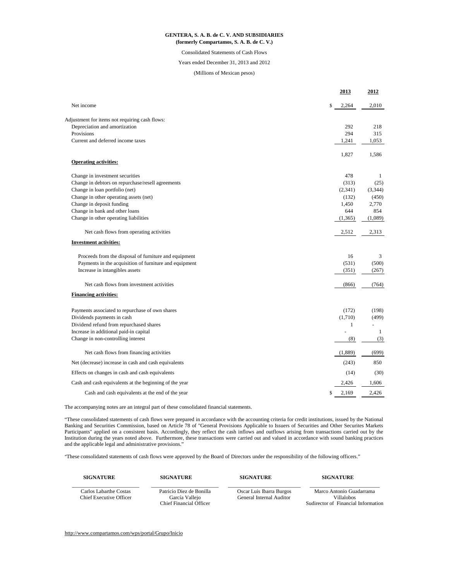|                                                        | <u>2013</u> | <u>2012</u> |
|--------------------------------------------------------|-------------|-------------|
| Net income                                             | \$<br>2,264 | 2,010       |
| Adjustment for items not requiring cash flows:         |             |             |
| Depreciation and amortization                          | 292         | 218         |
| Provisions                                             | 294         | 315         |
| Current and deferred income taxes                      | 1,241       | 1,053       |
|                                                        | 1,827       | 1,586       |
| <b>Operating activities:</b>                           |             |             |
| Change in investment securities                        | 478         | -1          |
| Change in debtors on repurchase/resell agreements      | (313)       | (25)        |
| Change in loan portfolio (net)                         | (2,341)     | (3,344)     |
| Change in other operating assets (net)                 | (132)       | (450)       |
| Change in deposit funding                              | 1,450       | 2,770       |
| Change in bank and other loans                         | 644         | 854         |
| Change in other operating liabilities                  | (1,365)     | (1,089)     |
| Net cash flows from operating activities               | 2,512       | 2,313       |
| <b>Investment activities:</b>                          |             |             |
| Proceeds from the disposal of furniture and equipment  | 16          | 3           |
| Payments in the acquisition of furniture and equipment | (531)       | (500)       |
| Increase in intangibles assets                         | (351)       | (267)       |
| Net cash flows from investment activities              | (866)       | (764)       |
| <b>Financing activities:</b>                           |             |             |
| Payments associated to repurchase of own shares        | (172)       | (198)       |
| Dividends payments in cash                             | (1,710)     | (499)       |
| Dividend refund from repurchased shares                |             |             |
| Increase in additional paid-in capital                 |             |             |
| Change in non-controlling interest                     | (8)         | (3)         |
| Net cash flows from financing activities               | (1,889)     | (699)       |
| Net (decrease) increase in cash and cash equivalents   | (243)       | 850         |
| Effects on changes in cash and cash equivalents        | (14)        | (30)        |
| Cash and cash equivalents at the beginning of the year | 2,426       | 1,606       |
| Cash and cash equivalents at the end of the year       | \$<br>2,169 | 2,426       |

[http://www.compartamos.com/wps/portal/Grupo/Inicio](http://www.compartamos.com/wps/portal/InformacionFinanciera)

# Years ended December 31, 2013 and 2012

# **GENTERA, S. A. B. de C. V. AND SUBSIDIARIES (formerly Compartamos, S. A. B. de C. V.)**

#### Consolidated Statements of Cash Flows

# (Millions of Mexican pesos)

The accompanying notes are an integral part of these consolidated financial statements.

"These consolidated statements of cash flows were prepared in accordance with the accounting criteria for credit institutions, issued by the National Banking and Securities Commission, based on Article 78 of "General Provisions Applicable to Issuers of Securities and Other Securites Markets Participants" applied on a consistent basis. Accordingly, they reflect the cash inflows and outflows arising from transactions carried out by the Institution during the years noted above. Furthermore, these transactions were carried out and valued in accordance with sound banking practices and the applicable legal and administrative provisions."

| <b>SIGNATURE</b>                                                | <b>SIGNATURE</b>                                                             | <b>SIGNATURE</b>                                     | <b>SIGNATURE</b>                                                              |
|-----------------------------------------------------------------|------------------------------------------------------------------------------|------------------------------------------------------|-------------------------------------------------------------------------------|
| <b>Carlos Labarthe Costas</b><br><b>Chief Executive Officer</b> | Patricio Diez de Bonilla<br>García Vallejo<br><b>Chief Financial Officer</b> | Oscar Luis Ibarra Burgos<br>General Internal Auditor | Marco Antonio Guadarrama<br>Villalobos<br>Sudirector of Financial Information |

"These consolidated statements of cash flows were approved by the Board of Directors under the responsibility of the following officers."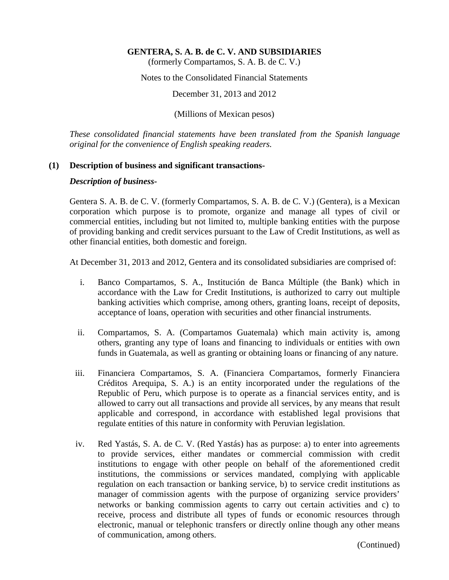(formerly Compartamos, S. A. B. de C. V.)

Notes to the Consolidated Financial Statements

December 31, 2013 and 2012

(Millions of Mexican pesos)

*These consolidated financial statements have been translated from the Spanish language original for the convenience of English speaking readers.*

#### **(1) Description of business and significant transactions-**

#### *Description of business-*

Gentera S. A. B. de C. V. (formerly Compartamos, S. A. B. de C. V.) (Gentera), is a Mexican corporation which purpose is to promote, organize and manage all types of civil or commercial entities, including but not limited to, multiple banking entities with the purpose of providing banking and credit services pursuant to the Law of Credit Institutions, as well as other financial entities, both domestic and foreign.

At December 31, 2013 and 2012, Gentera and its consolidated subsidiaries are comprised of:

- i. Banco Compartamos, S. A., Institución de Banca Múltiple (the Bank) which in accordance with the Law for Credit Institutions, is authorized to carry out multiple banking activities which comprise, among others, granting loans, receipt of deposits, acceptance of loans, operation with securities and other financial instruments.
- ii. Compartamos, S. A. (Compartamos Guatemala) which main activity is, among others, granting any type of loans and financing to individuals or entities with own funds in Guatemala, as well as granting or obtaining loans or financing of any nature.
- iii. Financiera Compartamos, S. A. (Financiera Compartamos, formerly Financiera Créditos Arequipa, S. A.) is an entity incorporated under the regulations of the Republic of Peru, which purpose is to operate as a financial services entity, and is allowed to carry out all transactions and provide all services, by any means that result applicable and correspond, in accordance with established legal provisions that regulate entities of this nature in conformity with Peruvian legislation.
- iv. Red Yastás, S. A. de C. V. (Red Yastás) has as purpose: a) to enter into agreements to provide services, either mandates or commercial commission with credit institutions to engage with other people on behalf of the aforementioned credit institutions, the commissions or services mandated, complying with applicable regulation on each transaction or banking service, b) to service credit institutions as manager of commission agents with the purpose of organizing service providers' networks or banking commission agents to carry out certain activities and c) to receive, process and distribute all types of funds or economic resources through electronic, manual or telephonic transfers or directly online though any other means of communication, among others.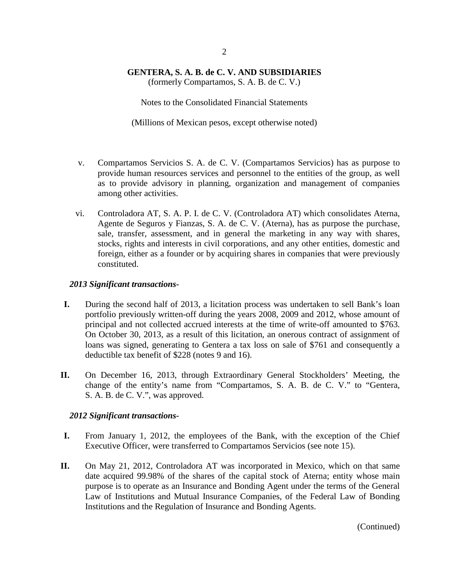(formerly Compartamos, S. A. B. de C. V.)

Notes to the Consolidated Financial Statements

(Millions of Mexican pesos, except otherwise noted)

- v. Compartamos Servicios S. A. de C. V. (Compartamos Servicios) has as purpose to provide human resources services and personnel to the entities of the group, as well as to provide advisory in planning, organization and management of companies among other activities.
- vi. Controladora AT, S. A. P. I. de C. V. (Controladora AT) which consolidates Aterna, Agente de Seguros y Fianzas, S. A. de C. V. (Aterna), has as purpose the purchase, sale, transfer, assessment, and in general the marketing in any way with shares, stocks, rights and interests in civil corporations, and any other entities, domestic and foreign, either as a founder or by acquiring shares in companies that were previously constituted.

### *2013 Significant transactions-*

- **I.** During the second half of 2013, a licitation process was undertaken to sell Bank's loan portfolio previously written-off during the years 2008, 2009 and 2012, whose amount of principal and not collected accrued interests at the time of write-off amounted to \$763. On October 30, 2013, as a result of this licitation, an onerous contract of assignment of loans was signed, generating to Gentera a tax loss on sale of \$761 and consequently a deductible tax benefit of \$228 (notes 9 and 16).
- **II.** On December 16, 2013, through Extraordinary General Stockholders' Meeting, the change of the entity's name from "Compartamos, S. A. B. de C. V." to "Gentera, S. A. B. de C. V.", was approved.

### *2012 Significant transactions-*

- **I.** From January 1, 2012, the employees of the Bank, with the exception of the Chief Executive Officer, were transferred to Compartamos Servicios (see note 15).
- **II.** On May 21, 2012, Controladora AT was incorporated in Mexico, which on that same date acquired 99.98% of the shares of the capital stock of Aterna; entity whose main purpose is to operate as an Insurance and Bonding Agent under the terms of the General Law of Institutions and Mutual Insurance Companies, of the Federal Law of Bonding Institutions and the Regulation of Insurance and Bonding Agents.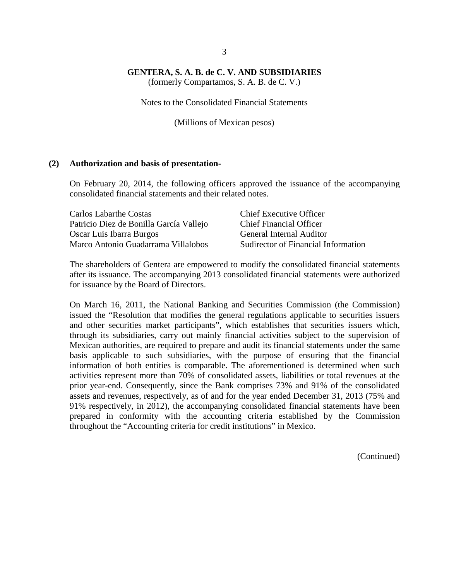(formerly Compartamos, S. A. B. de C. V.)

Notes to the Consolidated Financial Statements

(Millions of Mexican pesos)

#### **(2) Authorization and basis of presentation-**

On February 20, 2014, the following officers approved the issuance of the accompanying consolidated financial statements and their related notes.

| Carlos Labarthe Costas                  | <b>Chief Executive Officer</b>      |
|-----------------------------------------|-------------------------------------|
| Patricio Diez de Bonilla García Vallejo | <b>Chief Financial Officer</b>      |
| Oscar Luis Ibarra Burgos                | <b>General Internal Auditor</b>     |
| Marco Antonio Guadarrama Villalobos     | Sudirector of Financial Information |

The shareholders of Gentera are empowered to modify the consolidated financial statements after its issuance. The accompanying 2013 consolidated financial statements were authorized for issuance by the Board of Directors.

On March 16, 2011, the National Banking and Securities Commission (the Commission) issued the "Resolution that modifies the general regulations applicable to securities issuers and other securities market participants", which establishes that securities issuers which, through its subsidiaries, carry out mainly financial activities subject to the supervision of Mexican authorities, are required to prepare and audit its financial statements under the same basis applicable to such subsidiaries, with the purpose of ensuring that the financial information of both entities is comparable. The aforementioned is determined when such activities represent more than 70% of consolidated assets, liabilities or total revenues at the prior year-end. Consequently, since the Bank comprises 73% and 91% of the consolidated assets and revenues, respectively, as of and for the year ended December 31, 2013 (75% and 91% respectively, in 2012), the accompanying consolidated financial statements have been prepared in conformity with the accounting criteria established by the Commission throughout the "Accounting criteria for credit institutions" in Mexico.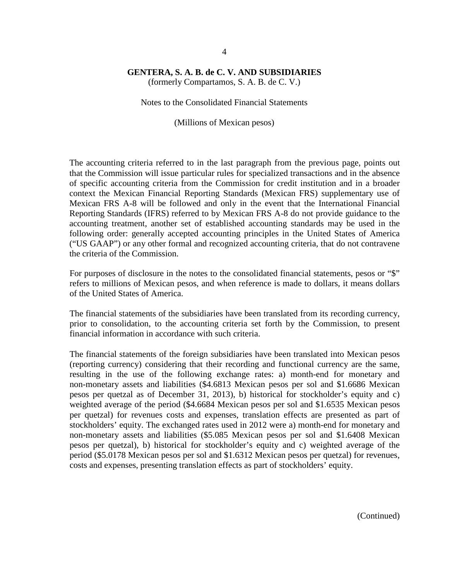(formerly Compartamos, S. A. B. de C. V.)

Notes to the Consolidated Financial Statements

(Millions of Mexican pesos)

The accounting criteria referred to in the last paragraph from the previous page, points out that the Commission will issue particular rules for specialized transactions and in the absence of specific accounting criteria from the Commission for credit institution and in a broader context the Mexican Financial Reporting Standards (Mexican FRS) supplementary use of Mexican FRS A-8 will be followed and only in the event that the International Financial Reporting Standards (IFRS) referred to by Mexican FRS A-8 do not provide guidance to the accounting treatment, another set of established accounting standards may be used in the following order: generally accepted accounting principles in the United States of America ("US GAAP") or any other formal and recognized accounting criteria, that do not contravene the criteria of the Commission.

For purposes of disclosure in the notes to the consolidated financial statements, pesos or "\$" refers to millions of Mexican pesos, and when reference is made to dollars, it means dollars of the United States of America.

The financial statements of the subsidiaries have been translated from its recording currency, prior to consolidation, to the accounting criteria set forth by the Commission, to present financial information in accordance with such criteria.

The financial statements of the foreign subsidiaries have been translated into Mexican pesos (reporting currency) considering that their recording and functional currency are the same, resulting in the use of the following exchange rates: a) month-end for monetary and non-monetary assets and liabilities (\$4.6813 Mexican pesos per sol and \$1.6686 Mexican pesos per quetzal as of December 31, 2013), b) historical for stockholder's equity and c) weighted average of the period (\$4.6684 Mexican pesos per sol and \$1.6535 Mexican pesos per quetzal) for revenues costs and expenses, translation effects are presented as part of stockholders' equity. The exchanged rates used in 2012 were a) month-end for monetary and non-monetary assets and liabilities (\$5.085 Mexican pesos per sol and \$1.6408 Mexican pesos per quetzal), b) historical for stockholder's equity and c) weighted average of the period (\$5.0178 Mexican pesos per sol and \$1.6312 Mexican pesos per quetzal) for revenues, costs and expenses, presenting translation effects as part of stockholders' equity.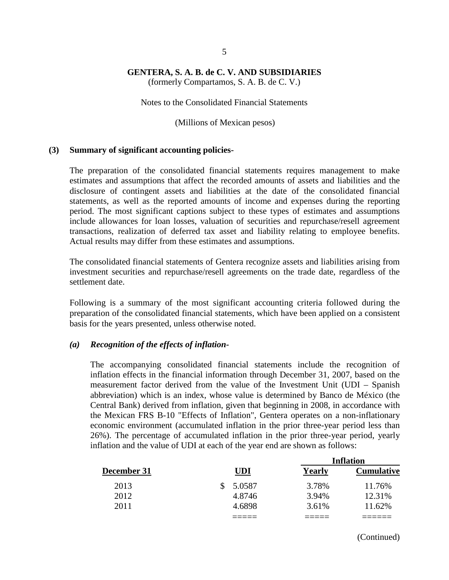(formerly Compartamos, S. A. B. de C. V.)

Notes to the Consolidated Financial Statements

(Millions of Mexican pesos)

#### **(3) Summary of significant accounting policies-**

The preparation of the consolidated financial statements requires management to make estimates and assumptions that affect the recorded amounts of assets and liabilities and the disclosure of contingent assets and liabilities at the date of the consolidated financial statements, as well as the reported amounts of income and expenses during the reporting period. The most significant captions subject to these types of estimates and assumptions include allowances for loan losses, valuation of securities and repurchase/resell agreement transactions, realization of deferred tax asset and liability relating to employee benefits. Actual results may differ from these estimates and assumptions.

The consolidated financial statements of Gentera recognize assets and liabilities arising from investment securities and repurchase/resell agreements on the trade date, regardless of the settlement date.

Following is a summary of the most significant accounting criteria followed during the preparation of the consolidated financial statements, which have been applied on a consistent basis for the years presented, unless otherwise noted.

#### *(a) Recognition of the effects of inflation-*

The accompanying consolidated financial statements include the recognition of inflation effects in the financial information through December 31, 2007, based on the measurement factor derived from the value of the Investment Unit (UDI – Spanish abbreviation) which is an index, whose value is determined by Banco de México (the Central Bank) derived from inflation, given that beginning in 2008, in accordance with the Mexican FRS B-10 "Effects of Inflation", Gentera operates on a non-inflationary economic environment (accumulated inflation in the prior three-year period less than 26%). The percentage of accumulated inflation in the prior three-year period, yearly inflation and the value of UDI at each of the year end are shown as follows:

|             |            | Inflation |                   |  |  |
|-------------|------------|-----------|-------------------|--|--|
| December 31 | <b>UDI</b> | Yearly    | <b>Cumulative</b> |  |  |
| 2013        | 5.0587     | 3.78%     | 11.76%            |  |  |
| 2012        | 4.8746     | 3.94%     | 12.31%            |  |  |
| 2011        | 4.6898     | 3.61%     | 11.62%            |  |  |
|             |            |           |                   |  |  |

(Continued)

**Inflation**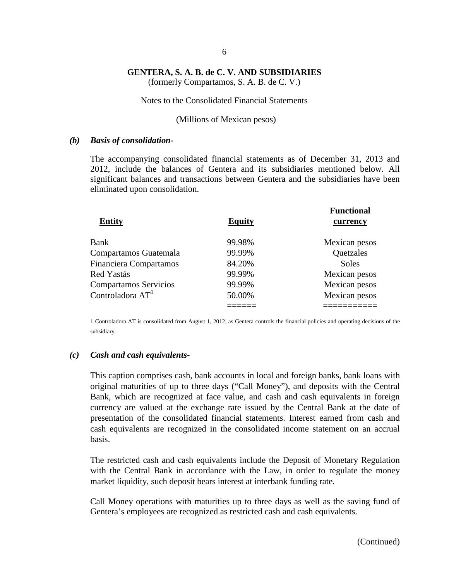(formerly Compartamos, S. A. B. de C. V.)

#### Notes to the Consolidated Financial Statements

#### (Millions of Mexican pesos)

#### *(b) Basis of consolidation-*

The accompanying consolidated financial statements as of December 31, 2013 and 2012, include the balances of Gentera and its subsidiaries mentioned below. All significant balances and transactions between Gentera and the subsidiaries have been eliminated upon consolidation.

| <b>Entity</b>                 | <b>Equity</b> | <b>Functional</b><br>currency |
|-------------------------------|---------------|-------------------------------|
| Bank                          | 99.98%        | Mexican pesos                 |
| Compartamos Guatemala         | 99.99%        | Quetzales                     |
| <b>Financiera Compartamos</b> | 84.20%        | <b>Soles</b>                  |
| Red Yastás                    | 99.99%        | Mexican pesos                 |
| <b>Compartamos Servicios</b>  | 99.99%        | Mexican pesos                 |
| Controladora A $\mathrm{T}^1$ | 50.00%        | Mexican pesos                 |
|                               |               |                               |

1 Controladora AT is consolidated from August 1, 2012, as Gentera controls the financial policies and operating decisions of the subsidiary.

#### *(c) Cash and cash equivalents-*

This caption comprises cash, bank accounts in local and foreign banks, bank loans with original maturities of up to three days ("Call Money"), and deposits with the Central Bank, which are recognized at face value, and cash and cash equivalents in foreign currency are valued at the exchange rate issued by the Central Bank at the date of presentation of the consolidated financial statements. Interest earned from cash and cash equivalents are recognized in the consolidated income statement on an accrual basis.

The restricted cash and cash equivalents include the Deposit of Monetary Regulation with the Central Bank in accordance with the Law, in order to regulate the money market liquidity, such deposit bears interest at interbank funding rate.

Call Money operations with maturities up to three days as well as the saving fund of Gentera's employees are recognized as restricted cash and cash equivalents.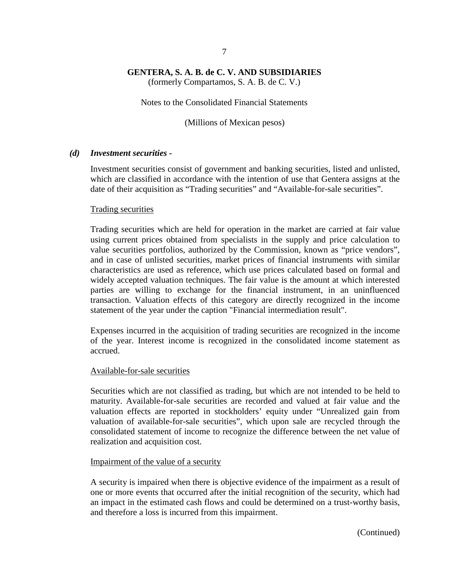(formerly Compartamos, S. A. B. de C. V.)

Notes to the Consolidated Financial Statements

(Millions of Mexican pesos)

### *(d) Investment securities -*

Investment securities consist of government and banking securities, listed and unlisted, which are classified in accordance with the intention of use that Gentera assigns at the date of their acquisition as "Trading securities" and "Available-for-sale securities".

#### Trading securities

Trading securities which are held for operation in the market are carried at fair value using current prices obtained from specialists in the supply and price calculation to value securities portfolios, authorized by the Commission, known as "price vendors", and in case of unlisted securities, market prices of financial instruments with similar characteristics are used as reference, which use prices calculated based on formal and widely accepted valuation techniques. The fair value is the amount at which interested parties are willing to exchange for the financial instrument, in an uninfluenced transaction. Valuation effects of this category are directly recognized in the income statement of the year under the caption "Financial intermediation result".

Expenses incurred in the acquisition of trading securities are recognized in the income of the year. Interest income is recognized in the consolidated income statement as accrued.

#### Available-for-sale securities

Securities which are not classified as trading, but which are not intended to be held to maturity. Available-for-sale securities are recorded and valued at fair value and the valuation effects are reported in stockholders' equity under "Unrealized gain from valuation of available-for-sale securities", which upon sale are recycled through the consolidated statement of income to recognize the difference between the net value of realization and acquisition cost.

### Impairment of the value of a security

A security is impaired when there is objective evidence of the impairment as a result of one or more events that occurred after the initial recognition of the security, which had an impact in the estimated cash flows and could be determined on a trust-worthy basis, and therefore a loss is incurred from this impairment.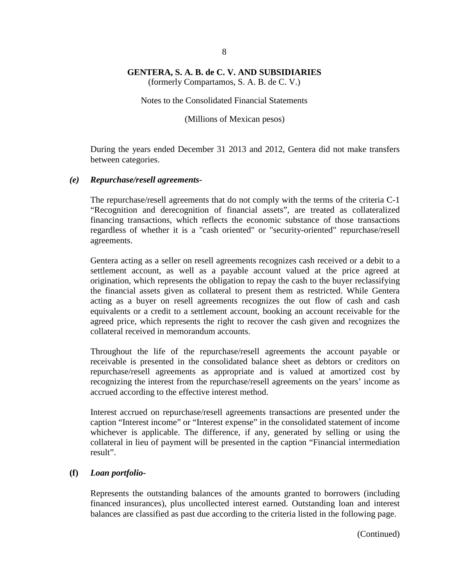(formerly Compartamos, S. A. B. de C. V.)

#### Notes to the Consolidated Financial Statements

(Millions of Mexican pesos)

During the years ended December 31 2013 and 2012, Gentera did not make transfers between categories.

### *(e) Repurchase/resell agreements-*

The repurchase/resell agreements that do not comply with the terms of the criteria C-1 "Recognition and derecognition of financial assets", are treated as collateralized financing transactions, which reflects the economic substance of those transactions regardless of whether it is a "cash oriented" or "security-oriented" repurchase/resell agreements.

Gentera acting as a seller on resell agreements recognizes cash received or a debit to a settlement account, as well as a payable account valued at the price agreed at origination, which represents the obligation to repay the cash to the buyer reclassifying the financial assets given as collateral to present them as restricted. While Gentera acting as a buyer on resell agreements recognizes the out flow of cash and cash equivalents or a credit to a settlement account, booking an account receivable for the agreed price, which represents the right to recover the cash given and recognizes the collateral received in memorandum accounts.

Throughout the life of the repurchase/resell agreements the account payable or receivable is presented in the consolidated balance sheet as debtors or creditors on repurchase/resell agreements as appropriate and is valued at amortized cost by recognizing the interest from the repurchase/resell agreements on the years' income as accrued according to the effective interest method.

Interest accrued on repurchase/resell agreements transactions are presented under the caption "Interest income" or "Interest expense" in the consolidated statement of income whichever is applicable. The difference, if any, generated by selling or using the collateral in lieu of payment will be presented in the caption "Financial intermediation result".

### **(f)** *Loan portfolio-*

Represents the outstanding balances of the amounts granted to borrowers (including financed insurances), plus uncollected interest earned. Outstanding loan and interest balances are classified as past due according to the criteria listed in the following page.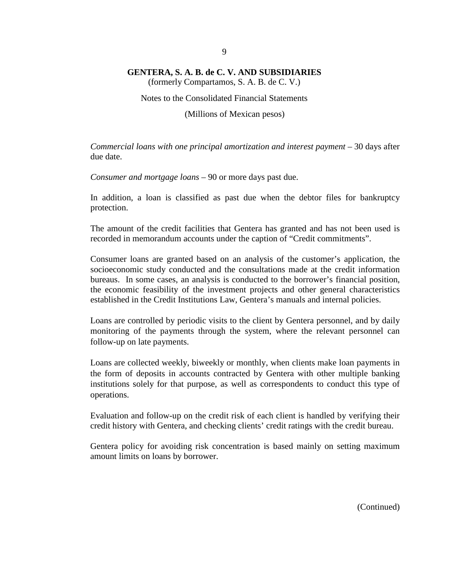(formerly Compartamos, S. A. B. de C. V.)

#### Notes to the Consolidated Financial Statements

(Millions of Mexican pesos)

*Commercial loans with one principal amortization and interest payment –* 30 days after due date.

*Consumer and mortgage loans –* 90 or more days past due.

In addition, a loan is classified as past due when the debtor files for bankruptcy protection.

The amount of the credit facilities that Gentera has granted and has not been used is recorded in memorandum accounts under the caption of "Credit commitments".

Consumer loans are granted based on an analysis of the customer's application, the socioeconomic study conducted and the consultations made at the credit information bureaus. In some cases, an analysis is conducted to the borrower's financial position, the economic feasibility of the investment projects and other general characteristics established in the Credit Institutions Law, Gentera's manuals and internal policies.

Loans are controlled by periodic visits to the client by Gentera personnel, and by daily monitoring of the payments through the system, where the relevant personnel can follow-up on late payments.

Loans are collected weekly, biweekly or monthly, when clients make loan payments in the form of deposits in accounts contracted by Gentera with other multiple banking institutions solely for that purpose, as well as correspondents to conduct this type of operations.

Evaluation and follow-up on the credit risk of each client is handled by verifying their credit history with Gentera, and checking clients' credit ratings with the credit bureau.

Gentera policy for avoiding risk concentration is based mainly on setting maximum amount limits on loans by borrower.

9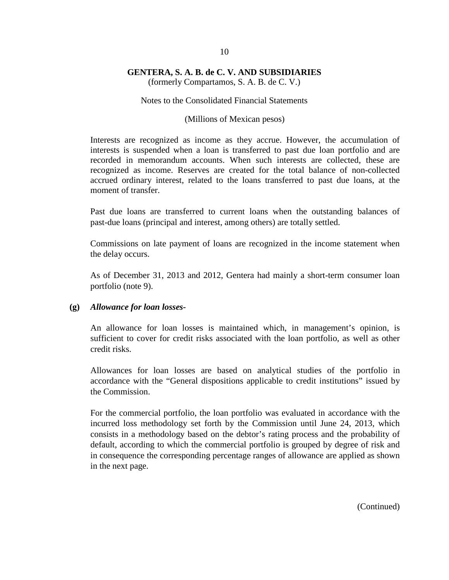(formerly Compartamos, S. A. B. de C. V.)

#### Notes to the Consolidated Financial Statements

#### (Millions of Mexican pesos)

Interests are recognized as income as they accrue. However, the accumulation of interests is suspended when a loan is transferred to past due loan portfolio and are recorded in memorandum accounts. When such interests are collected, these are recognized as income. Reserves are created for the total balance of non-collected accrued ordinary interest, related to the loans transferred to past due loans, at the moment of transfer.

Past due loans are transferred to current loans when the outstanding balances of past-due loans (principal and interest, among others) are totally settled.

Commissions on late payment of loans are recognized in the income statement when the delay occurs.

As of December 31, 2013 and 2012, Gentera had mainly a short-term consumer loan portfolio (note 9).

### **(g)** *Allowance for loan losses-*

An allowance for loan losses is maintained which, in management's opinion, is sufficient to cover for credit risks associated with the loan portfolio, as well as other credit risks.

Allowances for loan losses are based on analytical studies of the portfolio in accordance with the "General dispositions applicable to credit institutions" issued by the Commission.

For the commercial portfolio, the loan portfolio was evaluated in accordance with the incurred loss methodology set forth by the Commission until June 24, 2013, which consists in a methodology based on the debtor's rating process and the probability of default, according to which the commercial portfolio is grouped by degree of risk and in consequence the corresponding percentage ranges of allowance are applied as shown in the next page.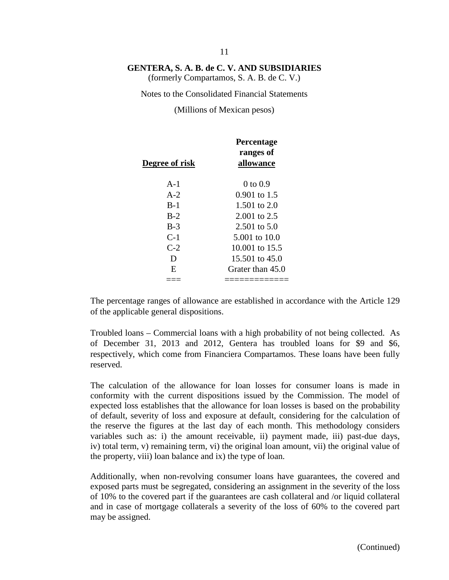(formerly Compartamos, S. A. B. de C. V.)

Notes to the Consolidated Financial Statements

(Millions of Mexican pesos)

| Degree of risk | <b>Percentage</b><br>ranges of<br>allowance |
|----------------|---------------------------------------------|
| $A-1$          | 0 to 0.9                                    |
| $A-2$          | $0.901$ to 1.5                              |
| $B-1$          | 1.501 to 2.0                                |
| $B-2$          | $2.001$ to 2.5                              |
| $B-3$          | $2.501$ to $5.0$                            |
| $C-1$          | 5.001 to 10.0                               |
| $C-2$          | 10.001 to 15.5                              |
| Ð              | $15.501$ to $45.0$                          |
| E              | Grater than 45.0                            |
|                |                                             |

The percentage ranges of allowance are established in accordance with the Article 129 of the applicable general dispositions.

Troubled loans – Commercial loans with a high probability of not being collected. As of December 31, 2013 and 2012, Gentera has troubled loans for \$9 and \$6, respectively, which come from Financiera Compartamos. These loans have been fully reserved.

The calculation of the allowance for loan losses for consumer loans is made in conformity with the current dispositions issued by the Commission. The model of expected loss establishes that the allowance for loan losses is based on the probability of default, severity of loss and exposure at default, considering for the calculation of the reserve the figures at the last day of each month. This methodology considers variables such as: i) the amount receivable, ii) payment made, iii) past-due days, iv) total term, v) remaining term, vi) the original loan amount, vii) the original value of the property, viii) loan balance and ix) the type of loan.

Additionally, when non-revolving consumer loans have guarantees, the covered and exposed parts must be segregated, considering an assignment in the severity of the loss of 10% to the covered part if the guarantees are cash collateral and /or liquid collateral and in case of mortgage collaterals a severity of the loss of 60% to the covered part may be assigned.

#### 11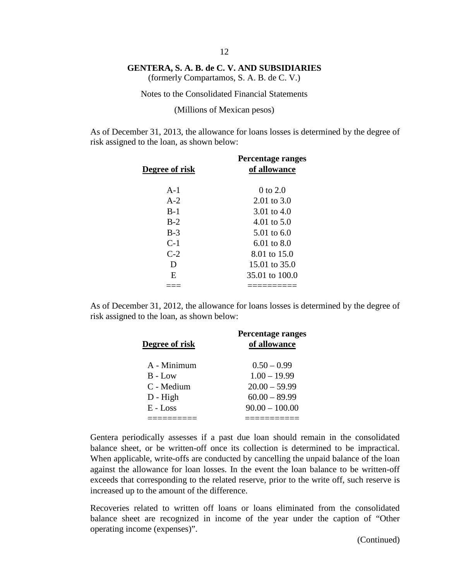(formerly Compartamos, S. A. B. de C. V.)

Notes to the Consolidated Financial Statements

(Millions of Mexican pesos)

As of December 31, 2013, the allowance for loans losses is determined by the degree of risk assigned to the loan, as shown below:

| Degree of risk | Percentage ranges<br>of allowance |
|----------------|-----------------------------------|
| $A-1$          | 0 to $2.0$                        |
| $A-2$          | $2.01 \text{ to } 3.0$            |
| $B-1$          | 3.01 to $4.0$                     |
| $B-2$          | 4.01 to $5.0$                     |
| $B-3$          | 5.01 to $6.0$                     |
| $C-1$          | $6.01 \text{ to } 8.0$            |
| $C-2$          | 8.01 to 15.0                      |
| D              | 15.01 to 35.0                     |
| E.             | 35.01 to 100.0                    |
|                |                                   |

As of December 31, 2012, the allowance for loans losses is determined by the degree of risk assigned to the loan, as shown below:

| Degree of risk | Percentage ranges<br>of allowance |
|----------------|-----------------------------------|
| A - Minimum    | $0.50 - 0.99$                     |
| $B - Low$      | $1.00 - 19.99$                    |
| C - Medium     | $20.00 - 59.99$                   |
| $D - High$     | $60.00 - 89.99$                   |
| $E$ - Loss     | $90.00 - 100.00$                  |
|                |                                   |

Gentera periodically assesses if a past due loan should remain in the consolidated balance sheet, or be written-off once its collection is determined to be impractical. When applicable, write-offs are conducted by cancelling the unpaid balance of the loan against the allowance for loan losses. In the event the loan balance to be written-off exceeds that corresponding to the related reserve, prior to the write off, such reserve is increased up to the amount of the difference.

Recoveries related to written off loans or loans eliminated from the consolidated balance sheet are recognized in income of the year under the caption of "Other operating income (expenses)".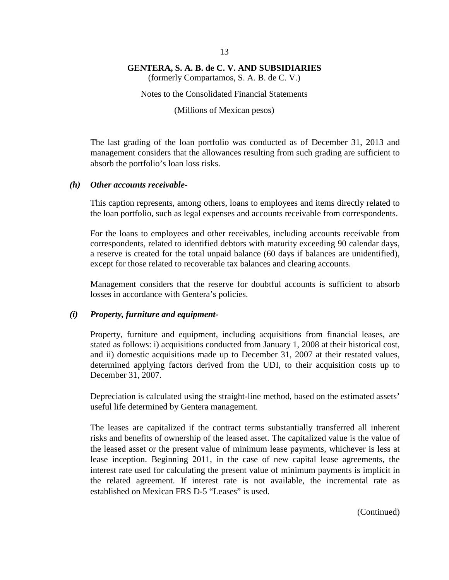(formerly Compartamos, S. A. B. de C. V.)

Notes to the Consolidated Financial Statements

(Millions of Mexican pesos)

The last grading of the loan portfolio was conducted as of December 31, 2013 and management considers that the allowances resulting from such grading are sufficient to absorb the portfolio's loan loss risks.

#### *(h) Other accounts receivable-*

This caption represents, among others, loans to employees and items directly related to the loan portfolio, such as legal expenses and accounts receivable from correspondents.

For the loans to employees and other receivables, including accounts receivable from correspondents, related to identified debtors with maturity exceeding 90 calendar days, a reserve is created for the total unpaid balance (60 days if balances are unidentified), except for those related to recoverable tax balances and clearing accounts.

Management considers that the reserve for doubtful accounts is sufficient to absorb losses in accordance with Gentera's policies.

#### *(i) Property, furniture and equipment-*

Property, furniture and equipment, including acquisitions from financial leases, are stated as follows: i) acquisitions conducted from January 1, 2008 at their historical cost, and ii) domestic acquisitions made up to December 31, 2007 at their restated values, determined applying factors derived from the UDI, to their acquisition costs up to December 31, 2007.

Depreciation is calculated using the straight-line method, based on the estimated assets' useful life determined by Gentera management.

The leases are capitalized if the contract terms substantially transferred all inherent risks and benefits of ownership of the leased asset. The capitalized value is the value of the leased asset or the present value of minimum lease payments, whichever is less at lease inception. Beginning 2011, in the case of new capital lease agreements, the interest rate used for calculating the present value of minimum payments is implicit in the related agreement. If interest rate is not available, the incremental rate as established on Mexican FRS D-5 "Leases" is used.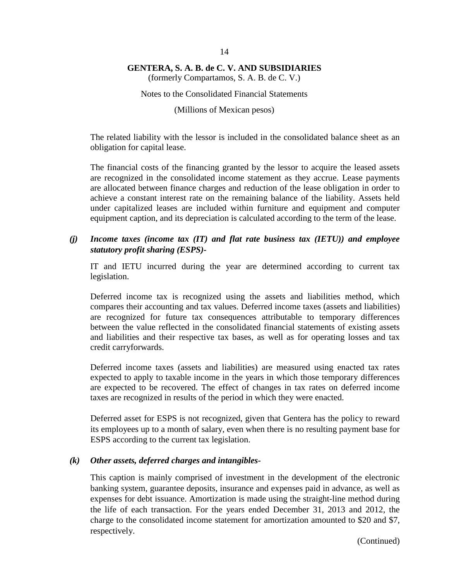(formerly Compartamos, S. A. B. de C. V.)

Notes to the Consolidated Financial Statements

(Millions of Mexican pesos)

The related liability with the lessor is included in the consolidated balance sheet as an obligation for capital lease.

The financial costs of the financing granted by the lessor to acquire the leased assets are recognized in the consolidated income statement as they accrue. Lease payments are allocated between finance charges and reduction of the lease obligation in order to achieve a constant interest rate on the remaining balance of the liability. Assets held under capitalized leases are included within furniture and equipment and computer equipment caption, and its depreciation is calculated according to the term of the lease.

# *(j) Income taxes (income tax (IT) and flat rate business tax (IETU)) and employee statutory profit sharing (ESPS)-*

IT and IETU incurred during the year are determined according to current tax legislation.

Deferred income tax is recognized using the assets and liabilities method, which compares their accounting and tax values. Deferred income taxes (assets and liabilities) are recognized for future tax consequences attributable to temporary differences between the value reflected in the consolidated financial statements of existing assets and liabilities and their respective tax bases, as well as for operating losses and tax credit carryforwards.

Deferred income taxes (assets and liabilities) are measured using enacted tax rates expected to apply to taxable income in the years in which those temporary differences are expected to be recovered. The effect of changes in tax rates on deferred income taxes are recognized in results of the period in which they were enacted.

Deferred asset for ESPS is not recognized, given that Gentera has the policy to reward its employees up to a month of salary, even when there is no resulting payment base for ESPS according to the current tax legislation.

### *(k) Other assets, deferred charges and intangibles-*

This caption is mainly comprised of investment in the development of the electronic banking system, guarantee deposits, insurance and expenses paid in advance, as well as expenses for debt issuance. Amortization is made using the straight-line method during the life of each transaction. For the years ended December 31, 2013 and 2012, the charge to the consolidated income statement for amortization amounted to \$20 and \$7, respectively.

(Continued)

#### 14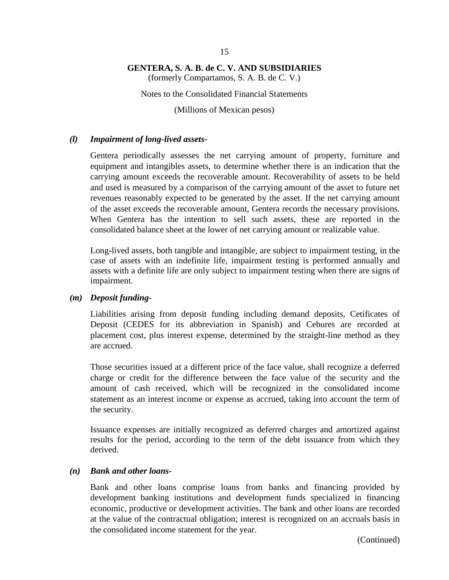(formerly Compartamos, S. A. B. de C. V.)

Notes to the Consolidated Financial Statements

(Millions of Mexican pesos)

### *(l) Impairment of long-lived assets-*

Gentera periodically assesses the net carrying amount of property, furniture and equipment and intangibles assets, to determine whether there is an indication that the carrying amount exceeds the recoverable amount. Recoverability of assets to be held and used is measured by a comparison of the carrying amount of the asset to future net revenues reasonably expected to be generated by the asset. If the net carrying amount of the asset exceeds the recoverable amount, Gentera records the necessary provisions. When Gentera has the intention to sell such assets, these are reported in the consolidated balance sheet at the lower of net carrying amount or realizable value.

Long-lived assets, both tangible and intangible, are subject to impairment testing, in the case of assets with an indefinite life, impairment testing is performed annually and assets with a definite life are only subject to impairment testing when there are signs of impairment.

#### *(m) Deposit funding-*

Liabilities arising from deposit funding including demand deposits, Cetificates of Deposit (CEDES for its abbreviation in Spanish) and Cebures are recorded at placement cost, plus interest expense, determined by the straight-line method as they are accrued.

Those securities issued at a different price of the face value, shall recognize a deferred charge or credit for the difference between the face value of the security and the amount of cash received, which will be recognized in the consolidated income statement as an interest income or expense as accrued, taking into account the term of the security.

Issuance expenses are initially recognized as deferred charges and amortized against results for the period, according to the term of the debt issuance from which they derived.

### *(n) Bank and other loans-*

Bank and other loans comprise loans from banks and financing provided by development banking institutions and development funds specialized in financing economic, productive or development activities. The bank and other loans are recorded at the value of the contractual obligation; interest is recognized on an accruals basis in the consolidated income statement for the year.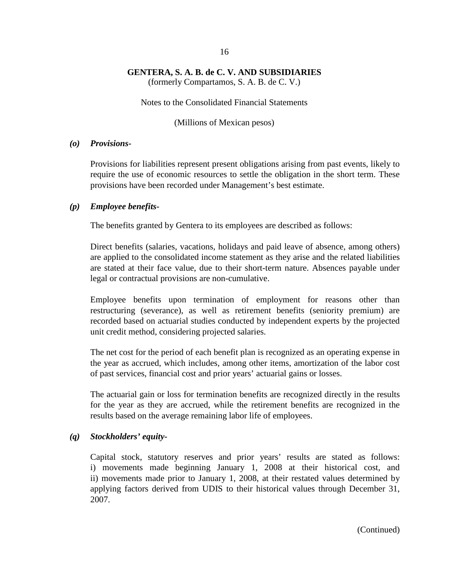(formerly Compartamos, S. A. B. de C. V.)

Notes to the Consolidated Financial Statements

(Millions of Mexican pesos)

## *(o) Provisions-*

Provisions for liabilities represent present obligations arising from past events, likely to require the use of economic resources to settle the obligation in the short term. These provisions have been recorded under Management's best estimate.

### *(p) Employee benefits-*

The benefits granted by Gentera to its employees are described as follows:

Direct benefits (salaries, vacations, holidays and paid leave of absence, among others) are applied to the consolidated income statement as they arise and the related liabilities are stated at their face value, due to their short-term nature. Absences payable under legal or contractual provisions are non-cumulative.

Employee benefits upon termination of employment for reasons other than restructuring (severance), as well as retirement benefits (seniority premium) are recorded based on actuarial studies conducted by independent experts by the projected unit credit method, considering projected salaries.

The net cost for the period of each benefit plan is recognized as an operating expense in the year as accrued, which includes, among other items, amortization of the labor cost of past services, financial cost and prior years' actuarial gains or losses.

The actuarial gain or loss for termination benefits are recognized directly in the results for the year as they are accrued, while the retirement benefits are recognized in the results based on the average remaining labor life of employees.

# *(q) Stockholders' equity-*

Capital stock, statutory reserves and prior years' results are stated as follows: i) movements made beginning January 1, 2008 at their historical cost, and ii) movements made prior to January 1, 2008, at their restated values determined by applying factors derived from UDIS to their historical values through December 31, 2007.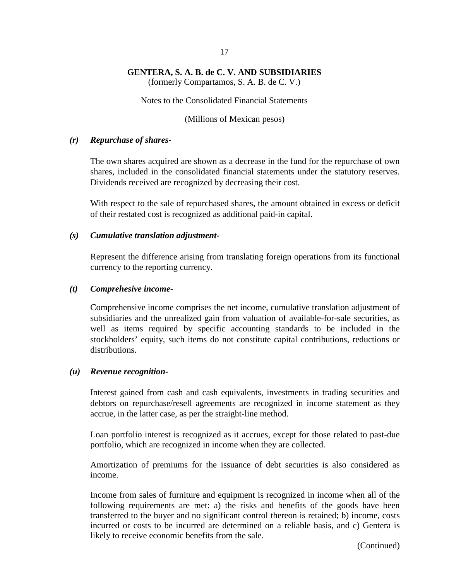(formerly Compartamos, S. A. B. de C. V.)

Notes to the Consolidated Financial Statements

(Millions of Mexican pesos)

# *(r) Repurchase of shares-*

The own shares acquired are shown as a decrease in the fund for the repurchase of own shares, included in the consolidated financial statements under the statutory reserves. Dividends received are recognized by decreasing their cost.

With respect to the sale of repurchased shares, the amount obtained in excess or deficit of their restated cost is recognized as additional paid-in capital.

# *(s) Cumulative translation adjustment-*

Represent the difference arising from translating foreign operations from its functional currency to the reporting currency.

# *(t) Comprehesive income-*

Comprehensive income comprises the net income, cumulative translation adjustment of subsidiaries and the unrealized gain from valuation of available-for-sale securities, as well as items required by specific accounting standards to be included in the stockholders' equity, such items do not constitute capital contributions, reductions or distributions.

# *(u) Revenue recognition-*

Interest gained from cash and cash equivalents, investments in trading securities and debtors on repurchase/resell agreements are recognized in income statement as they accrue, in the latter case, as per the straight-line method.

Loan portfolio interest is recognized as it accrues, except for those related to past-due portfolio, which are recognized in income when they are collected.

Amortization of premiums for the issuance of debt securities is also considered as income.

Income from sales of furniture and equipment is recognized in income when all of the following requirements are met: a) the risks and benefits of the goods have been transferred to the buyer and no significant control thereon is retained; b) income, costs incurred or costs to be incurred are determined on a reliable basis, and c) Gentera is likely to receive economic benefits from the sale.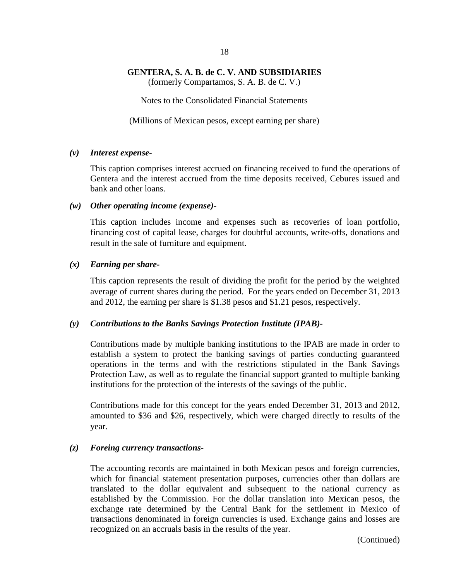(formerly Compartamos, S. A. B. de C. V.)

Notes to the Consolidated Financial Statements

(Millions of Mexican pesos, except earning per share)

#### *(v) Interest expense-*

This caption comprises interest accrued on financing received to fund the operations of Gentera and the interest accrued from the time deposits received, Cebures issued and bank and other loans.

#### *(w) Other operating income (expense)-*

This caption includes income and expenses such as recoveries of loan portfolio, financing cost of capital lease, charges for doubtful accounts, write-offs, donations and result in the sale of furniture and equipment.

### *(x) Earning per share-*

This caption represents the result of dividing the profit for the period by the weighted average of current shares during the period. For the years ended on December 31, 2013 and 2012, the earning per share is \$1.38 pesos and \$1.21 pesos, respectively.

### *(y) Contributions to the Banks Savings Protection Institute (IPAB)-*

Contributions made by multiple banking institutions to the IPAB are made in order to establish a system to protect the banking savings of parties conducting guaranteed operations in the terms and with the restrictions stipulated in the Bank Savings Protection Law, as well as to regulate the financial support granted to multiple banking institutions for the protection of the interests of the savings of the public.

Contributions made for this concept for the years ended December 31, 2013 and 2012, amounted to \$36 and \$26, respectively, which were charged directly to results of the year.

### *(z) Foreing currency transactions-*

The accounting records are maintained in both Mexican pesos and foreign currencies, which for financial statement presentation purposes, currencies other than dollars are translated to the dollar equivalent and subsequent to the national currency as established by the Commission. For the dollar translation into Mexican pesos, the exchange rate determined by the Central Bank for the settlement in Mexico of transactions denominated in foreign currencies is used. Exchange gains and losses are recognized on an accruals basis in the results of the year.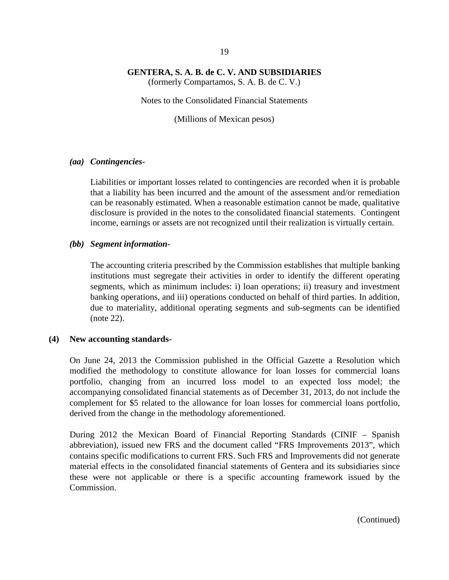(formerly Compartamos, S. A. B. de C. V.)

Notes to the Consolidated Financial Statements

(Millions of Mexican pesos)

#### *(aa) Contingencies-*

Liabilities or important losses related to contingencies are recorded when it is probable that a liability has been incurred and the amount of the assessment and/or remediation can be reasonably estimated. When a reasonable estimation cannot be made, qualitative disclosure is provided in the notes to the consolidated financial statements. Contingent income, earnings or assets are not recognized until their realization is virtually certain.

### *(bb) Segment information-*

The accounting criteria prescribed by the Commission establishes that multiple banking institutions must segregate their activities in order to identify the different operating segments, which as minimum includes: i) loan operations; ii) treasury and investment banking operations, and iii) operations conducted on behalf of third parties. In addition, due to materiality, additional operating segments and sub-segments can be identified (note 22).

### **(4) New accounting standards-**

On June 24, 2013 the Commission published in the Official Gazette a Resolution which modified the methodology to constitute allowance for loan losses for commercial loans portfolio, changing from an incurred loss model to an expected loss model; the accompanying consolidated financial statements as of December 31, 2013, do not include the complement for \$5 related to the allowance for loan losses for commercial loans portfolio, derived from the change in the methodology aforementioned.

During 2012 the Mexican Board of Financial Reporting Standards (CINIF – Spanish abbreviation), issued new FRS and the document called "FRS Improvements 2013", which contains specific modifications to current FRS. Such FRS and Improvements did not generate material effects in the consolidated financial statements of Gentera and its subsidiaries since these were not applicable or there is a specific accounting framework issued by the Commission.

19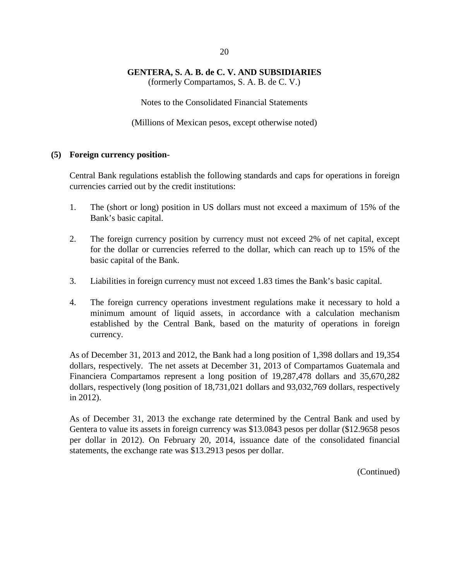(formerly Compartamos, S. A. B. de C. V.)

Notes to the Consolidated Financial Statements

(Millions of Mexican pesos, except otherwise noted)

### **(5) Foreign currency position-**

Central Bank regulations establish the following standards and caps for operations in foreign currencies carried out by the credit institutions:

- 1. The (short or long) position in US dollars must not exceed a maximum of 15% of the Bank's basic capital.
- 2. The foreign currency position by currency must not exceed 2% of net capital, except for the dollar or currencies referred to the dollar, which can reach up to 15% of the basic capital of the Bank.
- 3. Liabilities in foreign currency must not exceed 1.83 times the Bank's basic capital.
- 4. The foreign currency operations investment regulations make it necessary to hold a minimum amount of liquid assets, in accordance with a calculation mechanism established by the Central Bank, based on the maturity of operations in foreign currency.

As of December 31, 2013 and 2012, the Bank had a long position of 1,398 dollars and 19,354 dollars, respectively. The net assets at December 31, 2013 of Compartamos Guatemala and Financiera Compartamos represent a long position of 19,287,478 dollars and 35,670,282 dollars, respectively (long position of 18,731,021 dollars and 93,032,769 dollars, respectively in 2012).

As of December 31, 2013 the exchange rate determined by the Central Bank and used by Gentera to value its assets in foreign currency was \$13.0843 pesos per dollar (\$12.9658 pesos per dollar in 2012). On February 20, 2014, issuance date of the consolidated financial statements, the exchange rate was \$13.2913 pesos per dollar.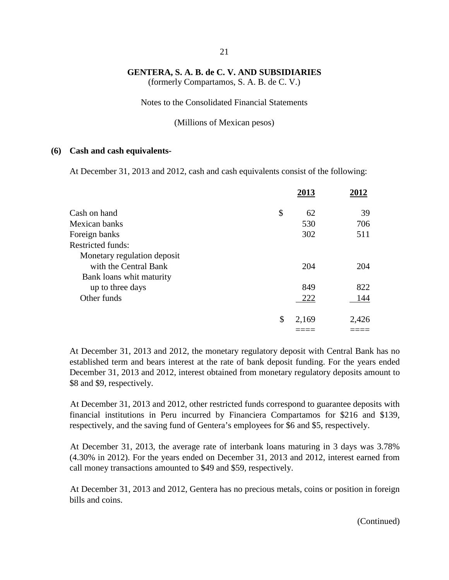(formerly Compartamos, S. A. B. de C. V.)

Notes to the Consolidated Financial Statements

(Millions of Mexican pesos)

#### **(6) Cash and cash equivalents-**

At December 31, 2013 and 2012, cash and cash equivalents consist of the following:

|                             | 2013        | 2012  |
|-----------------------------|-------------|-------|
| Cash on hand                | \$<br>62    | 39    |
| Mexican banks               | 530         | 706   |
| Foreign banks               | 302         | 511   |
| <b>Restricted funds:</b>    |             |       |
| Monetary regulation deposit |             |       |
| with the Central Bank       | 204         | 204   |
| Bank loans whit maturity    |             |       |
| up to three days            | 849         | 822   |
| Other funds                 | 222         | 144   |
|                             | \$<br>2,169 | 2,426 |
|                             |             |       |

At December 31, 2013 and 2012, the monetary regulatory deposit with Central Bank has no established term and bears interest at the rate of bank deposit funding. For the years ended December 31, 2013 and 2012, interest obtained from monetary regulatory deposits amount to \$8 and \$9, respectively.

At December 31, 2013 and 2012, other restricted funds correspond to guarantee deposits with financial institutions in Peru incurred by Financiera Compartamos for \$216 and \$139, respectively, and the saving fund of Gentera's employees for \$6 and \$5, respectively.

At December 31, 2013, the average rate of interbank loans maturing in 3 days was 3.78% (4.30% in 2012). For the years ended on December 31, 2013 and 2012, interest earned from call money transactions amounted to \$49 and \$59, respectively.

At December 31, 2013 and 2012, Gentera has no precious metals, coins or position in foreign bills and coins.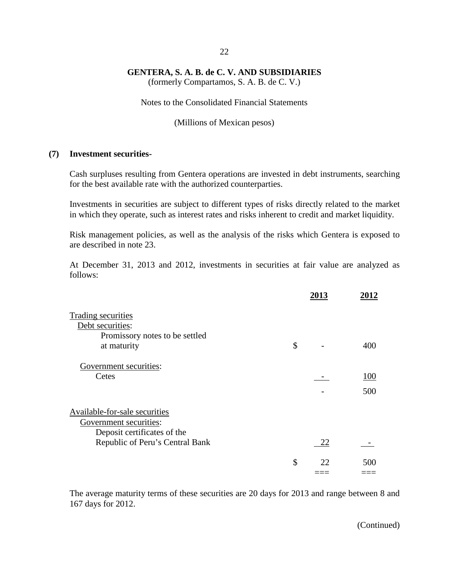(formerly Compartamos, S. A. B. de C. V.)

Notes to the Consolidated Financial Statements

(Millions of Mexican pesos)

#### **(7) Investment securities-**

Cash surpluses resulting from Gentera operations are invested in debt instruments, searching for the best available rate with the authorized counterparties.

Investments in securities are subject to different types of risks directly related to the market in which they operate, such as interest rates and risks inherent to credit and market liquidity.

Risk management policies, as well as the analysis of the risks which Gentera is exposed to are described in note 23.

At December 31, 2013 and 2012, investments in securities at fair value are analyzed as follows:

|                                 | 2013     | 2012 |
|---------------------------------|----------|------|
| Trading securities              |          |      |
| Debt securities:                |          |      |
| Promissory notes to be settled  |          |      |
| at maturity                     | \$       | 400  |
| Government securities:          |          |      |
| Cetes                           |          | 100  |
|                                 |          | 500  |
| Available-for-sale securities   |          |      |
| Government securities:          |          |      |
| Deposit certificates of the     |          |      |
| Republic of Peru's Central Bank | 22       |      |
|                                 | \$<br>22 | 500  |
|                                 |          |      |

The average maturity terms of these securities are 20 days for 2013 and range between 8 and 167 days for 2012.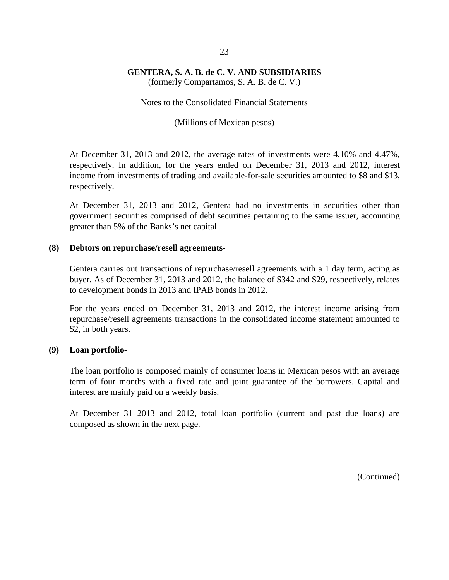(formerly Compartamos, S. A. B. de C. V.)

Notes to the Consolidated Financial Statements

(Millions of Mexican pesos)

At December 31, 2013 and 2012, the average rates of investments were 4.10% and 4.47%, respectively. In addition, for the years ended on December 31, 2013 and 2012, interest income from investments of trading and available-for-sale securities amounted to \$8 and \$13, respectively.

At December 31, 2013 and 2012, Gentera had no investments in securities other than government securities comprised of debt securities pertaining to the same issuer, accounting greater than 5% of the Banks's net capital.

### **(8) Debtors on repurchase/resell agreements-**

Gentera carries out transactions of repurchase/resell agreements with a 1 day term, acting as buyer. As of December 31, 2013 and 2012, the balance of \$342 and \$29, respectively, relates to development bonds in 2013 and IPAB bonds in 2012.

For the years ended on December 31, 2013 and 2012, the interest income arising from repurchase/resell agreements transactions in the consolidated income statement amounted to \$2, in both years.

### **(9) Loan portfolio-**

The loan portfolio is composed mainly of consumer loans in Mexican pesos with an average term of four months with a fixed rate and joint guarantee of the borrowers. Capital and interest are mainly paid on a weekly basis.

At December 31 2013 and 2012, total loan portfolio (current and past due loans) are composed as shown in the next page.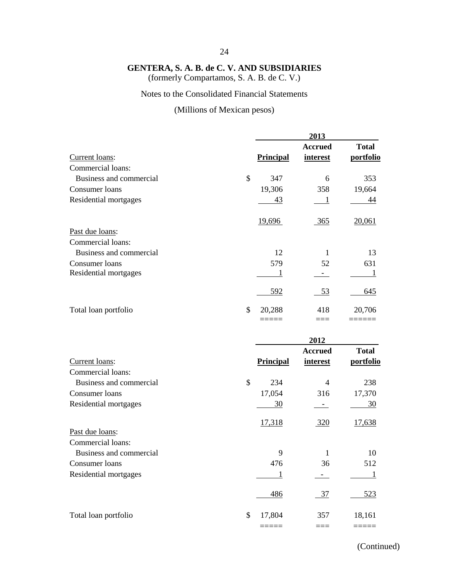(formerly Compartamos, S. A. B. de C. V.)

# Notes to the Consolidated Financial Statements

# (Millions of Mexican pesos)

|                                              |                  | 2013                       |                           |
|----------------------------------------------|------------------|----------------------------|---------------------------|
| Current loans:                               | Principal        | <b>Accrued</b><br>interest | <b>Total</b><br>portfolio |
| Commercial loans:                            |                  |                            |                           |
| Business and commercial                      | \$<br>347        | 6                          | 353                       |
| Consumer loans                               | 19,306           | 358                        | 19,664                    |
| Residential mortgages                        | 43               | $\overline{1}$             | 44                        |
|                                              | 19,696           | 365                        | 20,061                    |
| Past due loans:                              |                  |                            |                           |
| Commercial loans:                            |                  |                            |                           |
| Business and commercial                      | 12               | 1                          | 13                        |
| Consumer loans                               | 579              | 52                         | 631                       |
| Residential mortgages                        | 1                | - 1                        | 1                         |
|                                              | 592              | 53                         | 645                       |
| Total loan portfolio                         | \$<br>20,288     | 418                        | 20,706                    |
|                                              | =====            | $==$                       |                           |
|                                              |                  | 2012                       |                           |
|                                              |                  | <b>Accrued</b>             | <b>Total</b>              |
| Current loans:<br>Commercial loans:          | <b>Principal</b> | <i>interest</i>            | portfolio                 |
| Business and commercial                      | \$<br>234        | $\overline{4}$             | 238                       |
| Consumer loans                               | 17,054           | 316                        | 17,370                    |
| Residential mortgages                        | 30               | $\sim$                     | 30                        |
|                                              | 17,318           | 320                        | <u>17,638</u>             |
| Past due loans:                              |                  |                            |                           |
| Commercial loans:<br>Business and commercial | 9                | $\mathbf{1}$               | 10                        |
| Consumer loans                               | 476              | 36                         | 512                       |
| Residential mortgages                        |                  |                            | 1                         |

Total loan portfolio \$ 17,804 357 18,161

486 37 523

===== === =====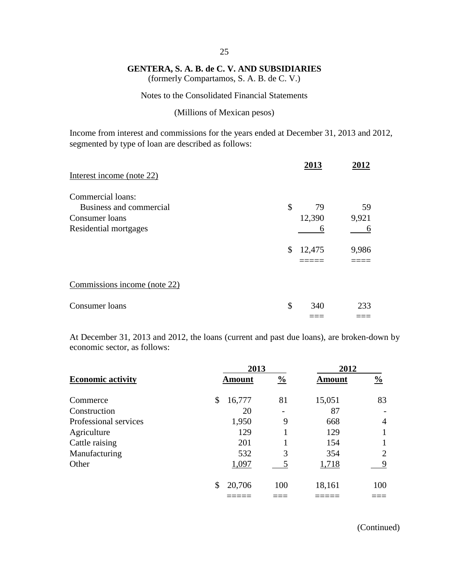(formerly Compartamos, S. A. B. de C. V.)

#### Notes to the Consolidated Financial Statements

#### (Millions of Mexican pesos)

Income from interest and commissions for the years ended at December 31, 2013 and 2012, segmented by type of loan are described as follows:

| Interest income (note 22)                 | 2013               |             |
|-------------------------------------------|--------------------|-------------|
| Commercial loans:                         |                    |             |
| Business and commercial<br>Consumer loans | \$<br>79<br>12,390 | 59<br>9,921 |
| Residential mortgages                     | 6                  | h           |
|                                           | \$<br>12,475       | 9,986       |
|                                           |                    |             |
| Commissions income (note 22)              |                    |             |
| Consumer loans                            | \$<br>340          | 233         |
|                                           |                    |             |

At December 31, 2013 and 2012, the loans (current and past due loans), are broken-down by economic sector, as follows:

|                          | 2013          |               | 2012          |                |  |
|--------------------------|---------------|---------------|---------------|----------------|--|
| <b>Economic activity</b> | <b>Amount</b> | $\frac{0}{0}$ | <b>Amount</b> | $\frac{0}{0}$  |  |
| Commerce                 | 16,777<br>\$  | 81            | 15,051        | 83             |  |
| Construction             | 20            |               | 87            |                |  |
| Professional services    | 1,950         | 9             | 668           | $\overline{4}$ |  |
| Agriculture              | 129           |               | 129           |                |  |
| Cattle raising           | 201           |               | 154           |                |  |
| Manufacturing            | 532           | 3             | 354           | $\overline{2}$ |  |
| Other                    | 1,097         |               | 1,718         | 9              |  |
|                          | 20,706<br>\$  | 100           | 18,161        | 100            |  |
|                          |               |               |               |                |  |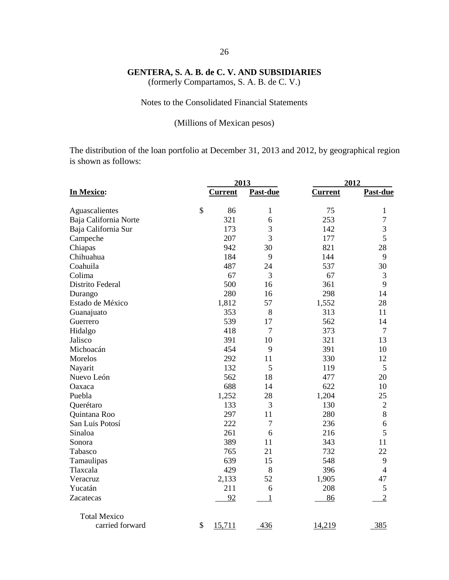(formerly Compartamos, S. A. B. de C. V.)

# Notes to the Consolidated Financial Statements

## (Millions of Mexican pesos)

The distribution of the loan portfolio at December 31, 2013 and 2012, by geographical region is shown as follows:

|                       | 2013           |                 | 2012           |                 |  |
|-----------------------|----------------|-----------------|----------------|-----------------|--|
| In Mexico:            | <b>Current</b> | <b>Past-due</b> | <b>Current</b> | <b>Past-due</b> |  |
| Aguascalientes        | \$<br>86       | $\mathbf{1}$    | 75             | $\mathbf{1}$    |  |
| Baja California Norte | 321            | 6               | 253            | $\overline{7}$  |  |
| Baja California Sur   | 173            | 3               | 142            | 3               |  |
| Campeche              | 207            | 3               | 177            | 5               |  |
| Chiapas               | 942            | 30              | 821            | 28              |  |
| Chihuahua             | 184            | 9               | 144            | 9               |  |
| Coahuila              | 487            | 24              | 537            | 30              |  |
| Colima                | 67             | 3               | 67             | 3               |  |
| Distrito Federal      | 500            | 16              | 361            | 9               |  |
| Durango               | 280            | 16              | 298            | 14              |  |
| Estado de México      | 1,812          | 57              | 1,552          | 28              |  |
| Guanajuato            | 353            | 8               | 313            | 11              |  |
| Guerrero              | 539            | 17              | 562            | 14              |  |
| Hidalgo               | 418            | 7               | 373            | $\tau$          |  |
| Jalisco               | 391            | 10              | 321            | 13              |  |
| Michoacán             | 454            | 9               | 391            | 10              |  |
| Morelos               | 292            | 11              | 330            | 12              |  |
| Nayarit               | 132            | 5               | 119            | 5               |  |
| Nuevo León            | 562            | 18              | 477            | 20              |  |
| Oaxaca                | 688            | 14              | 622            | 10              |  |
| Puebla                | 1,252          | 28              | 1,204          | 25              |  |
| Querétaro             | 133            | 3               | 130            | $\mathbf{2}$    |  |
| Quintana Roo          | 297            | 11              | 280            | 8               |  |
| San Luis Potosí       | 222            | 7               | 236            | 6               |  |
| Sinaloa               | 261            | 6               | 216            | 5               |  |
| Sonora                | 389            | 11              | 343            | 11              |  |
| Tabasco               | 765            | 21              | 732            | 22              |  |
| Tamaulipas            | 639            | 15              | 548            | 9               |  |
| Tlaxcala              | 429            | 8               | 396            | $\overline{4}$  |  |
| Veracruz              | 2,133          | 52              | 1,905          | 47              |  |
| Yucatán               | 211            | 6               | 208            | 5               |  |
| Zacatecas             | 92             | $\mathbf{1}$    | 86             | $\overline{2}$  |  |
| <b>Total Mexico</b>   |                |                 |                |                 |  |
| carried forward       | \$<br>15,711   | 436             | 14,219         | 385             |  |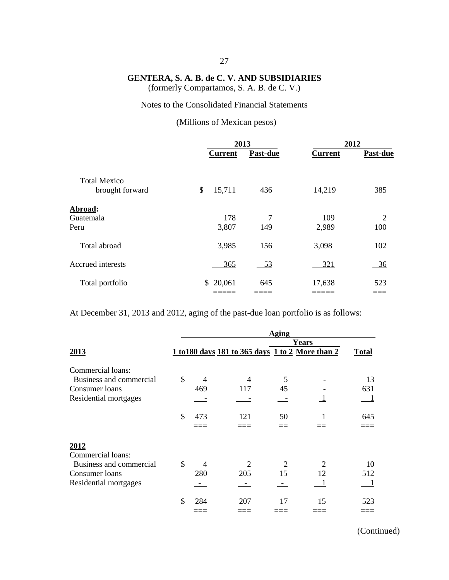(formerly Compartamos, S. A. B. de C. V.)

# Notes to the Consolidated Financial Statements

## (Millions of Mexican pesos)

|                                        |                | 2013     |                | 2012                  |  |
|----------------------------------------|----------------|----------|----------------|-----------------------|--|
|                                        | <b>Current</b> | Past-due | <b>Current</b> | <b>Past-due</b>       |  |
| <b>Total Mexico</b><br>brought forward | \$<br>15,711   | 436      | 14,219         | 385                   |  |
| Abroad:<br>Guatemala<br>Peru           | 178<br>3,807   | 7<br>149 | 109<br>2,989   | $\overline{2}$<br>100 |  |
| Total abroad                           | 3,985          | 156      | 3,098          | 102                   |  |
| Accrued interests                      | 365            | 53       | 321            | 36                    |  |
| Total portfolio                        | 20,061<br>\$   | 645      | 17,638         | 523                   |  |

At December 31, 2013 and 2012, aging of the past-due loan portfolio is as follows:

|                         | Aging         |     |                                                  |       |    |              |  |  |
|-------------------------|---------------|-----|--------------------------------------------------|-------|----|--------------|--|--|
| 2013                    |               |     |                                                  | Years |    |              |  |  |
|                         |               |     | 1 to 180 days 181 to 365 days 1 to 2 More than 2 |       |    | <b>Total</b> |  |  |
| Commercial loans:       |               |     |                                                  |       |    |              |  |  |
| Business and commercial | \$            | 4   |                                                  | 5     |    | 13           |  |  |
| Consumer loans          |               | 469 | 117                                              | 45    |    | 631          |  |  |
| Residential mortgages   |               |     |                                                  |       |    |              |  |  |
|                         | \$            | 473 | 121                                              | 50    |    | 645          |  |  |
|                         |               |     |                                                  |       |    |              |  |  |
| 2012                    |               |     |                                                  |       |    |              |  |  |
| Commercial loans:       |               |     |                                                  |       |    |              |  |  |
| Business and commercial | $\mathcal{S}$ | 4   |                                                  | 2     |    | 10           |  |  |
| Consumer loans          |               | 280 | 205                                              | 15    | 12 | 512          |  |  |
| Residential mortgages   |               |     |                                                  |       |    |              |  |  |
|                         | \$            | 284 | 207                                              | 17    | 15 | 523          |  |  |
|                         |               |     |                                                  |       |    |              |  |  |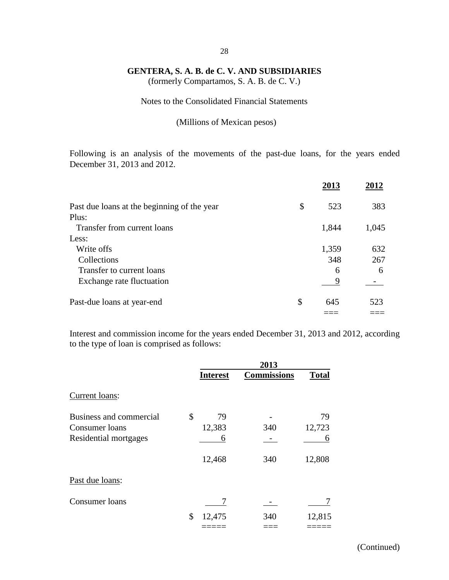(formerly Compartamos, S. A. B. de C. V.)

### Notes to the Consolidated Financial Statements

#### (Millions of Mexican pesos)

Following is an analysis of the movements of the past-due loans, for the years ended December 31, 2013 and 2012.

|                                             | 2013      |       |
|---------------------------------------------|-----------|-------|
| Past due loans at the beginning of the year | \$<br>523 | 383   |
| Plus:                                       |           |       |
| Transfer from current loans                 | 1,844     | 1,045 |
| Less:                                       |           |       |
| Write offs                                  | 1,359     | 632   |
| Collections                                 | 348       | 267   |
| Transfer to current loans                   | 6         | 6     |
| Exchange rate fluctuation                   | 9         |       |
| Past-due loans at year-end                  | \$<br>645 | 523   |
|                                             |           |       |

Interest and commission income for the years ended December 31, 2013 and 2012, according to the type of loan is comprised as follows:

|                         | 2013            |                    |              |  |  |
|-------------------------|-----------------|--------------------|--------------|--|--|
|                         | <b>Interest</b> | <b>Commissions</b> | <b>Total</b> |  |  |
| Current loans:          |                 |                    |              |  |  |
| Business and commercial | \$<br>79        |                    | 79           |  |  |
| Consumer loans          | 12,383          | 340                | 12,723       |  |  |
| Residential mortgages   | 6               |                    | 6            |  |  |
|                         | 12,468          | 340                | 12,808       |  |  |
| Past due loans:         |                 |                    |              |  |  |
| Consumer loans          |                 |                    |              |  |  |
|                         | \$<br>12,475    | 340                | 12,815       |  |  |
|                         |                 |                    |              |  |  |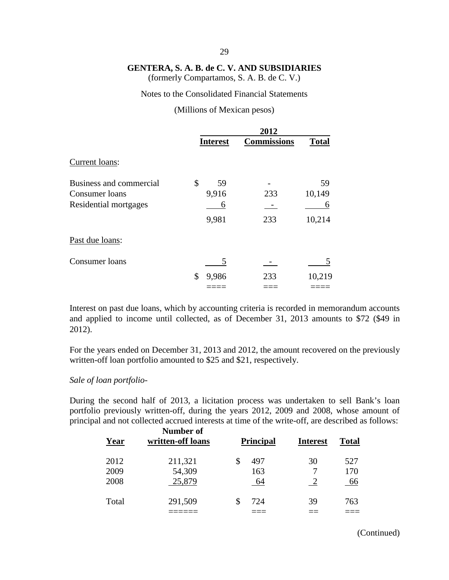(formerly Compartamos, S. A. B. de C. V.)

#### Notes to the Consolidated Financial Statements

#### (Millions of Mexican pesos)

|                         | 2012            |                    |              |  |  |
|-------------------------|-----------------|--------------------|--------------|--|--|
|                         | <b>Interest</b> | <b>Commissions</b> | <b>Total</b> |  |  |
| Current loans:          |                 |                    |              |  |  |
| Business and commercial | \$<br>59        |                    | 59           |  |  |
| Consumer loans          | 9,916           | 233                | 10,149       |  |  |
| Residential mortgages   | 6               |                    | 6            |  |  |
|                         | 9,981           | 233                | 10,214       |  |  |
| Past due loans:         |                 |                    |              |  |  |
| Consumer loans          | 5               |                    |              |  |  |
|                         | \$<br>9,986     | 233                | 10,219       |  |  |
|                         |                 |                    |              |  |  |

Interest on past due loans, which by accounting criteria is recorded in memorandum accounts and applied to income until collected, as of December 31, 2013 amounts to \$72 (\$49 in 2012).

For the years ended on December 31, 2013 and 2012, the amount recovered on the previously written-off loan portfolio amounted to \$25 and \$21, respectively.

#### *Sale of loan portfolio-*

During the second half of 2013, a licitation process was undertaken to sell Bank's loan portfolio previously written-off, during the years 2012, 2009 and 2008, whose amount of principal and not collected accrued interests at time of the write-off, are described as follows:

| Year  | Number of<br>written-off loans | <b>Principal</b> |     | <b>Interest</b> | <b>Total</b> |  |
|-------|--------------------------------|------------------|-----|-----------------|--------------|--|
| 2012  | 211,321                        |                  | 497 | 30              | 527          |  |
| 2009  | 54,309                         |                  | 163 |                 | 170          |  |
| 2008  | 25,879                         |                  | 64  |                 | 66           |  |
| Total | 291,509                        |                  | 724 | 39              | 763          |  |
|       |                                |                  |     |                 |              |  |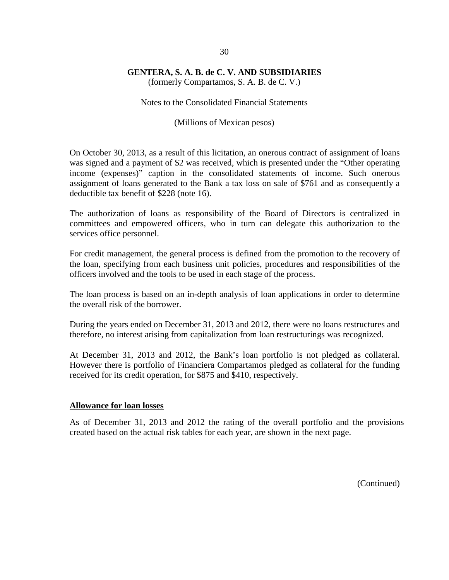(formerly Compartamos, S. A. B. de C. V.)

Notes to the Consolidated Financial Statements

(Millions of Mexican pesos)

On October 30, 2013, as a result of this licitation, an onerous contract of assignment of loans was signed and a payment of \$2 was received, which is presented under the "Other operating income (expenses)" caption in the consolidated statements of income. Such onerous assignment of loans generated to the Bank a tax loss on sale of \$761 and as consequently a deductible tax benefit of \$228 (note 16).

The authorization of loans as responsibility of the Board of Directors is centralized in committees and empowered officers, who in turn can delegate this authorization to the services office personnel.

For credit management, the general process is defined from the promotion to the recovery of the loan, specifying from each business unit policies, procedures and responsibilities of the officers involved and the tools to be used in each stage of the process.

The loan process is based on an in-depth analysis of loan applications in order to determine the overall risk of the borrower.

During the years ended on December 31, 2013 and 2012, there were no loans restructures and therefore, no interest arising from capitalization from loan restructurings was recognized.

At December 31, 2013 and 2012, the Bank's loan portfolio is not pledged as collateral. However there is portfolio of Financiera Compartamos pledged as collateral for the funding received for its credit operation, for \$875 and \$410, respectively.

#### **Allowance for loan losses**

As of December 31, 2013 and 2012 the rating of the overall portfolio and the provisions created based on the actual risk tables for each year, are shown in the next page.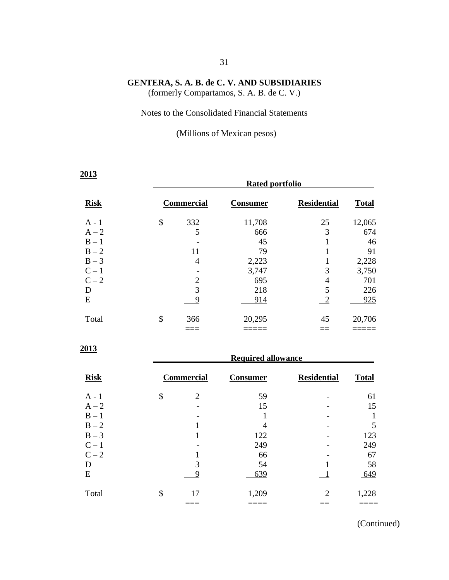(formerly Compartamos, S. A. B. de C. V.)

#### Notes to the Consolidated Financial Statements

(Millions of Mexican pesos)

| 2013        | <b>Rated portfolio</b> |                           |                    |              |  |  |  |  |
|-------------|------------------------|---------------------------|--------------------|--------------|--|--|--|--|
| <b>Risk</b> | <b>Commercial</b>      | <u>Consumer</u>           | <b>Residential</b> | <b>Total</b> |  |  |  |  |
| $A - 1$     | \$<br>332              | 11,708                    | 25                 | 12,065       |  |  |  |  |
| $A - 2$     | 5                      | 666                       | 3                  | 674          |  |  |  |  |
| $B - 1$     |                        | 45                        |                    | 46           |  |  |  |  |
| $B - 2$     | 11                     | 79                        |                    | 91           |  |  |  |  |
| $B-3$       | 4                      | 2,223                     | 1                  | 2,228        |  |  |  |  |
| $C-1$       |                        | 3,747                     | 3                  | 3,750        |  |  |  |  |
| $C-2$       | $\overline{2}$         | 695                       | $\overline{4}$     | 701          |  |  |  |  |
| D           | 3                      | 218                       | 5                  | 226          |  |  |  |  |
| E           | 9                      | 914                       | $\frac{2}{2}$      | 925          |  |  |  |  |
| Total       | \$<br>366              | 20,295                    | 45                 | 20,706       |  |  |  |  |
|             |                        |                           |                    |              |  |  |  |  |
| 2013        |                        | <b>Required allowance</b> |                    |              |  |  |  |  |

| <b>Risk</b> | <b>Commercial</b> | <b>Consumer</b> | <b>Residential</b>          | <b>Total</b> |
|-------------|-------------------|-----------------|-----------------------------|--------------|
| $A - 1$     | \$<br>2           | 59              |                             | 61           |
| $A - 2$     |                   | 15              |                             | 15           |
| $B - 1$     |                   |                 |                             |              |
| $B - 2$     |                   | 4               |                             | 5            |
| $B-3$       |                   | 122             |                             | 123          |
| $C-1$       |                   | 249             |                             | 249          |
| $C-2$       |                   | 66              |                             | 67           |
| D           | 3                 | 54              |                             | 58           |
| E           | g                 | 639             |                             | 649          |
| Total       | \$<br>17          | 1,209           | $\mathcal{D}_{\mathcal{L}}$ | 1,228        |
|             |                   |                 |                             |              |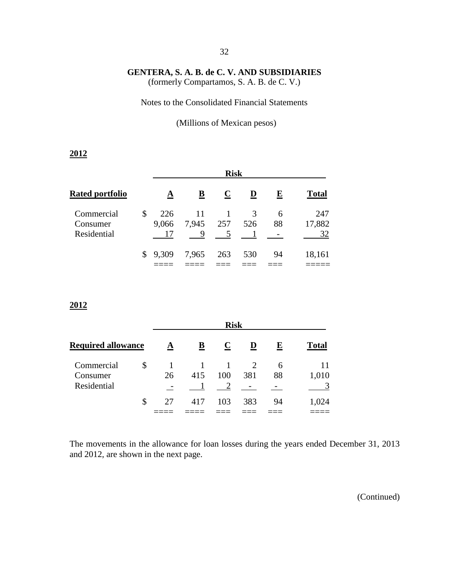(formerly Compartamos, S. A. B. de C. V.)

Notes to the Consolidated Financial Statements

(Millions of Mexican pesos)

#### **2012**

|                                       | <b>Risk</b>        |             |         |          |         |                     |  |
|---------------------------------------|--------------------|-------------|---------|----------|---------|---------------------|--|
| <b>Rated portfolio</b>                | A                  | B           | $\bf C$ | D        | E       | <b>Total</b>        |  |
| Commercial<br>Consumer<br>Residential | \$<br>226<br>9,066 | 11<br>7,945 | 257     | 3<br>526 | 6<br>88 | 247<br>17,882<br>32 |  |
|                                       | \$9,309            | 7,965       | 263     | 530      | 94      | 18,161              |  |

#### **2012**

|                                       |    | <b>Risk</b> |                  |     |          |         |                  |  |  |  |
|---------------------------------------|----|-------------|------------------|-----|----------|---------|------------------|--|--|--|
| <b>Required allowance</b>             |    | A           | $\mathbf C$<br>B |     | D        | E       | <b>Total</b>     |  |  |  |
| Commercial<br>Consumer<br>Residential | \$ | 26          | 415              | 100 | 2<br>381 | 6<br>88 | 11<br>1,010<br>3 |  |  |  |
|                                       | \$ | 27          | 417              | 103 | 383      | 94      | 1,024            |  |  |  |

The movements in the allowance for loan losses during the years ended December 31, 2013 and 2012, are shown in the next page.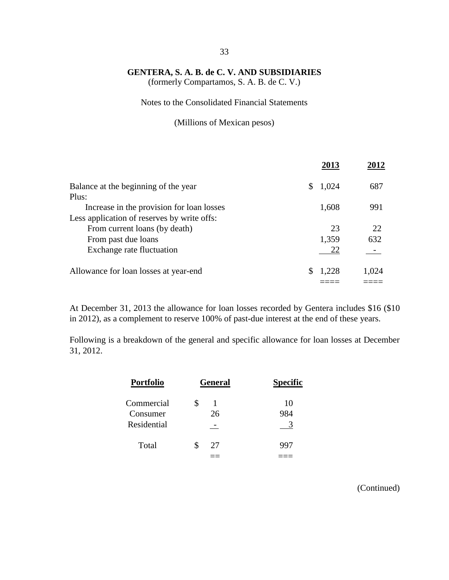(formerly Compartamos, S. A. B. de C. V.)

Notes to the Consolidated Financial Statements

(Millions of Mexican pesos)

|                                             | 2013  |       |
|---------------------------------------------|-------|-------|
| Balance at the beginning of the year        | 1,024 | 687   |
| Plus:                                       |       |       |
| Increase in the provision for loan losses   | 1,608 | 991   |
| Less application of reserves by write offs: |       |       |
| From current loans (by death)               | 23    | 22    |
| From past due loans                         | 1,359 | 632   |
| Exchange rate fluctuation                   | 22    |       |
| Allowance for loan losses at year-end       | 1.228 | 1,024 |
|                                             |       |       |
|                                             |       |       |

At December 31, 2013 the allowance for loan losses recorded by Gentera includes \$16 (\$10 in 2012), as a complement to reserve 100% of past-due interest at the end of these years.

Following is a breakdown of the general and specific allowance for loan losses at December 31, 2012.

| <b>Portfolio</b> | <b>General</b> | <b>Specific</b> |
|------------------|----------------|-----------------|
| Commercial       | 1              | 10              |
| Consumer         | 26             | 984             |
| Residential      |                |                 |
| Total            | 27             |                 |
|                  |                |                 |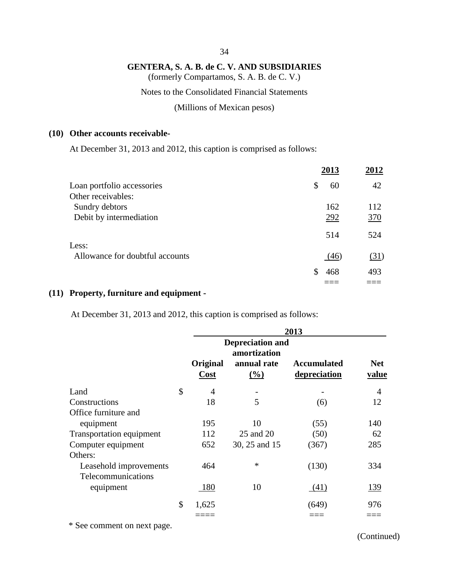(formerly Compartamos, S. A. B. de C. V.)

Notes to the Consolidated Financial Statements

(Millions of Mexican pesos)

#### **(10) Other accounts receivable-**

At December 31, 2013 and 2012, this caption is comprised as follows:

|                                 | 2013      | 2012 |
|---------------------------------|-----------|------|
| Loan portfolio accessories      | \$<br>60  | 42   |
| Other receivables:              |           |      |
| Sundry debtors                  | 162       | 112  |
| Debit by intermediation         | 292       | 370  |
|                                 | 514       | 524  |
| Less:                           |           |      |
| Allowance for doubtful accounts | (46)      | (31) |
|                                 | \$<br>468 | 493  |
|                                 |           |      |

#### **(11) Property, furniture and equipment -**

At December 31, 2013 and 2012, this caption is comprised as follows:

|                                 | 2013 |                                         |                              |                                    |                     |  |  |
|---------------------------------|------|-----------------------------------------|------------------------------|------------------------------------|---------------------|--|--|
|                                 |      | <b>Depreciation and</b><br>amortization |                              |                                    |                     |  |  |
|                                 |      | Original<br><b>Cost</b>                 | annual rate<br>$\frac{0}{0}$ | <b>Accumulated</b><br>depreciation | <b>Net</b><br>value |  |  |
| Land                            | \$   | 4                                       |                              |                                    | 4                   |  |  |
| Constructions                   |      | 18                                      | 5                            | (6)                                | 12                  |  |  |
| Office furniture and            |      |                                         |                              |                                    |                     |  |  |
| equipment                       |      | 195                                     | 10                           | (55)                               | 140                 |  |  |
| <b>Transportation equipment</b> |      | 112                                     | 25 and 20                    | (50)                               | 62                  |  |  |
| Computer equipment              |      | 652                                     | 30, 25 and 15                | (367)                              | 285                 |  |  |
| Others:                         |      |                                         |                              |                                    |                     |  |  |
| Leasehold improvements          |      | 464                                     | $\ast$                       | (130)                              | 334                 |  |  |
| Telecommunications              |      |                                         |                              |                                    |                     |  |  |
| equipment                       |      | 180                                     | 10                           | (41)                               | <u>139</u>          |  |  |
|                                 | \$   | 1,625                                   |                              | (649)                              | 976                 |  |  |
|                                 |      |                                         |                              |                                    |                     |  |  |

\* See comment on next page.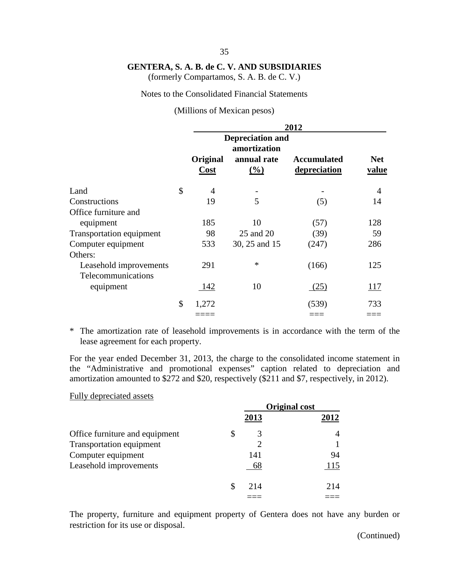(formerly Compartamos, S. A. B. de C. V.)

#### Notes to the Consolidated Financial Statements

(Millions of Mexican pesos)

|                                              | 2012                                |                    |                                    |                            |  |  |
|----------------------------------------------|-------------------------------------|--------------------|------------------------------------|----------------------------|--|--|
|                                              | <b>Depreciation and</b><br>Original |                    |                                    |                            |  |  |
|                                              | Cost                                | annual rate<br>(%) | <b>Accumulated</b><br>depreciation | <b>Net</b><br><u>value</u> |  |  |
| Land                                         | \$<br>4                             |                    |                                    | $\overline{4}$             |  |  |
| Constructions                                | 19                                  | 5                  | (5)                                | 14                         |  |  |
| Office furniture and                         |                                     |                    |                                    |                            |  |  |
| equipment                                    | 185                                 | 10                 | (57)                               | 128                        |  |  |
| <b>Transportation equipment</b>              | 98                                  | 25 and 20          | (39)                               | 59                         |  |  |
| Computer equipment<br>Others:                | 533                                 | 30, 25 and 15      | (247)                              | 286                        |  |  |
| Leasehold improvements<br>Telecommunications | 291                                 | $\ast$             | (166)                              | 125                        |  |  |
| equipment                                    | 142                                 | 10                 | (25)                               | <u> 117</u>                |  |  |
|                                              | \$<br>1,272                         |                    | (539)                              | 733                        |  |  |
|                                              |                                     |                    |                                    |                            |  |  |

\* The amortization rate of leasehold improvements is in accordance with the term of the lease agreement for each property.

For the year ended December 31, 2013, the charge to the consolidated income statement in the "Administrative and promotional expenses" caption related to depreciation and amortization amounted to \$272 and \$20, respectively (\$211 and \$7, respectively, in 2012).

#### Fully depreciated assets

|                                |         | <b>Original cost</b> |
|--------------------------------|---------|----------------------|
|                                | 2013    | 2012                 |
| Office furniture and equipment | \$<br>3 |                      |
| Transportation equipment       |         |                      |
| Computer equipment             | 141     | 94                   |
| Leasehold improvements         | 68      | 115                  |
|                                | 214     | 214                  |
|                                |         |                      |

The property, furniture and equipment property of Gentera does not have any burden or restriction for its use or disposal.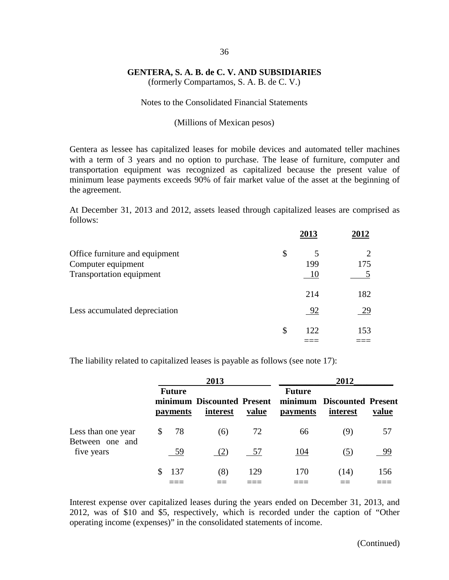(formerly Compartamos, S. A. B. de C. V.)

#### Notes to the Consolidated Financial Statements

#### (Millions of Mexican pesos)

Gentera as lessee has capitalized leases for mobile devices and automated teller machines with a term of 3 years and no option to purchase. The lease of furniture, computer and transportation equipment was recognized as capitalized because the present value of minimum lease payments exceeds 90% of fair market value of the asset at the beginning of the agreement.

At December 31, 2013 and 2012, assets leased through capitalized leases are comprised as follows:

|                                                                                  | 2013      | 2012      |
|----------------------------------------------------------------------------------|-----------|-----------|
| Office furniture and equipment<br>Computer equipment<br>Transportation equipment | \$<br>199 | 175       |
| Less accumulated depreciation                                                    | 214<br>92 | 182<br>29 |
|                                                                                  | \$<br>122 | 153       |

The liability related to capitalized leases is payable as follows (see note 17):

|                                       |   |                                  | 2013                                   |       | 2012                      |                                        |       |  |
|---------------------------------------|---|----------------------------------|----------------------------------------|-------|---------------------------|----------------------------------------|-------|--|
|                                       |   | <b>Future</b><br><i>payments</i> | minimum Discounted Present<br>interest | value | <b>Future</b><br>payments | minimum Discounted Present<br>interest | value |  |
| Less than one year<br>Between one and | S | 78                               | (6)                                    | 72    | 66                        | (9)                                    | 57    |  |
| five years                            |   | -59                              | (2)                                    | - 57  | 104                       | (5)                                    | 99    |  |
|                                       |   | 137                              | (8)                                    | 129   | 170                       | (14)                                   | 156   |  |

Interest expense over capitalized leases during the years ended on December 31, 2013, and 2012, was of \$10 and \$5, respectively, which is recorded under the caption of "Other operating income (expenses)" in the consolidated statements of income.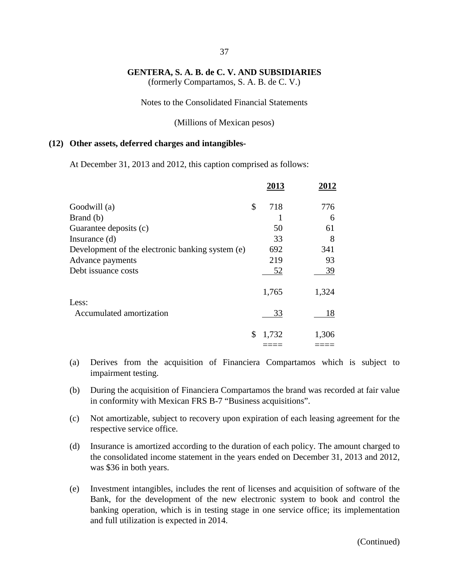(formerly Compartamos, S. A. B. de C. V.)

Notes to the Consolidated Financial Statements

(Millions of Mexican pesos)

#### **(12) Other assets, deferred charges and intangibles-**

At December 31, 2013 and 2012, this caption comprised as follows:

|                                                  | 2013        | 2012  |
|--------------------------------------------------|-------------|-------|
| Goodwill (a)                                     | \$<br>718   | 776   |
| Brand (b)                                        |             | 6     |
| Guarantee deposits (c)                           | 50          | 61    |
| Insurance $(d)$                                  | 33          | 8     |
| Development of the electronic banking system (e) | 692         | 341   |
| Advance payments                                 | 219         | 93    |
| Debt issuance costs                              | 52          | 39    |
|                                                  | 1,765       | 1,324 |
| Less:                                            |             |       |
| Accumulated amortization                         | 33          | 18    |
|                                                  | \$<br>1,732 | 1,306 |
|                                                  |             |       |

- (a) Derives from the acquisition of Financiera Compartamos which is subject to impairment testing.
- (b) During the acquisition of Financiera Compartamos the brand was recorded at fair value in conformity with Mexican FRS B-7 "Business acquisitions".
- (c) Not amortizable, subject to recovery upon expiration of each leasing agreement for the respective service office.
- (d) Insurance is amortized according to the duration of each policy. The amount charged to the consolidated income statement in the years ended on December 31, 2013 and 2012, was \$36 in both years.
- (e) Investment intangibles, includes the rent of licenses and acquisition of software of the Bank, for the development of the new electronic system to book and control the banking operation, which is in testing stage in one service office; its implementation and full utilization is expected in 2014.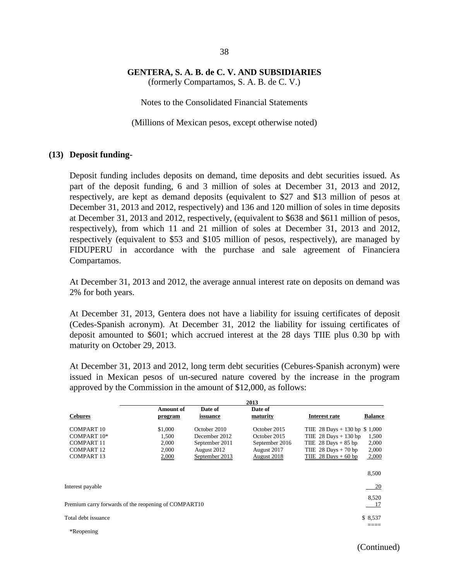(formerly Compartamos, S. A. B. de C. V.)

Notes to the Consolidated Financial Statements

(Millions of Mexican pesos, except otherwise noted)

#### **(13) Deposit funding-**

Deposit funding includes deposits on demand, time deposits and debt securities issued. As part of the deposit funding, 6 and 3 million of soles at December 31, 2013 and 2012, respectively, are kept as demand deposits (equivalent to \$27 and \$13 million of pesos at December 31, 2013 and 2012, respectively) and 136 and 120 million of soles in time deposits at December 31, 2013 and 2012, respectively, (equivalent to \$638 and \$611 million of pesos, respectively), from which 11 and 21 million of soles at December 31, 2013 and 2012, respectively (equivalent to \$53 and \$105 million of pesos, respectively), are managed by FIDUPERU in accordance with the purchase and sale agreement of Financiera Compartamos.

At December 31, 2013 and 2012, the average annual interest rate on deposits on demand was 2% for both years.

At December 31, 2013, Gentera does not have a liability for issuing certificates of deposit (Cedes-Spanish acronym). At December 31, 2012 the liability for issuing certificates of deposit amounted to \$601; which accrued interest at the 28 days TIIE plus 0.30 bp with maturity on October 29, 2013.

At December 31, 2013 and 2012, long term debt securities (Cebures-Spanish acronym) were issued in Mexican pesos of un-secured nature covered by the increase in the program approved by the Commission in the amount of \$12,000, as follows:

|                                                                                          |                                                      |                                                                                  | 2013                                                                                |                                                                                                                                      |                                  |
|------------------------------------------------------------------------------------------|------------------------------------------------------|----------------------------------------------------------------------------------|-------------------------------------------------------------------------------------|--------------------------------------------------------------------------------------------------------------------------------------|----------------------------------|
| <b>Cebures</b>                                                                           | <b>Amount of</b><br>program                          | Date of<br>issuance                                                              | Date of<br>maturity                                                                 | Interest rate                                                                                                                        | <b>Balance</b>                   |
| COMPART 10<br>COMPART 10*<br><b>COMPART 11</b><br><b>COMPART 12</b><br><b>COMPART 13</b> | \$1,000<br>1,500<br>2,000<br>2,000<br>2,000          | October 2010<br>December 2012<br>September 2011<br>August 2012<br>September 2013 | October 2015<br>October 2015<br>September 2016<br>August 2017<br><b>August 2018</b> | THE 28 Days + 130 bp $$1,000$<br>THE $28$ Days + 130 bp<br>TIIE $28$ Days + 85 bp<br>THE $28$ Days + 70 bp<br>TIIE $28$ Days + 60 bp | 1,500<br>2,000<br>2,000<br>2,000 |
| Interest payable                                                                         |                                                      |                                                                                  |                                                                                     |                                                                                                                                      | 8,500<br>20                      |
|                                                                                          | Premium carry forwards of the reopening of COMPART10 |                                                                                  |                                                                                     |                                                                                                                                      | 8,520<br>17                      |
| Total debt issuance<br>*Reopening                                                        |                                                      |                                                                                  |                                                                                     |                                                                                                                                      | \$8,537                          |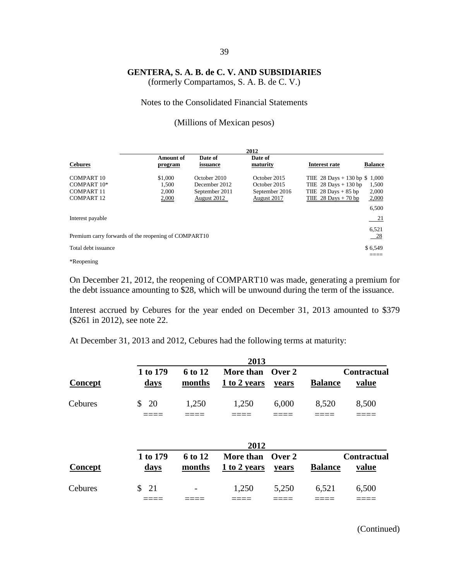(formerly Compartamos, S. A. B. de C. V.)

Notes to the Consolidated Financial Statements

(Millions of Mexican pesos)

|                                                                                    |                                    |                                                                | 2012                                                                 |                                                                                                                |                         |
|------------------------------------------------------------------------------------|------------------------------------|----------------------------------------------------------------|----------------------------------------------------------------------|----------------------------------------------------------------------------------------------------------------|-------------------------|
| <b>Cebures</b>                                                                     | <b>Amount of</b><br>program        | Date of<br>issuance                                            | Date of<br>maturity                                                  | <b>Interest rate</b>                                                                                           | <b>Balance</b>          |
| COMPART <sub>10</sub><br>COMPART 10*<br>COMPART <sub>11</sub><br><b>COMPART 12</b> | \$1,000<br>1.500<br>2.000<br>2,000 | October 2010<br>December 2012<br>September 2011<br>August 2012 | October 2015<br>October 2015<br>September 2016<br><b>August 2017</b> | THE 28 Days $+ 130$ bp \$ 1,000<br>THE $28$ Days + 130 bp<br>TIIE $28$ Days $+85$ bp<br>TIIE $28$ Days + 70 bp | 1,500<br>2,000<br>2,000 |
| Interest payable                                                                   |                                    |                                                                |                                                                      |                                                                                                                | 6,500<br>21             |
| Premium carry forwards of the reopening of COMPART10                               |                                    |                                                                |                                                                      |                                                                                                                | 6,521<br>$-28$          |
| Total debt issuance                                                                |                                    |                                                                |                                                                      |                                                                                                                | \$6,549                 |

\*Reopening

On December 21, 2012, the reopening of COMPART10 was made, generating a premium for the debt issuance amounting to \$28, which will be unwound during the term of the issuance.

Interest accrued by Cebures for the year ended on December 31, 2013 amounted to \$379 (\$261 in 2012), see note 22.

At December 31, 2013 and 2012, Cebures had the following terms at maturity:

|                |                         |                   | 2013                             |       |                |                             |
|----------------|-------------------------|-------------------|----------------------------------|-------|----------------|-----------------------------|
| Concept        | 1 to 179<br><u>days</u> | 6 to 12<br>months | More than Over 2<br>1 to 2 years | years | <b>Balance</b> | <b>Contractual</b><br>value |
| <b>Cebures</b> | 20<br>\$                | 1,250             | 1,250                            | 6,000 | 8,520          | 8,500                       |
|                |                         |                   | 2012                             |       |                |                             |
| Concept        | 1 to 179<br><u>days</u> | 6 to 12<br>months | More than Over 2<br>1 to 2 years | years | <b>Balance</b> | <b>Contractual</b><br>value |
| Cebures        | \$<br>21                |                   | 1,250                            | 5,250 | 6,521          | 6,500                       |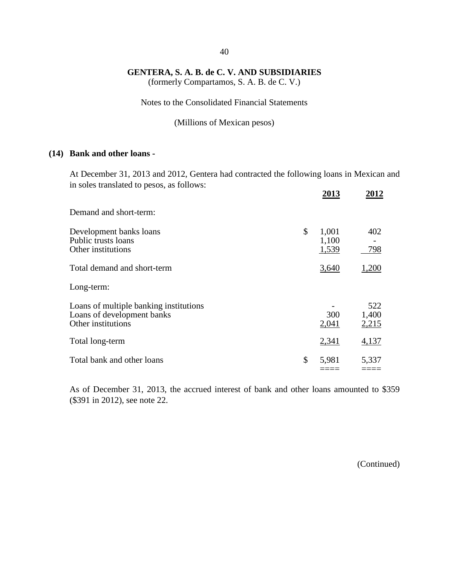(formerly Compartamos, S. A. B. de C. V.)

Notes to the Consolidated Financial Statements

(Millions of Mexican pesos)

#### **(14) Bank and other loans -**

At December 31, 2013 and 2012, Gentera had contracted the following loans in Mexican and in soles translated to pesos, as follows:  **2013 2012**

|                                                                                            | 2013                          | 2012                  |
|--------------------------------------------------------------------------------------------|-------------------------------|-----------------------|
| Demand and short-term:                                                                     |                               |                       |
| Development banks loans<br>Public trusts loans<br>Other institutions                       | \$<br>1,001<br>1,100<br>1,539 | 402<br>798            |
| Total demand and short-term                                                                | 3,640                         | 1,200                 |
| Long-term:                                                                                 |                               |                       |
| Loans of multiple banking institutions<br>Loans of development banks<br>Other institutions | 300<br>2,041                  | 522<br>1,400<br>2,215 |
| Total long-term                                                                            | 2,341                         | 4,137                 |
| Total bank and other loans                                                                 | \$<br>5,981                   | 5,337                 |

As of December 31, 2013, the accrued interest of bank and other loans amounted to \$359 (\$391 in 2012), see note 22.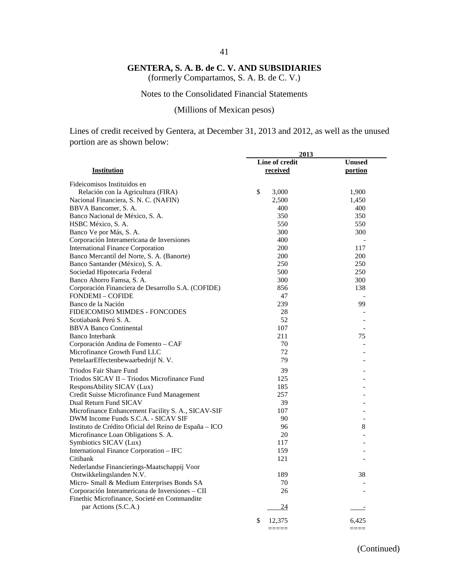#### 41

#### **GENTERA, S. A. B. de C. V. AND SUBSIDIARIES**

(formerly Compartamos, S. A. B. de C. V.)

#### Notes to the Consolidated Financial Statements

(Millions of Mexican pesos)

Lines of credit received by Gentera, at December 31, 2013 and 2012, as well as the unused portion are as shown below:

|                                                                             | 2013           |                     |
|-----------------------------------------------------------------------------|----------------|---------------------|
|                                                                             | Line of credit | <b>Unused</b>       |
| Institution                                                                 | received       | portion             |
| Fideicomisos Instituidos en                                                 |                |                     |
|                                                                             | \$             | 1,900               |
| Relación con la Agricultura (FIRA)<br>Nacional Financiera, S. N. C. (NAFIN) | 3,000<br>2,500 |                     |
|                                                                             | 400            | 1,450<br>400        |
| BBVA Bancomer, S. A.                                                        | 350            | 350                 |
| Banco Nacional de México, S. A.                                             |                |                     |
| HSBC México, S. A.                                                          | 550            | 550                 |
| Banco Ve por Más, S. A.                                                     | 300            | 300                 |
| Corporación Interamericana de Inversiones                                   | 400            |                     |
| <b>International Finance Corporation</b>                                    | 200            | 117                 |
| Banco Mercantil del Norte, S. A. (Banorte)                                  | 200            | 200                 |
| Banco Santander (México), S. A.                                             | 250            | 250                 |
| Sociedad Hipotecaria Federal                                                | 500            | 250                 |
| Banco Ahorro Famsa, S. A.                                                   | 300            | 300                 |
| Corporación Financiera de Desarrollo S.A. (COFIDE)                          | 856            | 138                 |
| <b>FONDEMI-COFIDE</b>                                                       | 47             |                     |
| Banco de la Nación                                                          | 239            | 99                  |
| FIDEICOMISO MIMDES - FONCODES                                               | 28             |                     |
| Scotiabank Perú S. A.                                                       | 52             | $\overline{a}$      |
| <b>BBVA Banco Continental</b>                                               | 107            | $\overline{a}$      |
| <b>Banco Interbank</b>                                                      | 211            | 75                  |
| Corporación Andina de Fomento - CAF                                         | 70             | $\overline{a}$      |
| Microfinance Growth Fund LLC                                                | 72             |                     |
| PettelaarEffectenbewaarbedrijf N.V.                                         | 79             |                     |
| Triodos Fair Share Fund                                                     | 39             |                     |
| Triodos SICAV II - Triodos Microfinance Fund                                | 125            |                     |
| ResponsAbility SICAV (Lux)                                                  | 185            |                     |
| Credit Suisse Microfinance Fund Management                                  | 257            |                     |
| Dual Return Fund SICAV                                                      | 39             |                     |
| Microfinance Enhancement Facility S. A., SICAV-SIF                          | 107            |                     |
| DWM Income Funds S.C.A. - SICAV SIF                                         | 90             |                     |
| Instituto de Crédito Oficial del Reino de España – ICO                      | 96             | 8                   |
| Microfinance Loan Obligations S. A.                                         | 20             |                     |
| Symbiotics SICAV (Lux)                                                      | 117            |                     |
| International Finance Corporation - IFC                                     | 159            |                     |
|                                                                             | 121            |                     |
| Citibank                                                                    |                |                     |
| Nederlandse Financierings-Maatschappij Voor                                 |                |                     |
| Ontwikkelingslanden N.V.                                                    | 189            | 38                  |
| Micro- Small & Medium Enterprises Bonds SA                                  | 70             |                     |
| Corporación Interamericana de Inversiones - CII                             | 26             |                     |
| Finethic Microfinance, Societé en Commandite                                |                |                     |
| par Actions (S.C.A.)                                                        | 24             |                     |
|                                                                             | \$<br>12,375   | 6,425               |
|                                                                             | =====          | $=$ $=$ $=$ $=$ $=$ |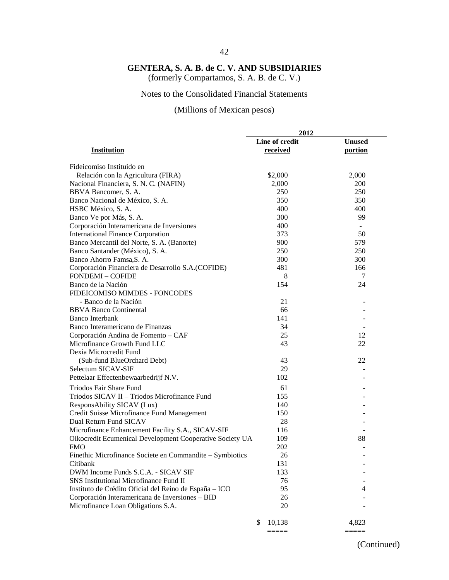### 42

### **GENTERA, S. A. B. de C. V. AND SUBSIDIARIES**

(formerly Compartamos, S. A. B. de C. V.)

#### Notes to the Consolidated Financial Statements

### (Millions of Mexican pesos)

|                                                          | 2012                       |                          |  |
|----------------------------------------------------------|----------------------------|--------------------------|--|
| <b>Institution</b>                                       | Line of credit<br>received | <b>Unused</b><br>portion |  |
| Fideicomiso Instituido en                                |                            |                          |  |
| Relación con la Agricultura (FIRA)                       | \$2,000                    | 2,000                    |  |
| Nacional Financiera, S. N. C. (NAFIN)                    | 2,000                      | 200                      |  |
| BBVA Bancomer, S. A.                                     | 250                        | 250                      |  |
| Banco Nacional de México, S. A.                          | 350                        | 350                      |  |
| HSBC México, S. A.                                       | 400                        | 400                      |  |
| Banco Ve por Más, S. A.                                  | 300                        | 99                       |  |
| Corporación Interamericana de Inversiones                | 400                        |                          |  |
| <b>International Finance Corporation</b>                 | 373                        | 50                       |  |
| Banco Mercantil del Norte, S. A. (Banorte)               | 900                        | 579                      |  |
| Banco Santander (México), S. A.                          | 250                        | 250                      |  |
| Banco Ahorro Famsa, S. A.                                | 300                        | 300                      |  |
| Corporación Financiera de Desarrollo S.A.(COFIDE)        | 481                        | 166                      |  |
| <b>FONDEMI - COFIDE</b>                                  | 8                          | 7                        |  |
| Banco de la Nación                                       | 154                        | 24                       |  |
| FIDEICOMISO MIMDES - FONCODES                            |                            |                          |  |
| - Banco de la Nación                                     | 21                         |                          |  |
| <b>BBVA Banco Continental</b>                            | 66                         |                          |  |
| <b>Banco Interbank</b>                                   | 141                        |                          |  |
| Banco Interamericano de Finanzas                         | 34                         |                          |  |
| Corporación Andina de Fomento - CAF                      | 25                         | 12                       |  |
| Microfinance Growth Fund LLC                             | 43                         | 22                       |  |
| Dexia Microcredit Fund                                   |                            |                          |  |
| (Sub-fund BlueOrchard Debt)                              | 43                         | 22                       |  |
| Selectum SICAV-SIF                                       | 29                         |                          |  |
| Pettelaar Effectenbewaarbedrijf N.V.                     | 102                        |                          |  |
| Triodos Fair Share Fund                                  | 61                         |                          |  |
| Triodos SICAV II - Triodos Microfinance Fund             | 155                        |                          |  |
| ResponsAbility SICAV (Lux)                               | 140                        |                          |  |
| Credit Suisse Microfinance Fund Management               | 150                        |                          |  |
| Dual Return Fund SICAV                                   | 28                         |                          |  |
| Microfinance Enhancement Facility S.A., SICAV-SIF        | 116                        |                          |  |
| Oikocredit Ecumenical Development Cooperative Society UA | 109                        | 88                       |  |
| <b>FMO</b>                                               | 202                        |                          |  |
| Finethic Microfinance Societe en Commandite – Symbiotics | 26                         |                          |  |
| Citibank                                                 | 131                        |                          |  |
| DWM Income Funds S.C.A. - SICAV SIF                      | 133                        |                          |  |
| <b>SNS Institutional Microfinance Fund II</b>            | 76                         |                          |  |
| Instituto de Crédito Oficial del Reino de España - ICO   | 95                         | 4                        |  |
| Corporación Interamericana de Inversiones - BID          | 26                         |                          |  |
| Microfinance Loan Obligations S.A.                       | 20                         |                          |  |
|                                                          | 10,138<br>\$               | 4,823                    |  |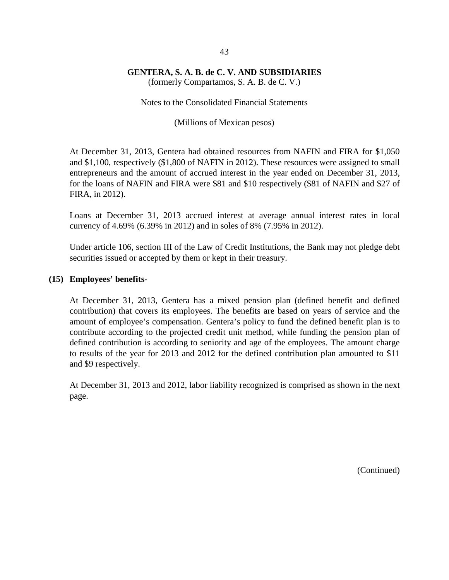(formerly Compartamos, S. A. B. de C. V.)

Notes to the Consolidated Financial Statements

(Millions of Mexican pesos)

At December 31, 2013, Gentera had obtained resources from NAFIN and FIRA for \$1,050 and \$1,100, respectively (\$1,800 of NAFIN in 2012). These resources were assigned to small entrepreneurs and the amount of accrued interest in the year ended on December 31, 2013, for the loans of NAFIN and FIRA were \$81 and \$10 respectively (\$81 of NAFIN and \$27 of FIRA, in 2012).

Loans at December 31, 2013 accrued interest at average annual interest rates in local currency of 4.69% (6.39% in 2012) and in soles of 8% (7.95% in 2012).

Under article 106, section III of the Law of Credit Institutions, the Bank may not pledge debt securities issued or accepted by them or kept in their treasury.

#### **(15) Employees' benefits-**

At December 31, 2013, Gentera has a mixed pension plan (defined benefit and defined contribution) that covers its employees. The benefits are based on years of service and the amount of employee's compensation. Gentera's policy to fund the defined benefit plan is to contribute according to the projected credit unit method, while funding the pension plan of defined contribution is according to seniority and age of the employees. The amount charge to results of the year for 2013 and 2012 for the defined contribution plan amounted to \$11 and \$9 respectively.

At December 31, 2013 and 2012, labor liability recognized is comprised as shown in the next page.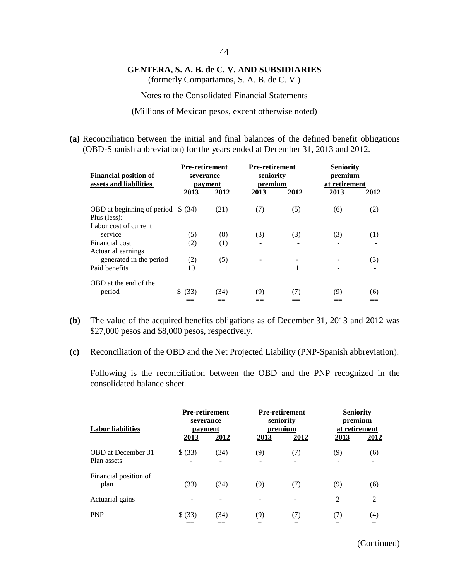(formerly Compartamos, S. A. B. de C. V.)

Notes to the Consolidated Financial Statements

(Millions of Mexican pesos, except otherwise noted)

**(a)** Reconciliation between the initial and final balances of the defined benefit obligations (OBD-Spanish abbreviation) for the years ended at December 31, 2013 and 2012.

| <b>Financial position of</b><br>assets and liabilities | <b>Pre-retirement</b><br>severance<br>payment |      | <b>Pre-retirement</b><br>seniority<br>premium |              | <b>Seniority</b><br>premium<br>at retirement |      |
|--------------------------------------------------------|-----------------------------------------------|------|-----------------------------------------------|--------------|----------------------------------------------|------|
|                                                        | 2013                                          | 2012 | 2013                                          | 2012         | 2013                                         | 2012 |
| OBD at beginning of period $$ (34)$<br>Plus (less):    |                                               | (21) | (7)                                           | (5)          | (6)                                          | (2)  |
| Labor cost of current                                  |                                               |      |                                               |              |                                              |      |
| service                                                | (5)                                           | (8)  | (3)                                           | (3)          | (3)                                          | (1)  |
| Financial cost                                         | (2)                                           | (1)  |                                               |              |                                              |      |
| Actuarial earnings                                     |                                               |      |                                               |              |                                              |      |
| generated in the period                                | (2)                                           | (5)  |                                               |              |                                              | (3)  |
| Paid benefits                                          | 10                                            |      | 1                                             | $\mathbf{1}$ |                                              |      |
| OBD at the end of the                                  |                                               |      |                                               |              |                                              |      |
| period                                                 | (33)                                          | (34) | (9)                                           | (7)          | (9)                                          | (6)  |
|                                                        |                                               |      |                                               |              |                                              |      |

- **(b)** The value of the acquired benefits obligations as of December 31, 2013 and 2012 was \$27,000 pesos and \$8,000 pesos, respectively.
- **(c)** Reconciliation of the OBD and the Net Projected Liability (PNP-Spanish abbreviation).

Following is the reconciliation between the OBD and the PNP recognized in the consolidated balance sheet.

| <b>Labor liabilities</b>                 | <b>Pre-retirement</b><br>severance<br>payment<br>2013 | 2012 | 2013 | <b>Pre-retirement</b><br>seniority<br>premium<br>2012 | 2013           | <b>Seniority</b><br>premium<br>at retirement<br>2012 |
|------------------------------------------|-------------------------------------------------------|------|------|-------------------------------------------------------|----------------|------------------------------------------------------|
| <b>OBD</b> at December 31<br>Plan assets | \$ (33)                                               | (34) | (9)  | (7)                                                   | (9)            | (6)                                                  |
| Financial position of<br>plan            | (33)                                                  | (34) | (9)  | (7)                                                   | (9)            | (6)                                                  |
| Actuarial gains                          |                                                       |      |      |                                                       | $\overline{2}$ | $\overline{2}$                                       |
| <b>PNP</b>                               | \$ (33)                                               | (34) | (9)  | (7)                                                   | (7)            | (4)                                                  |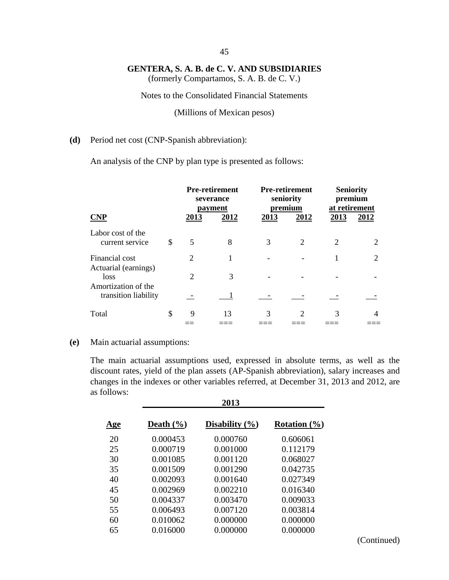(formerly Compartamos, S. A. B. de C. V.)

#### Notes to the Consolidated Financial Statements

(Millions of Mexican pesos)

#### **(d)** Period net cost (CNP-Spanish abbreviation):

An analysis of the CNP by plan type is presented as follows:

|                                                                             |    |                | <b>Pre-retirement</b><br>severance<br>payment |      | <b>Pre-retirement</b><br>seniority<br>premium |                             | <b>Seniority</b><br>premium<br>at retirement |  |
|-----------------------------------------------------------------------------|----|----------------|-----------------------------------------------|------|-----------------------------------------------|-----------------------------|----------------------------------------------|--|
| <b>CNP</b>                                                                  |    | 2013           | 2012                                          | 2013 | 2012                                          | 2013                        | 2012                                         |  |
| Labor cost of the<br>current service                                        | \$ | 5              | 8                                             | 3    | 2                                             | $\mathcal{D}_{\mathcal{L}}$ | 2                                            |  |
| Financial cost                                                              |    | $\overline{c}$ |                                               |      |                                               |                             | 2                                            |  |
| Actuarial (earnings)<br>loss<br>Amortization of the<br>transition liability |    | $\mathcal{D}$  | 3                                             |      |                                               |                             |                                              |  |
|                                                                             |    |                |                                               |      |                                               |                             |                                              |  |
| Total                                                                       | \$ | 9              | 13                                            | 3    | $\mathcal{D}_{\mathcal{L}}$                   | 3                           | 4                                            |  |

#### **(e)** Main actuarial assumptions:

The main actuarial assumptions used, expressed in absolute terms, as well as the discount rates, yield of the plan assets (AP-Spanish abbreviation), salary increases and changes in the indexes or other variables referred, at December 31, 2013 and 2012, are as follows: **2013**

|            | 201J          |                    |                  |  |  |  |  |
|------------|---------------|--------------------|------------------|--|--|--|--|
| <u>Age</u> | Death $(\% )$ | Disability $(\% )$ | Rotation $(\% )$ |  |  |  |  |
| 20         | 0.000453      | 0.000760           | 0.606061         |  |  |  |  |
| 25         | 0.000719      | 0.001000           | 0.112179         |  |  |  |  |
| 30         | 0.001085      | 0.001120           | 0.068027         |  |  |  |  |
| 35         | 0.001509      | 0.001290           | 0.042735         |  |  |  |  |
| 40         | 0.002093      | 0.001640           | 0.027349         |  |  |  |  |
| 45         | 0.002969      | 0.002210           | 0.016340         |  |  |  |  |
| 50         | 0.004337      | 0.003470           | 0.009033         |  |  |  |  |
| 55         | 0.006493      | 0.007120           | 0.003814         |  |  |  |  |
| 60         | 0.010062      | 0.000000           | 0.000000         |  |  |  |  |
| 65         | 0.016000      | 0.000000           | 0.000000         |  |  |  |  |
|            |               |                    |                  |  |  |  |  |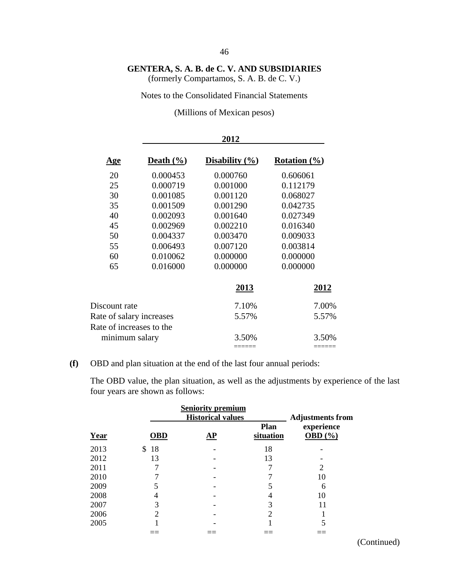(formerly Compartamos, S. A. B. de C. V.)

#### Notes to the Consolidated Financial Statements

(Millions of Mexican pesos)

|                          |               | 2012               |                  |
|--------------------------|---------------|--------------------|------------------|
| <u>Age</u>               | Death $(\% )$ | Disability $(\% )$ | Rotation $(\% )$ |
| 20                       | 0.000453      | 0.000760           | 0.606061         |
| 25                       | 0.000719      | 0.001000           | 0.112179         |
| 30                       | 0.001085      | 0.001120           | 0.068027         |
| 35                       | 0.001509      | 0.001290           | 0.042735         |
| 40                       | 0.002093      | 0.001640           | 0.027349         |
| 45                       | 0.002969      | 0.002210           | 0.016340         |
| 50                       | 0.004337      | 0.003470           | 0.009033         |
| 55                       | 0.006493      | 0.007120           | 0.003814         |
| 60                       | 0.010062      | 0.000000           | 0.000000         |
| 65                       | 0.016000      | 0.000000           | 0.000000         |
|                          |               | 2013               | <u> 2012 </u>    |
| Discount rate            |               | 7.10%              | 7.00%            |
| Rate of salary increases |               | 5.57%              | 5.57%            |
| Rate of increases to the |               |                    |                  |
| minimum salary           |               | 3.50%              | 3.50%            |
|                          |               | =====              |                  |

### **(f)** OBD and plan situation at the end of the last four annual periods:

The OBD value, the plan situation, as well as the adjustments by experience of the last four years are shown as follows:

|      |            | <b>Seniority premium</b><br><b>Historical values</b> |                          | <b>Adjustments from</b>   |
|------|------------|------------------------------------------------------|--------------------------|---------------------------|
| Year | <b>OBD</b> | AP                                                   | <b>Plan</b><br>situation | experience<br>OBD $(\% )$ |
| 2013 | 18<br>\$   |                                                      | 18                       |                           |
| 2012 | 13         |                                                      | 13                       |                           |
| 2011 |            |                                                      |                          | 2                         |
| 2010 |            |                                                      |                          | 10                        |
| 2009 |            |                                                      |                          | 6                         |
| 2008 | 4          |                                                      |                          | 10                        |
| 2007 | 3          |                                                      | 3                        | 11                        |
| 2006 | 2          |                                                      | $\overline{2}$           |                           |
| 2005 |            |                                                      |                          |                           |
|      |            |                                                      |                          |                           |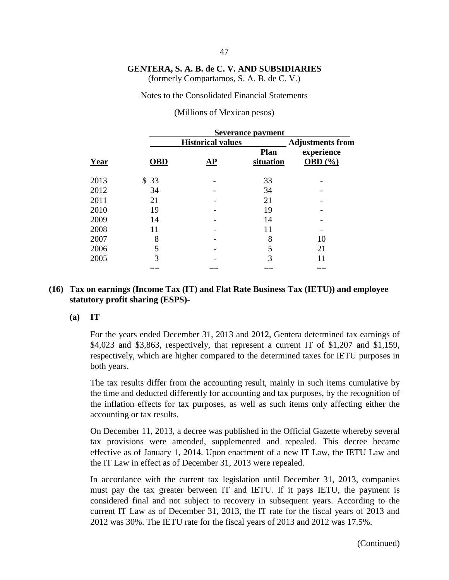(formerly Compartamos, S. A. B. de C. V.)

Notes to the Consolidated Financial Statements

(Millions of Mexican pesos)

|      | <b>Severance payment</b> |                          |                   |                         |
|------|--------------------------|--------------------------|-------------------|-------------------------|
|      |                          | <b>Historical values</b> |                   | <b>Adjustments from</b> |
| Year | <b>OBD</b>               | ${\bf \underline{AP}}$   | Plan<br>situation | experience<br>OBD $(%$  |
| 2013 | 33<br>\$.                |                          | 33                |                         |
| 2012 | 34                       |                          | 34                |                         |
| 2011 | 21                       |                          | 21                |                         |
| 2010 | 19                       |                          | 19                |                         |
| 2009 | 14                       |                          | 14                |                         |
| 2008 | 11                       |                          | 11                |                         |
| 2007 | 8                        |                          | 8                 | 10                      |
| 2006 | 5                        |                          | 5                 | 21                      |
| 2005 | 3                        |                          | 3                 | 11                      |
|      |                          |                          |                   |                         |

#### **(16) Tax on earnings (Income Tax (IT) and Flat Rate Business Tax (IETU)) and employee statutory profit sharing (ESPS)-**

#### **(a) IT**

For the years ended December 31, 2013 and 2012, Gentera determined tax earnings of  $$4,023$  and  $$3,863$ , respectively, that represent a current IT of  $$1,207$  and  $$1,159$ , respectively, which are higher compared to the determined taxes for IETU purposes in both years.

The tax results differ from the accounting result, mainly in such items cumulative by the time and deducted differently for accounting and tax purposes, by the recognition of the inflation effects for tax purposes, as well as such items only affecting either the accounting or tax results.

On December 11, 2013, a decree was published in the Official Gazette whereby several tax provisions were amended, supplemented and repealed. This decree became effective as of January 1, 2014. Upon enactment of a new IT Law, the IETU Law and the IT Law in effect as of December 31, 2013 were repealed.

In accordance with the current tax legislation until December 31, 2013, companies must pay the tax greater between IT and IETU. If it pays IETU, the payment is considered final and not subject to recovery in subsequent years. According to the current IT Law as of December 31, 2013, the IT rate for the fiscal years of 2013 and 2012 was 30%. The IETU rate for the fiscal years of 2013 and 2012 was 17.5%.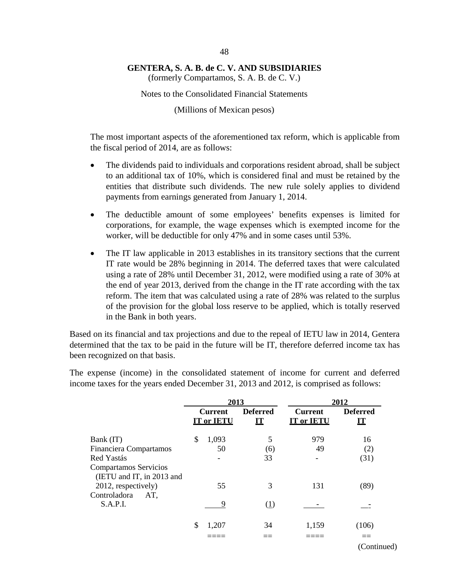(formerly Compartamos, S. A. B. de C. V.)

Notes to the Consolidated Financial Statements

(Millions of Mexican pesos)

The most important aspects of the aforementioned tax reform, which is applicable from the fiscal period of 2014, are as follows:

- The dividends paid to individuals and corporations resident abroad, shall be subject to an additional tax of 10%, which is considered final and must be retained by the entities that distribute such dividends. The new rule solely applies to dividend payments from earnings generated from January 1, 2014.
- The deductible amount of some employees' benefits expenses is limited for corporations, for example, the wage expenses which is exempted income for the worker, will be deductible for only 47% and in some cases until 53%.
- The IT law applicable in 2013 establishes in its transitory sections that the current IT rate would be 28% beginning in 2014. The deferred taxes that were calculated using a rate of 28% until December 31, 2012, were modified using a rate of 30% at the end of year 2013, derived from the change in the IT rate according with the tax reform. The item that was calculated using a rate of 28% was related to the surplus of the provision for the global loss reserve to be applied, which is totally reserved in the Bank in both years.

Based on its financial and tax projections and due to the repeal of IETU law in 2014, Gentera determined that the tax to be paid in the future will be IT, therefore deferred income tax has been recognized on that basis.

The expense (income) in the consolidated statement of income for current and deferred income taxes for the years ended December 31, 2013 and 2012, is comprised as follows:

|                                                    | 2013                                |                       | 2012                                |                       |
|----------------------------------------------------|-------------------------------------|-----------------------|-------------------------------------|-----------------------|
|                                                    | <b>Current</b><br><b>IT or IETU</b> | <b>Deferred</b><br>ĽТ | <b>Current</b><br><b>IT or IETU</b> | <b>Deferred</b><br>LT |
| Bank (IT)                                          | \$<br>1,093                         | 5                     | 979                                 | 16                    |
| Financiera Compartamos                             | 50                                  | (6)                   | 49                                  | (2)                   |
| Red Yastás                                         |                                     | 33                    |                                     | (31)                  |
| Compartamos Servicios<br>(IETU and IT, in 2013 and |                                     |                       |                                     |                       |
| 2012, respectively)                                | 55                                  | 3                     | 131                                 | (89)                  |
| Controladora<br>AT,<br>S.A.P.I.                    | 9                                   | (1)                   |                                     |                       |
|                                                    | \$<br>1,207                         | 34                    | 1,159                               | (106)                 |
|                                                    |                                     |                       |                                     |                       |
|                                                    |                                     |                       |                                     | (Continued)           |

48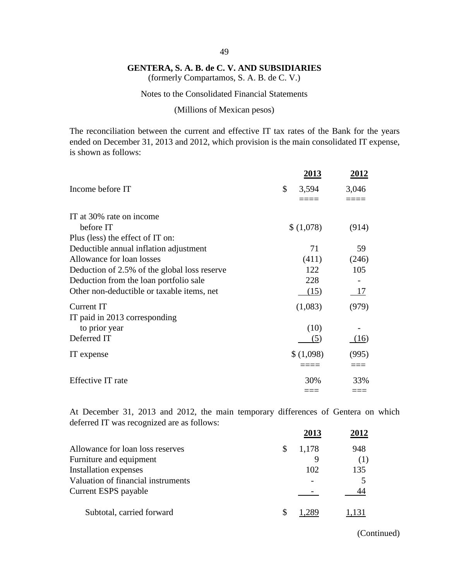(formerly Compartamos, S. A. B. de C. V.)

#### Notes to the Consolidated Financial Statements

(Millions of Mexican pesos)

The reconciliation between the current and effective IT tax rates of the Bank for the years ended on December 31, 2013 and 2012, which provision is the main consolidated IT expense, is shown as follows:

|                                              | 2013        | <u> 2012 </u> |
|----------------------------------------------|-------------|---------------|
| Income before IT                             | \$<br>3,594 | 3,046         |
|                                              |             |               |
| IT at 30% rate on income                     |             |               |
| before IT                                    | \$(1,078)   | (914)         |
| Plus (less) the effect of IT on:             |             |               |
| Deductible annual inflation adjustment       | 71          | 59            |
| Allowance for loan losses                    | (411)       | (246)         |
| Deduction of 2.5% of the global loss reserve | 122         | 105           |
| Deduction from the loan portfolio sale       | 228         |               |
| Other non-deductible or taxable items, net   | (15)        | 17            |
| Current IT                                   | (1,083)     | (979)         |
| IT paid in 2013 corresponding                |             |               |
| to prior year                                | (10)        |               |
| Deferred IT                                  | (5)         | (16)          |
| IT expense                                   | \$(1,098)   | (995)         |
|                                              |             |               |
| Effective IT rate                            | 30%         | 33%           |
|                                              |             |               |

At December 31, 2013 and 2012, the main temporary differences of Gentera on which deferred IT was recognized are as follows:

|                                    |   | 2013  | 2012  |
|------------------------------------|---|-------|-------|
| Allowance for loan loss reserves   | S | 1,178 | 948   |
| Furniture and equipment            |   |       | (1)   |
| Installation expenses              |   | 102   | 135   |
| Valuation of financial instruments |   |       |       |
| Current ESPS payable               |   |       |       |
| Subtotal, carried forward          |   |       | 1,131 |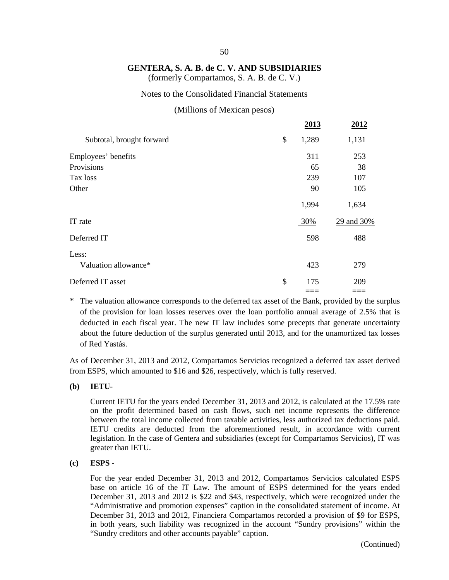#### 50

#### **GENTERA, S. A. B. de C. V. AND SUBSIDIARIES**

(formerly Compartamos, S. A. B. de C. V.)

#### Notes to the Consolidated Financial Statements

#### (Millions of Mexican pesos)

|                           | 2013        | 2012       |
|---------------------------|-------------|------------|
| Subtotal, brought forward | \$<br>1,289 | 1,131      |
| Employees' benefits       | 311         | 253        |
| Provisions                | 65          | 38         |
| Tax loss                  | 239         | 107        |
| Other                     | 90          | 105        |
|                           | 1,994       | 1,634      |
| IT rate                   | 30%         | 29 and 30% |
| Deferred IT               | 598         | 488        |
| Less:                     |             |            |
| Valuation allowance*      | 423         | 279        |
| Deferred IT asset         | \$<br>175   | 209        |
|                           |             |            |

\* The valuation allowance corresponds to the deferred tax asset of the Bank, provided by the surplus of the provision for loan losses reserves over the loan portfolio annual average of 2.5% that is deducted in each fiscal year. The new IT law includes some precepts that generate uncertainty about the future deduction of the surplus generated until 2013, and for the unamortized tax losses of Red Yastás.

As of December 31, 2013 and 2012, Compartamos Servicios recognized a deferred tax asset derived from ESPS, which amounted to \$16 and \$26, respectively, which is fully reserved.

**(b) IETU-**

Current IETU for the years ended December 31, 2013 and 2012, is calculated at the 17.5% rate on the profit determined based on cash flows, such net income represents the difference between the total income collected from taxable activities, less authorized tax deductions paid. IETU credits are deducted from the aforementioned result, in accordance with current legislation. In the case of Gentera and subsidiaries (except for Compartamos Servicios), IT was greater than IETU.

#### **(c) ESPS -**

For the year ended December 31, 2013 and 2012, Compartamos Servicios calculated ESPS base on article 16 of the IT Law. The amount of ESPS determined for the years ended December 31, 2013 and 2012 is \$22 and \$43, respectively, which were recognized under the "Administrative and promotion expenses" caption in the consolidated statement of income. At December 31, 2013 and 2012, Financiera Compartamos recorded a provision of \$9 for ESPS, in both years, such liability was recognized in the account "Sundry provisions" within the "Sundry creditors and other accounts payable" caption.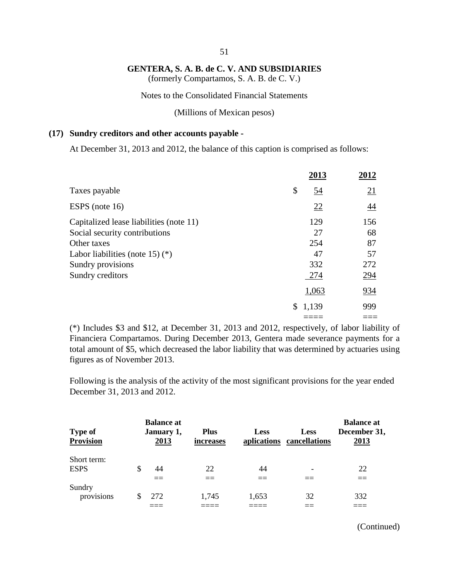**GENTERA, S. A. B. de C. V. AND SUBSIDIARIES** (formerly Compartamos, S. A. B. de C. V.)

Notes to the Consolidated Financial Statements

(Millions of Mexican pesos)

#### **(17) Sundry creditors and other accounts payable -**

At December 31, 2013 and 2012, the balance of this caption is comprised as follows:

|                                         | 2013            | 2012       |
|-----------------------------------------|-----------------|------------|
| Taxes payable                           | \$<br><u>54</u> | 21         |
| ESPS (note 16)                          | 22              | 44         |
| Capitalized lease liabilities (note 11) | 129             | 156        |
| Social security contributions           | 27              | 68         |
| Other taxes                             | 254             | 87         |
| Labor liabilities (note 15) $(*)$       | 47              | 57         |
| Sundry provisions                       | 332             | 272        |
| Sundry creditors                        | 274             | <u>294</u> |
|                                         | 1,063           | <u>934</u> |
|                                         | 1,139<br>\$     | 999        |
|                                         |                 |            |

(\*) Includes \$3 and \$12, at December 31, 2013 and 2012, respectively, of labor liability of Financiera Compartamos. During December 2013, Gentera made severance payments for a total amount of \$5, which decreased the labor liability that was determined by actuaries using figures as of November 2013.

Following is the analysis of the activity of the most significant provisions for the year ended December 31, 2013 and 2012.

| <b>Type of</b><br><b>Provision</b> |    | <b>Balance at</b><br>January 1,<br><u>2013</u> | <b>Plus</b><br>increases | <b>Less</b> | <b>Less</b><br>aplications cancellations | <b>Balance at</b><br>December 31,<br>2013 |
|------------------------------------|----|------------------------------------------------|--------------------------|-------------|------------------------------------------|-------------------------------------------|
| Short term:                        |    |                                                |                          |             |                                          |                                           |
| <b>ESPS</b>                        | \$ | 44                                             | 22                       | 44          |                                          | 22                                        |
|                                    |    |                                                |                          |             |                                          |                                           |
| Sundry                             |    |                                                |                          |             |                                          |                                           |
| provisions                         | S  | 272                                            | 1,745                    | 1,653       | 32                                       | 332                                       |
|                                    |    |                                                |                          |             |                                          |                                           |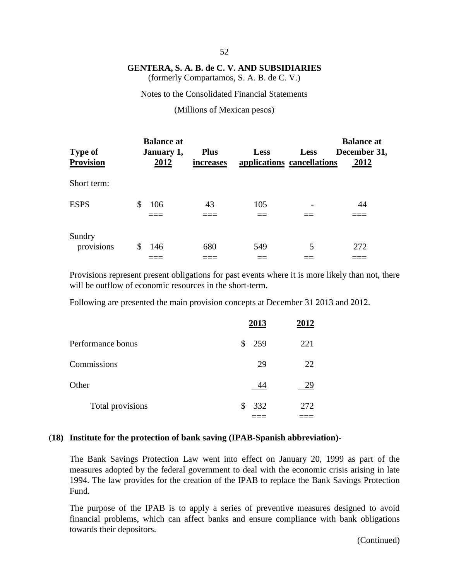(formerly Compartamos, S. A. B. de C. V.)

Notes to the Consolidated Financial Statements

(Millions of Mexican pesos)

|                      | <b>Balance at</b> |             |             |                            | <b>Balance at</b> |
|----------------------|-------------------|-------------|-------------|----------------------------|-------------------|
| <b>Type of</b>       | January 1,        | <b>Plus</b> | <b>Less</b> | <b>Less</b>                | December 31,      |
| <b>Provision</b>     | 2012              | increases   |             | applications cancellations | 2012              |
| Short term:          |                   |             |             |                            |                   |
| <b>ESPS</b>          | 106<br>\$         | 43          | 105         |                            | 44                |
| Sundry<br>provisions | 146<br>\$         | 680         | 549         | 5                          | 272               |
|                      |                   |             |             |                            |                   |

Provisions represent present obligations for past events where it is more likely than not, there will be outflow of economic resources in the short-term.

Following are presented the main provision concepts at December 31 2013 and 2012.

|                   | 2013      | 2012 |
|-------------------|-----------|------|
| Performance bonus | \$ 259    | 221  |
| Commissions       | 29        | 22   |
| Other             | 44        | 29   |
| Total provisions  | 332<br>\$ | 272  |
|                   |           |      |

#### (**18) Institute for the protection of bank saving (IPAB-Spanish abbreviation)-**

The Bank Savings Protection Law went into effect on January 20, 1999 as part of the measures adopted by the federal government to deal with the economic crisis arising in late 1994. The law provides for the creation of the IPAB to replace the Bank Savings Protection Fund.

The purpose of the IPAB is to apply a series of preventive measures designed to avoid financial problems, which can affect banks and ensure compliance with bank obligations towards their depositors.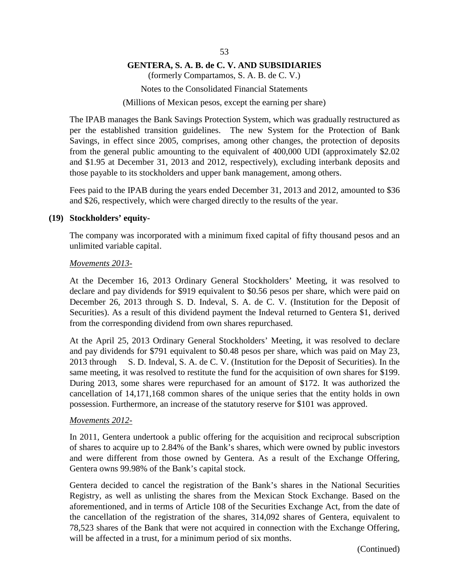(formerly Compartamos, S. A. B. de C. V.)

Notes to the Consolidated Financial Statements

(Millions of Mexican pesos, except the earning per share)

The IPAB manages the Bank Savings Protection System, which was gradually restructured as per the established transition guidelines. The new System for the Protection of Bank Savings, in effect since 2005, comprises, among other changes, the protection of deposits from the general public amounting to the equivalent of 400,000 UDI (approximately \$2.02 and \$1.95 at December 31, 2013 and 2012, respectively), excluding interbank deposits and those payable to its stockholders and upper bank management, among others.

Fees paid to the IPAB during the years ended December 31, 2013 and 2012, amounted to \$36 and \$26, respectively, which were charged directly to the results of the year.

#### **(19) Stockholders' equity-**

The company was incorporated with a minimum fixed capital of fifty thousand pesos and an unlimited variable capital.

#### *Movements 2013-*

At the December 16, 2013 Ordinary General Stockholders' Meeting, it was resolved to declare and pay dividends for \$919 equivalent to \$0.56 pesos per share, which were paid on December 26, 2013 through S. D. Indeval, S. A. de C. V. (Institution for the Deposit of Securities). As a result of this dividend payment the Indeval returned to Gentera \$1, derived from the corresponding dividend from own shares repurchased.

At the April 25, 2013 Ordinary General Stockholders' Meeting, it was resolved to declare and pay dividends for \$791 equivalent to \$0.48 pesos per share, which was paid on May 23, 2013 through S. D. Indeval, S. A. de C. V. (Institution for the Deposit of Securities). In the same meeting, it was resolved to restitute the fund for the acquisition of own shares for \$199. During 2013, some shares were repurchased for an amount of \$172. It was authorized the cancellation of 14,171,168 common shares of the unique series that the entity holds in own possession. Furthermore, an increase of the statutory reserve for \$101 was approved.

#### *Movements 2012-*

In 2011, Gentera undertook a public offering for the acquisition and reciprocal subscription of shares to acquire up to 2.84% of the Bank's shares, which were owned by public investors and were different from those owned by Gentera. As a result of the Exchange Offering, Gentera owns 99.98% of the Bank's capital stock.

Gentera decided to cancel the registration of the Bank's shares in the National Securities Registry, as well as unlisting the shares from the Mexican Stock Exchange. Based on the aforementioned, and in terms of Article 108 of the Securities Exchange Act, from the date of the cancellation of the registration of the shares, 314,092 shares of Gentera, equivalent to 78,523 shares of the Bank that were not acquired in connection with the Exchange Offering, will be affected in a trust, for a minimum period of six months.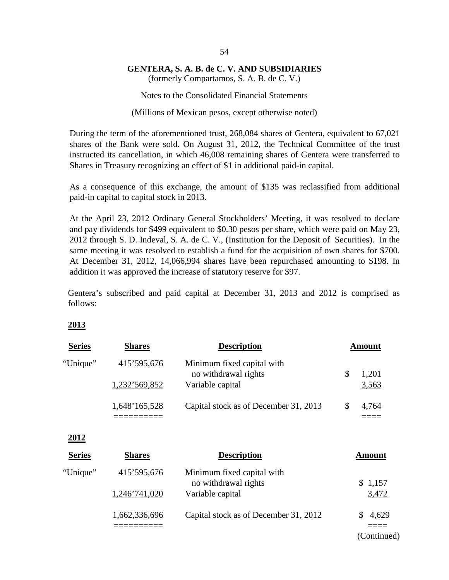(formerly Compartamos, S. A. B. de C. V.)

Notes to the Consolidated Financial Statements

(Millions of Mexican pesos, except otherwise noted)

During the term of the aforementioned trust, 268,084 shares of Gentera, equivalent to 67,021 shares of the Bank were sold. On August 31, 2012, the Technical Committee of the trust instructed its cancellation, in which 46,008 remaining shares of Gentera were transferred to Shares in Treasury recognizing an effect of \$1 in additional paid-in capital.

As a consequence of this exchange, the amount of \$135 was reclassified from additional paid-in capital to capital stock in 2013.

At the April 23, 2012 Ordinary General Stockholders' Meeting, it was resolved to declare and pay dividends for \$499 equivalent to \$0.30 pesos per share, which were paid on May 23, 2012 through S. D. Indeval, S. A. de C. V., (Institution for the Deposit of Securities). In the same meeting it was resolved to establish a fund for the acquisition of own shares for \$700. At December 31, 2012, 14,066,994 shares have been repurchased amounting to \$198. In addition it was approved the increase of statutory reserve for \$97.

Gentera's subscribed and paid capital at December 31, 2013 and 2012 is comprised as follows:

#### **2013**

| <b>Series</b> | <b>Shares</b> | <b>Description</b>                                 | <b>Amount</b> |
|---------------|---------------|----------------------------------------------------|---------------|
| "Unique"      | 415'595,676   | Minimum fixed capital with<br>no withdrawal rights | \$<br>1,201   |
|               | 1,232'569,852 | Variable capital                                   | 3,563         |
|               | 1,648'165,528 | Capital stock as of December 31, 2013              | \$<br>4,764   |
| 2012          |               |                                                    |               |
| <b>Series</b> | <b>Shares</b> | <b>Description</b>                                 | <b>Amount</b> |
| "Unique"      | 415'595,676   | Minimum fixed capital with<br>no withdrawal rights | \$1,157       |
|               | 1,246'741,020 | Variable capital                                   | 3,472         |
|               | 1,662,336,696 | Capital stock as of December 31, 2012              | 4,629         |
|               |               |                                                    | (Continued)   |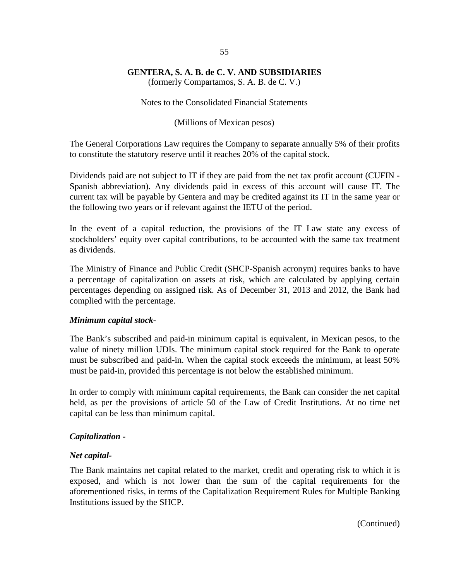(formerly Compartamos, S. A. B. de C. V.)

Notes to the Consolidated Financial Statements

(Millions of Mexican pesos)

The General Corporations Law requires the Company to separate annually 5% of their profits to constitute the statutory reserve until it reaches 20% of the capital stock.

Dividends paid are not subject to IT if they are paid from the net tax profit account (CUFIN - Spanish abbreviation). Any dividends paid in excess of this account will cause IT. The current tax will be payable by Gentera and may be credited against its IT in the same year or the following two years or if relevant against the IETU of the period.

In the event of a capital reduction, the provisions of the IT Law state any excess of stockholders' equity over capital contributions, to be accounted with the same tax treatment as dividends.

The Ministry of Finance and Public Credit (SHCP-Spanish acronym) requires banks to have a percentage of capitalization on assets at risk, which are calculated by applying certain percentages depending on assigned risk. As of December 31, 2013 and 2012, the Bank had complied with the percentage.

#### *Minimum capital stock-*

The Bank's subscribed and paid-in minimum capital is equivalent, in Mexican pesos, to the value of ninety million UDIs. The minimum capital stock required for the Bank to operate must be subscribed and paid-in. When the capital stock exceeds the minimum, at least 50% must be paid-in, provided this percentage is not below the established minimum.

In order to comply with minimum capital requirements, the Bank can consider the net capital held, as per the provisions of article 50 of the Law of Credit Institutions. At no time net capital can be less than minimum capital.

#### *Capitalization -*

#### *Net capital-*

The Bank maintains net capital related to the market, credit and operating risk to which it is exposed, and which is not lower than the sum of the capital requirements for the aforementioned risks, in terms of the Capitalization Requirement Rules for Multiple Banking Institutions issued by the SHCP.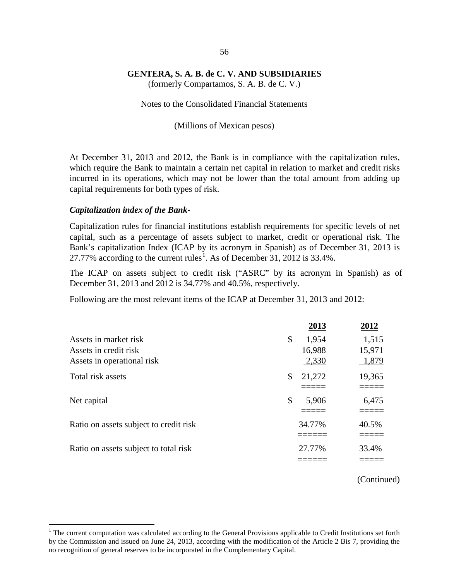(formerly Compartamos, S. A. B. de C. V.)

Notes to the Consolidated Financial Statements

(Millions of Mexican pesos)

At December 31, 2013 and 2012, the Bank is in compliance with the capitalization rules, which require the Bank to maintain a certain net capital in relation to market and credit risks incurred in its operations, which may not be lower than the total amount from adding up capital requirements for both types of risk.

#### *Capitalization index of the Bank-*

Capitalization rules for financial institutions establish requirements for specific levels of net capital, such as a percentage of assets subject to market, credit or operational risk. The Bank's capitalization Index (ICAP by its acronym in Spanish) as of December 31, 2013 is 27.77% according to the current rules<sup>[1](#page-62-0)</sup>. As of December 31, 2012 is 33.4%.

The ICAP on assets subject to credit risk ("ASRC" by its acronym in Spanish) as of December 31, 2013 and 2012 is 34.77% and 40.5%, respectively.

Following are the most relevant items of the ICAP at December 31, 2013 and 2012:

|                                        | 2013         | 2012   |
|----------------------------------------|--------------|--------|
| Assets in market risk                  | \$<br>1,954  | 1,515  |
| Assets in credit risk                  | 16,988       | 15,971 |
| Assets in operational risk             | 2,330        | 1,879  |
| Total risk assets                      | \$<br>21,272 | 19,365 |
|                                        |              |        |
| Net capital                            | \$<br>5,906  | 6,475  |
|                                        |              |        |
| Ratio on assets subject to credit risk | 34.77%       | 40.5%  |
|                                        |              |        |
| Ratio on assets subject to total risk  | 27.77%       | 33.4%  |
|                                        |              |        |

<span id="page-62-0"></span> $<sup>1</sup>$  The current computation was calculated according to the General Provisions applicable to Credit Institutions set forth</sup> by the Commission and issued on June 24, 2013, according with the modification of the Article 2 Bis 7, providing the no recognition of general reserves to be incorporated in the Complementary Capital.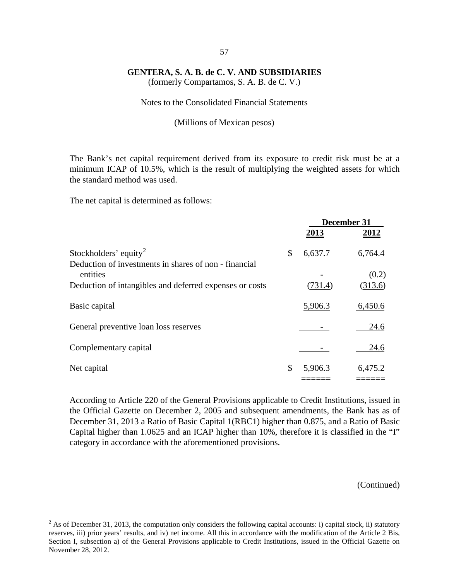(formerly Compartamos, S. A. B. de C. V.)

#### Notes to the Consolidated Financial Statements

#### (Millions of Mexican pesos)

The Bank's net capital requirement derived from its exposure to credit risk must be at a minimum ICAP of 10.5%, which is the result of multiplying the weighted assets for which the standard method was used.

The net capital is determined as follows:

|                                                                   | December 31   |         |  |
|-------------------------------------------------------------------|---------------|---------|--|
|                                                                   | 2013          | 2012    |  |
| Stockholders' equity <sup>2</sup>                                 | \$<br>6,637.7 | 6,764.4 |  |
| Deduction of investments in shares of non - financial<br>entities |               | (0.2)   |  |
| Deduction of intangibles and deferred expenses or costs           | (731.4)       | (313.6) |  |
| Basic capital                                                     | 5,906.3       | 6,450.6 |  |
| General preventive loan loss reserves                             |               | 24.6    |  |
| Complementary capital                                             |               | 24.6    |  |
| Net capital                                                       | \$<br>5,906.3 | 6,475.2 |  |
|                                                                   |               |         |  |

According to Article 220 of the General Provisions applicable to Credit Institutions, issued in the Official Gazette on December 2, 2005 and subsequent amendments, the Bank has as of December 31, 2013 a Ratio of Basic Capital 1(RBC1) higher than 0.875, and a Ratio of Basic Capital higher than 1.0625 and an ICAP higher than 10%, therefore it is classified in the "I" category in accordance with the aforementioned provisions.

<span id="page-63-0"></span><sup>&</sup>lt;sup>2</sup> As of December 31, 2013, the computation only considers the following capital accounts: i) capital stock, ii) statutory reserves, iii) prior years' results, and iv) net income. All this in accordance with the modification of the Article 2 Bis, Section I, subsection a) of the General Provisions applicable to Credit Institutions, issued in the Official Gazette on November 28, 2012.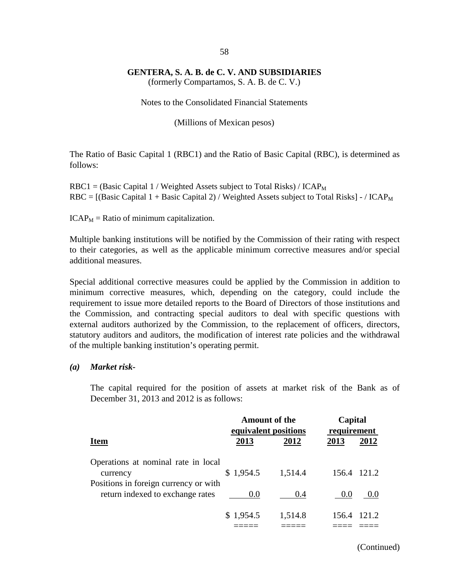(formerly Compartamos, S. A. B. de C. V.)

Notes to the Consolidated Financial Statements

(Millions of Mexican pesos)

The Ratio of Basic Capital 1 (RBC1) and the Ratio of Basic Capital (RBC), is determined as follows:

 $RBC1 = (Basic Capital 1 / Weighted Assets subject to Total Risks) / ICAP<sub>M</sub>$  $RBC = [(Basic Capital 1 + Basic Capital 2) / Weighted Assets subject to Total Risks] - / ICAP<sub>M</sub>$ 

 $ICAP<sub>M</sub>$  = Ratio of minimum capitalization.

Multiple banking institutions will be notified by the Commission of their rating with respect to their categories, as well as the applicable minimum corrective measures and/or special additional measures.

Special additional corrective measures could be applied by the Commission in addition to minimum corrective measures, which, depending on the category, could include the requirement to issue more detailed reports to the Board of Directors of those institutions and the Commission, and contracting special auditors to deal with specific questions with external auditors authorized by the Commission, to the replacement of officers, directors, statutory auditors and auditors, the modification of interest rate policies and the withdrawal of the multiple banking institution's operating permit.

#### *(a) Market risk-*

The capital required for the position of assets at market risk of the Bank as of December 31, 2013 and 2012 is as follows:

|                                                                                          | <b>Amount of the</b><br>equivalent positions |         | Capital<br>requirement |  |
|------------------------------------------------------------------------------------------|----------------------------------------------|---------|------------------------|--|
| <b>Item</b>                                                                              | 2013                                         | 2012    | 2013<br>2012           |  |
| Operations at nominal rate in local<br>currency<br>Positions in foreign currency or with | \$1,954.5                                    | 1,514.4 | 156.4 121.2            |  |
| return indexed to exchange rates                                                         | (0.0)                                        | 0.4     | 0.0<br>0.0             |  |
|                                                                                          | \$1,954.5                                    | 1,514.8 | 121.2<br>156.4         |  |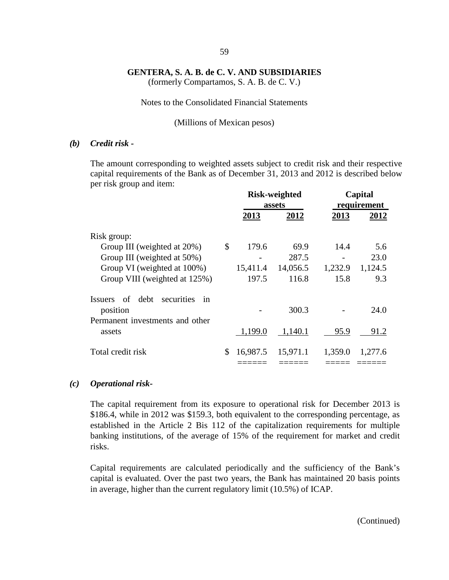59

(formerly Compartamos, S. A. B. de C. V.)

#### Notes to the Consolidated Financial Statements

#### (Millions of Mexican pesos)

#### *(b) Credit risk -*

The amount corresponding to weighted assets subject to credit risk and their respective capital requirements of the Bank as of December 31, 2013 and 2012 is described below per risk group and item:

|                                                  | <b>Risk-weighted</b><br>assets |          | Capital<br>requirement |         |
|--------------------------------------------------|--------------------------------|----------|------------------------|---------|
|                                                  | 2013                           | 2012     | 2013                   | 2012    |
| Risk group:                                      |                                |          |                        |         |
| Group III (weighted at 20%)                      | \$<br>179.6                    | 69.9     | 14.4                   | 5.6     |
| Group III (weighted at 50%)                      |                                | 287.5    |                        | 23.0    |
| Group VI (weighted at 100%)                      | 15,411.4                       | 14,056.5 | 1,232.9                | 1,124.5 |
| Group VIII (weighted at 125%)                    | 197.5                          | 116.8    | 15.8                   | 9.3     |
| of<br>debt<br>securities<br><i>Issuers</i><br>in |                                |          |                        |         |
| position                                         |                                | 300.3    |                        | 24.0    |
| Permanent investments and other                  |                                |          |                        |         |
| assets                                           | 1,199.0                        | 1,140.1  | 95.9                   | 91.2    |
| Total credit risk                                | \$<br>16,987.5                 | 15,971.1 | 1,359.0                | 1,277.6 |
|                                                  |                                |          |                        |         |

#### *(c) Operational risk-*

The capital requirement from its exposure to operational risk for December 2013 is \$186.4, while in 2012 was \$159.3, both equivalent to the corresponding percentage, as established in the Article 2 Bis 112 of the capitalization requirements for multiple banking institutions, of the average of 15% of the requirement for market and credit risks.

Capital requirements are calculated periodically and the sufficiency of the Bank's capital is evaluated. Over the past two years, the Bank has maintained 20 basis points in average, higher than the current regulatory limit (10.5%) of ICAP.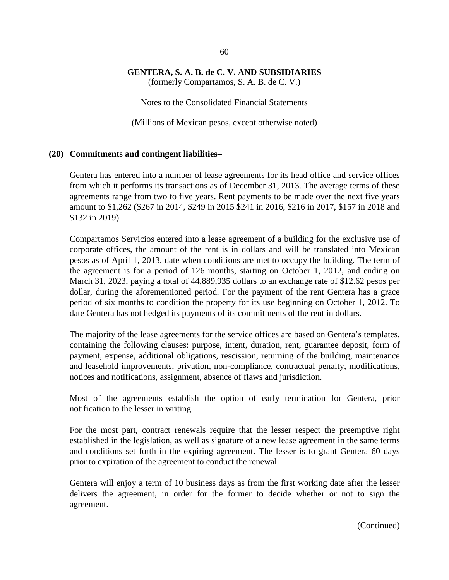#### **GENTERA, S. A. B. de C. V. AND SUBSIDIARIES** (formerly Compartamos, S. A. B. de C. V.)

Notes to the Consolidated Financial Statements

(Millions of Mexican pesos, except otherwise noted)

#### **(20) Commitments and contingent liabilities–**

Gentera has entered into a number of lease agreements for its head office and service offices from which it performs its transactions as of December 31, 2013. The average terms of these agreements range from two to five years. Rent payments to be made over the next five years amount to \$1,262 (\$267 in 2014, \$249 in 2015 \$241 in 2016, \$216 in 2017, \$157 in 2018 and \$132 in 2019).

Compartamos Servicios entered into a lease agreement of a building for the exclusive use of corporate offices, the amount of the rent is in dollars and will be translated into Mexican pesos as of April 1, 2013, date when conditions are met to occupy the building. The term of the agreement is for a period of 126 months, starting on October 1, 2012, and ending on March 31, 2023, paying a total of 44,889,935 dollars to an exchange rate of \$12.62 pesos per dollar, during the aforementioned period. For the payment of the rent Gentera has a grace period of six months to condition the property for its use beginning on October 1, 2012. To date Gentera has not hedged its payments of its commitments of the rent in dollars.

The majority of the lease agreements for the service offices are based on Gentera's templates, containing the following clauses: purpose, intent, duration, rent, guarantee deposit, form of payment, expense, additional obligations, rescission, returning of the building, maintenance and leasehold improvements, privation, non-compliance, contractual penalty, modifications, notices and notifications, assignment, absence of flaws and jurisdiction.

Most of the agreements establish the option of early termination for Gentera, prior notification to the lesser in writing.

For the most part, contract renewals require that the lesser respect the preemptive right established in the legislation, as well as signature of a new lease agreement in the same terms and conditions set forth in the expiring agreement. The lesser is to grant Gentera 60 days prior to expiration of the agreement to conduct the renewal.

Gentera will enjoy a term of 10 business days as from the first working date after the lesser delivers the agreement, in order for the former to decide whether or not to sign the agreement.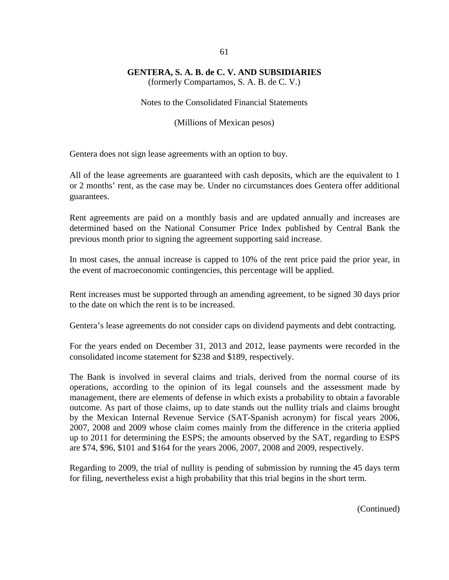(formerly Compartamos, S. A. B. de C. V.)

Notes to the Consolidated Financial Statements

(Millions of Mexican pesos)

Gentera does not sign lease agreements with an option to buy.

All of the lease agreements are guaranteed with cash deposits, which are the equivalent to 1 or 2 months' rent, as the case may be. Under no circumstances does Gentera offer additional guarantees.

Rent agreements are paid on a monthly basis and are updated annually and increases are determined based on the National Consumer Price Index published by Central Bank the previous month prior to signing the agreement supporting said increase.

In most cases, the annual increase is capped to 10% of the rent price paid the prior year, in the event of macroeconomic contingencies, this percentage will be applied.

Rent increases must be supported through an amending agreement, to be signed 30 days prior to the date on which the rent is to be increased.

Gentera's lease agreements do not consider caps on dividend payments and debt contracting.

For the years ended on December 31, 2013 and 2012, lease payments were recorded in the consolidated income statement for \$238 and \$189, respectively.

The Bank is involved in several claims and trials, derived from the normal course of its operations, according to the opinion of its legal counsels and the assessment made by management, there are elements of defense in which exists a probability to obtain a favorable outcome. As part of those claims, up to date stands out the nullity trials and claims brought by the Mexican Internal Revenue Service (SAT-Spanish acronym) for fiscal years 2006, 2007, 2008 and 2009 whose claim comes mainly from the difference in the criteria applied up to 2011 for determining the ESPS; the amounts observed by the SAT, regarding to ESPS are \$74, \$96, \$101 and \$164 for the years 2006, 2007, 2008 and 2009, respectively.

Regarding to 2009, the trial of nullity is pending of submission by running the 45 days term for filing, nevertheless exist a high probability that this trial begins in the short term.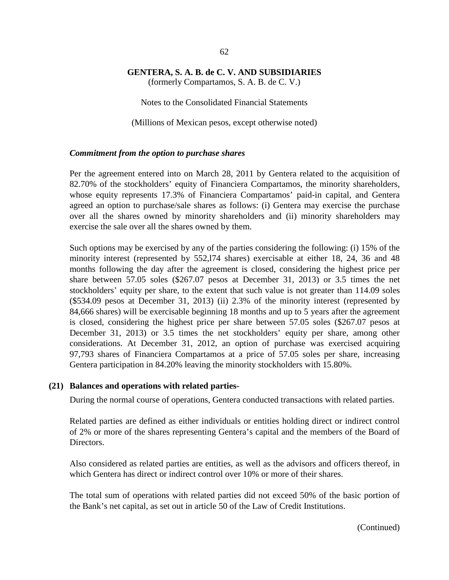(formerly Compartamos, S. A. B. de C. V.)

Notes to the Consolidated Financial Statements

(Millions of Mexican pesos, except otherwise noted)

#### *Commitment from the option to purchase shares*

Per the agreement entered into on March 28, 2011 by Gentera related to the acquisition of 82.70% of the stockholders' equity of Financiera Compartamos, the minority shareholders, whose equity represents 17.3% of Financiera Compartamos' paid-in capital, and Gentera agreed an option to purchase/sale shares as follows: (i) Gentera may exercise the purchase over all the shares owned by minority shareholders and (ii) minority shareholders may exercise the sale over all the shares owned by them.

Such options may be exercised by any of the parties considering the following: (i) 15% of the minority interest (represented by 552,l74 shares) exercisable at either 18, 24, 36 and 48 months following the day after the agreement is closed, considering the highest price per share between 57.05 soles (\$267.07 pesos at December 31, 2013) or 3.5 times the net stockholders' equity per share, to the extent that such value is not greater than 114.09 soles (\$534.09 pesos at December 31, 2013) (ii) 2.3% of the minority interest (represented by 84,666 shares) will be exercisable beginning 18 months and up to 5 years after the agreement is closed, considering the highest price per share between 57.05 soles (\$267.07 pesos at December 31, 2013) or 3.5 times the net stockholders' equity per share, among other considerations. At December 31, 2012, an option of purchase was exercised acquiring 97,793 shares of Financiera Compartamos at a price of 57.05 soles per share, increasing Gentera participation in 84.20% leaving the minority stockholders with 15.80%.

#### **(21) Balances and operations with related parties-**

During the normal course of operations, Gentera conducted transactions with related parties.

Related parties are defined as either individuals or entities holding direct or indirect control of 2% or more of the shares representing Gentera's capital and the members of the Board of Directors.

Also considered as related parties are entities, as well as the advisors and officers thereof, in which Gentera has direct or indirect control over 10% or more of their shares.

The total sum of operations with related parties did not exceed 50% of the basic portion of the Bank's net capital, as set out in article 50 of the Law of Credit Institutions.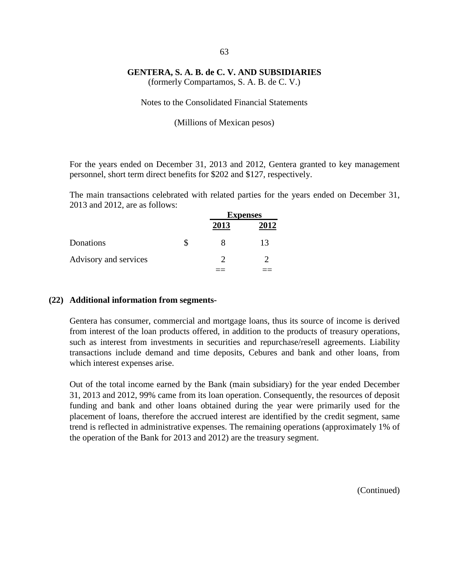(formerly Compartamos, S. A. B. de C. V.)

Notes to the Consolidated Financial Statements

(Millions of Mexican pesos)

For the years ended on December 31, 2013 and 2012, Gentera granted to key management personnel, short term direct benefits for \$202 and \$127, respectively.

The main transactions celebrated with related parties for the years ended on December 31, 2013 and 2012, are as follows:

|                       | <b>Expenses</b> |      |  |
|-----------------------|-----------------|------|--|
|                       | 2013            | 2012 |  |
| Donations             |                 | 13   |  |
| Advisory and services |                 |      |  |
|                       |                 |      |  |

#### **(22) Additional information from segments-**

Gentera has consumer, commercial and mortgage loans, thus its source of income is derived from interest of the loan products offered, in addition to the products of treasury operations, such as interest from investments in securities and repurchase/resell agreements. Liability transactions include demand and time deposits, Cebures and bank and other loans, from which interest expenses arise.

Out of the total income earned by the Bank (main subsidiary) for the year ended December 31, 2013 and 2012, 99% came from its loan operation. Consequently, the resources of deposit funding and bank and other loans obtained during the year were primarily used for the placement of loans, therefore the accrued interest are identified by the credit segment, same trend is reflected in administrative expenses. The remaining operations (approximately 1% of the operation of the Bank for 2013 and 2012) are the treasury segment.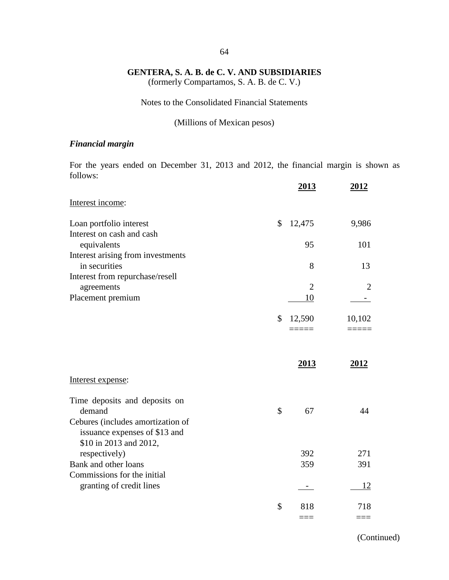(formerly Compartamos, S. A. B. de C. V.)

### Notes to the Consolidated Financial Statements

(Millions of Mexican pesos)

### *Financial margin*

For the years ended on December 31, 2013 and 2012, the financial margin is shown as follows:

|                                                                    | <u>2013</u>          | 2012   |
|--------------------------------------------------------------------|----------------------|--------|
| Interest income:                                                   |                      |        |
| Loan portfolio interest                                            | \$<br>12,475         | 9,986  |
| Interest on cash and cash<br>equivalents                           | 95                   | 101    |
| Interest arising from investments                                  |                      |        |
| in securities                                                      | 8                    | 13     |
| Interest from repurchase/resell                                    |                      |        |
| agreements                                                         | $\overline{2}$<br>10 | 2      |
| Placement premium                                                  |                      |        |
|                                                                    | \$<br>12,590         | 10,102 |
|                                                                    |                      |        |
|                                                                    |                      |        |
|                                                                    | 2013                 | 2012   |
| Interest expense:                                                  |                      |        |
| Time deposits and deposits on                                      |                      |        |
| demand                                                             | \$<br>67             | 44     |
| Cebures (includes amortization of<br>issuance expenses of \$13 and |                      |        |
| \$10 in 2013 and 2012,<br>respectively)                            | 392                  | 271    |
| Bank and other loans                                               | 359                  | 391    |
| Commissions for the initial                                        |                      |        |
| granting of credit lines                                           | ÷.,                  | 12     |
|                                                                    | \$<br>818            | 718    |
|                                                                    |                      |        |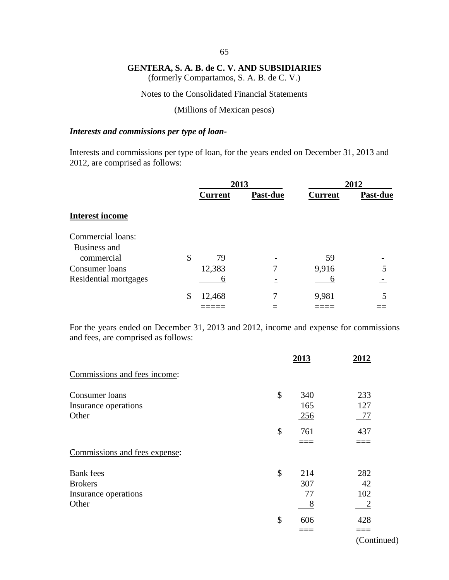(formerly Compartamos, S. A. B. de C. V.)

Notes to the Consolidated Financial Statements

(Millions of Mexican pesos)

#### *Interests and commissions per type of loan-*

Interests and commissions per type of loan, for the years ended on December 31, 2013 and 2012, are comprised as follows:

|                        | 2013           |          | 2012           |          |
|------------------------|----------------|----------|----------------|----------|
|                        | <b>Current</b> | Past-due | <b>Current</b> | Past-due |
| <b>Interest income</b> |                |          |                |          |
| Commercial loans:      |                |          |                |          |
| Business and           |                |          |                |          |
| commercial             | \$<br>79       |          | 59             |          |
| Consumer loans         | 12,383         |          | 9,916          |          |
| Residential mortgages  | h              |          | 6              |          |
|                        | \$<br>12,468   |          | 9,981          | 5        |
|                        |                |          |                |          |

For the years ended on December 31, 2013 and 2012, income and expense for commissions and fees, are comprised as follows:

|                               | 2013       | 2012 |
|-------------------------------|------------|------|
| Commissions and fees income:  |            |      |
| Consumer loans                | \$<br>340  | 233  |
| Insurance operations          | 165        | 127  |
| Other                         | <u>256</u> | 77   |
|                               | \$<br>761  | 437  |
|                               |            |      |
| Commissions and fees expense: |            |      |
| <b>Bank</b> fees              | \$<br>214  | 282  |
| <b>Brokers</b>                | 307        | 42   |
| Insurance operations          | 77         | 102  |
| Other                         | 8          |      |
|                               | \$<br>606  | 428  |
|                               |            |      |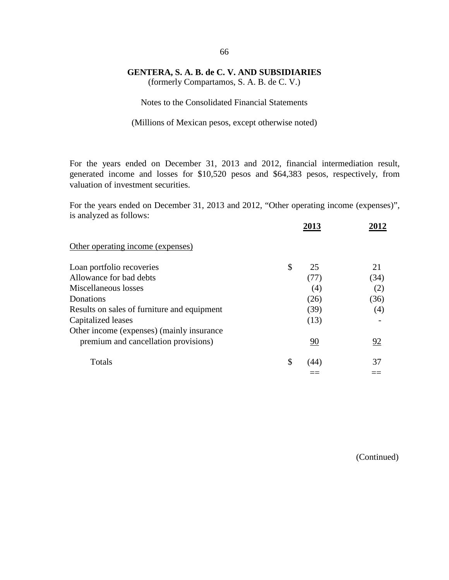(formerly Compartamos, S. A. B. de C. V.)

Notes to the Consolidated Financial Statements

(Millions of Mexican pesos, except otherwise noted)

For the years ended on December 31, 2013 and 2012, financial intermediation result, generated income and losses for \$10,520 pesos and \$64,383 pesos, respectively, from valuation of investment securities.

For the years ended on December 31, 2013 and 2012, "Other operating income (expenses)", is analyzed as follows:

|                                             | 2013       |      |
|---------------------------------------------|------------|------|
| Other operating income (expenses)           |            |      |
| Loan portfolio recoveries                   | \$<br>25   | 21   |
| Allowance for bad debts                     | (77)       | (34) |
| Miscellaneous losses                        | (4)        | (2)  |
| Donations                                   | (26)       | (36) |
| Results on sales of furniture and equipment | (39)       | (4)  |
| Capitalized leases                          | (13)       |      |
| Other income (expenses) (mainly insurance   |            |      |
| premium and cancellation provisions)        | 90         | 92   |
| Totals                                      | \$<br>(44) | 37   |
|                                             |            |      |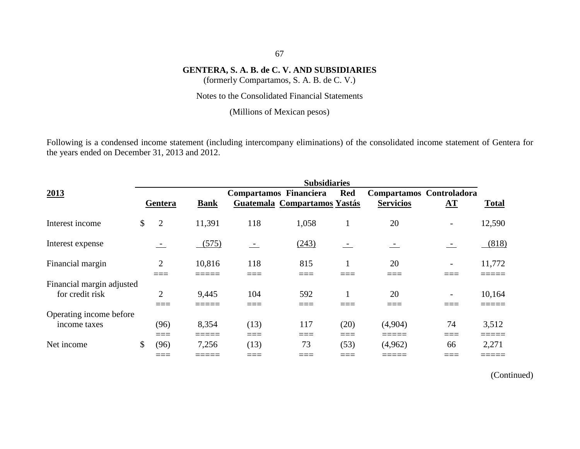(formerly Compartamos, S. A. B. de C. V.)

Notes to the Consolidated Financial Statements

(Millions of Mexican pesos)

Following is a condensed income statement (including intercompany eliminations) of the consolidated income statement of Gentera for the years ended on December 31, 2013 and 2012.

|                           |              |                |             |                          | <b>Subsidiaries</b>          |                          |                          |     |              |
|---------------------------|--------------|----------------|-------------|--------------------------|------------------------------|--------------------------|--------------------------|-----|--------------|
| 2013                      |              |                |             | Compartamos Financiera   |                              | <b>Red</b>               | Compartamos Controladora |     |              |
|                           |              | Gentera        | <b>Bank</b> |                          | Guatemala Compartamos Yastás |                          | <b>Servicios</b>         | AT  | <b>Total</b> |
| Interest income           | $\mathbb{S}$ | $\overline{2}$ | 11,391      | 118                      | 1,058                        |                          | 20                       |     | 12,590       |
| Interest expense          |              |                | (575)       | $\overline{\phantom{0}}$ | (243)                        | $\overline{\phantom{0}}$ |                          |     | (818)        |
| Financial margin          |              | $\overline{2}$ | 10,816      | 118                      | 815<br>___                   |                          | 20<br>____               |     | 11,772       |
| Financial margin adjusted |              |                |             |                          |                              |                          |                          |     |              |
| for credit risk           |              | $\overline{2}$ | 9,445       | 104                      | 592                          |                          | 20                       |     | 10,164       |
|                           |              |                |             |                          | ____                         |                          | ____                     |     |              |
| Operating income before   |              |                |             |                          |                              |                          |                          |     |              |
| income taxes              |              | (96)           | 8,354       | (13)                     | 117                          | (20)                     | (4,904)                  | 74  | 3,512        |
|                           |              | $===$          | =====       | ===                      | ____                         | ===                      | =====                    | ——— | _____        |
| Net income                | \$           | (96)           | 7,256       | (13)                     | 73                           | (53)                     | (4,962)                  | 66  | 2,271        |
|                           |              | ____           |             |                          |                              | ____                     |                          |     |              |

(Continued)

#### 67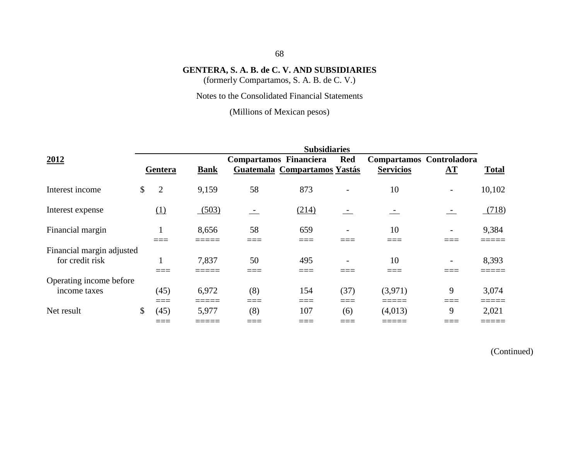(formerly Compartamos, S. A. B. de C. V.)

Notes to the Consolidated Financial Statements

(Millions of Mexican pesos)

|                           |                      |             |                        | <b>Subsidiaries</b>          |            |                          |                        |              |
|---------------------------|----------------------|-------------|------------------------|------------------------------|------------|--------------------------|------------------------|--------------|
| 2012                      |                      |             | Compartamos Financiera |                              | <b>Red</b> | Compartamos Controladora |                        |              |
|                           | Gentera              | <b>Bank</b> |                        | Guatemala Compartamos Yastás |            | <b>Servicios</b>         | ${\bf \underline{AT}}$ | <b>Total</b> |
| Interest income           | \$<br>$\overline{2}$ | 9,159       | 58                     | 873                          |            | 10                       |                        | 10,102       |
| Interest expense          | (1)                  | (503)       | $\sim$                 | (214)                        |            |                          |                        | (718)        |
| Financial margin          |                      | 8,656       | 58                     | 659                          |            | 10                       |                        | 9,384        |
| Financial margin adjusted |                      |             |                        |                              |            |                          |                        |              |
| for credit risk           |                      | 7,837       | 50                     | 495                          |            | 10                       |                        | 8,393        |
|                           |                      |             |                        |                              |            |                          |                        |              |
| Operating income before   |                      |             |                        |                              |            |                          |                        |              |
| income taxes              | (45)                 | 6,972       | (8)                    | 154                          | (37)       | (3,971)                  | 9                      | 3,074        |
|                           | ____                 |             | ____                   | ____                         | ____       |                          | ____                   |              |
| Net result                | \$<br>(45)           | 5,977       | (8)                    | 107                          | (6)        | (4,013)                  | 9                      | 2,021        |
|                           |                      |             |                        |                              |            |                          |                        |              |

(Continued)

## 68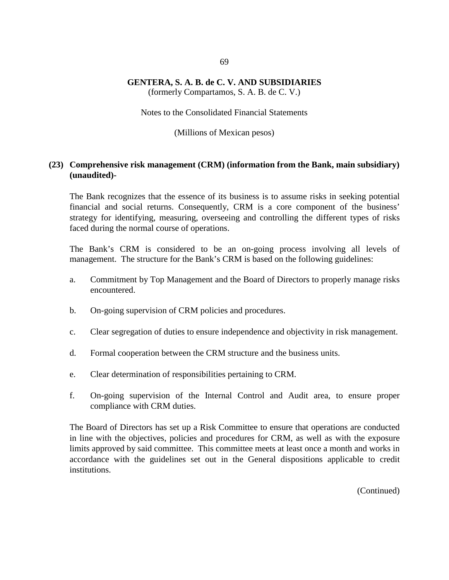(formerly Compartamos, S. A. B. de C. V.)

Notes to the Consolidated Financial Statements

(Millions of Mexican pesos)

## **(23) Comprehensive risk management (CRM) (information from the Bank, main subsidiary) (unaudited)-**

The Bank recognizes that the essence of its business is to assume risks in seeking potential financial and social returns. Consequently, CRM is a core component of the business' strategy for identifying, measuring, overseeing and controlling the different types of risks faced during the normal course of operations.

The Bank's CRM is considered to be an on-going process involving all levels of management. The structure for the Bank's CRM is based on the following guidelines:

- a. Commitment by Top Management and the Board of Directors to properly manage risks encountered.
- b. On-going supervision of CRM policies and procedures.
- c. Clear segregation of duties to ensure independence and objectivity in risk management.
- d. Formal cooperation between the CRM structure and the business units.
- e. Clear determination of responsibilities pertaining to CRM.
- f. On-going supervision of the Internal Control and Audit area, to ensure proper compliance with CRM duties.

The Board of Directors has set up a Risk Committee to ensure that operations are conducted in line with the objectives, policies and procedures for CRM, as well as with the exposure limits approved by said committee. This committee meets at least once a month and works in accordance with the guidelines set out in the General dispositions applicable to credit institutions.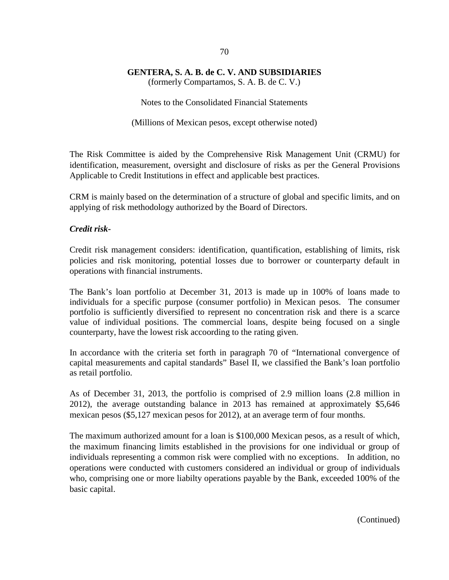(formerly Compartamos, S. A. B. de C. V.)

Notes to the Consolidated Financial Statements

(Millions of Mexican pesos, except otherwise noted)

The Risk Committee is aided by the Comprehensive Risk Management Unit (CRMU) for identification, measurement, oversight and disclosure of risks as per the General Provisions Applicable to Credit Institutions in effect and applicable best practices.

CRM is mainly based on the determination of a structure of global and specific limits, and on applying of risk methodology authorized by the Board of Directors.

### *Credit risk-*

Credit risk management considers: identification, quantification, establishing of limits, risk policies and risk monitoring, potential losses due to borrower or counterparty default in operations with financial instruments.

The Bank's loan portfolio at December 31, 2013 is made up in 100% of loans made to individuals for a specific purpose (consumer portfolio) in Mexican pesos. The consumer portfolio is sufficiently diversified to represent no concentration risk and there is a scarce value of individual positions. The commercial loans, despite being focused on a single counterparty, have the lowest risk accoording to the rating given.

In accordance with the criteria set forth in paragraph 70 of "International convergence of capital measurements and capital standards" Basel II, we classified the Bank's loan portfolio as retail portfolio.

As of December 31, 2013, the portfolio is comprised of 2.9 million loans (2.8 million in 2012), the average outstanding balance in 2013 has remained at approximately \$5,646 mexican pesos (\$5,127 mexican pesos for 2012), at an average term of four months.

The maximum authorized amount for a loan is \$100,000 Mexican pesos, as a result of which, the maximum financing limits established in the provisions for one individual or group of individuals representing a common risk were complied with no exceptions. In addition, no operations were conducted with customers considered an individual or group of individuals who, comprising one or more liabilty operations payable by the Bank, exceeded 100% of the basic capital.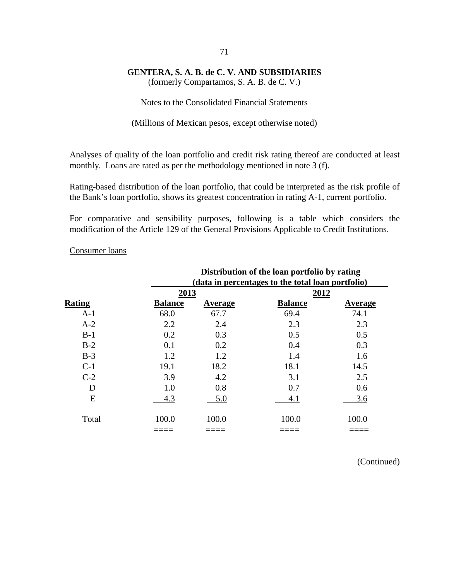(formerly Compartamos, S. A. B. de C. V.)

Notes to the Consolidated Financial Statements

(Millions of Mexican pesos, except otherwise noted)

Analyses of quality of the loan portfolio and credit risk rating thereof are conducted at least monthly. Loans are rated as per the methodology mentioned in note 3 (f).

Rating-based distribution of the loan portfolio, that could be interpreted as the risk profile of the Bank's loan portfolio, shows its greatest concentration in rating A-1, current portfolio.

For comparative and sensibility purposes, following is a table which considers the modification of the Article 129 of the General Provisions Applicable to Credit Institutions.

|               |                | Distribution of the loan portfolio by rating      |                |                |  |  |  |
|---------------|----------------|---------------------------------------------------|----------------|----------------|--|--|--|
|               |                | (data in percentages to the total loan portfolio) |                |                |  |  |  |
|               | 2013           |                                                   | 2012           |                |  |  |  |
| <b>Rating</b> | <b>Balance</b> | <b>Average</b>                                    | <b>Balance</b> | <b>Average</b> |  |  |  |
| $A-1$         | 68.0           | 67.7                                              | 69.4           | 74.1           |  |  |  |
| $A-2$         | 2.2            | 2.4                                               | 2.3            | 2.3            |  |  |  |
| $B-1$         | 0.2            | 0.3                                               | 0.5            | 0.5            |  |  |  |
| $B-2$         | 0.1            | 0.2                                               | 0.4            | 0.3            |  |  |  |
| $B-3$         | 1.2            | 1.2                                               | 1.4            | 1.6            |  |  |  |
| $C-1$         | 19.1           | 18.2                                              | 18.1           | 14.5           |  |  |  |
| $C-2$         | 3.9            | 4.2                                               | 3.1            | 2.5            |  |  |  |
| D             | 1.0            | 0.8                                               | 0.7            | 0.6            |  |  |  |
| E             | 4.3            | 5.0                                               | 4.1            | 3.6            |  |  |  |
| Total         | 100.0          | 100.0                                             | 100.0          | 100.0          |  |  |  |
|               |                |                                                   |                |                |  |  |  |

Consumer loans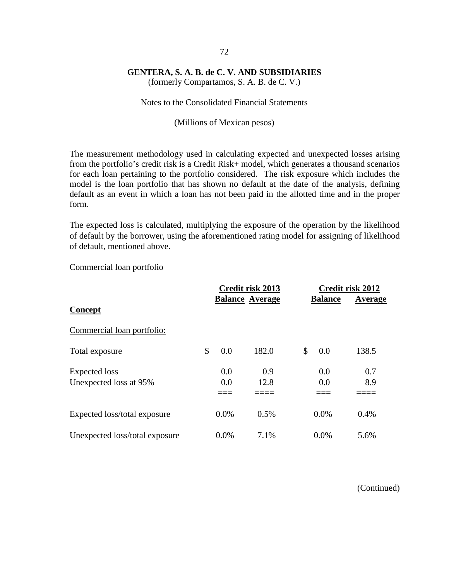(formerly Compartamos, S. A. B. de C. V.)

#### Notes to the Consolidated Financial Statements

#### (Millions of Mexican pesos)

The measurement methodology used in calculating expected and unexpected losses arising from the portfolio's credit risk is a Credit Risk+ model, which generates a thousand scenarios for each loan pertaining to the portfolio considered. The risk exposure which includes the model is the loan portfolio that has shown no default at the date of the analysis, defining default as an event in which a loan has not been paid in the allotted time and in the proper form.

The expected loss is calculated, multiplying the exposure of the operation by the likelihood of default by the borrower, using the aforementioned rating model for assigning of likelihood of default, mentioned above.

Commercial loan portfolio

|                                | Credit risk 2013 |         |                        | Credit risk 2012 |         |  |
|--------------------------------|------------------|---------|------------------------|------------------|---------|--|
| Concept                        |                  |         | <b>Balance Average</b> | <b>Balance</b>   | Average |  |
| Commercial loan portfolio:     |                  |         |                        |                  |         |  |
| Total exposure                 | \$               | 0.0     | 182.0                  | \$<br>0.0        | 138.5   |  |
| Expected loss                  |                  | 0.0     | 0.9                    | 0.0              | 0.7     |  |
| Unexpected loss at 95%         |                  | 0.0     | 12.8                   | 0.0              | 8.9     |  |
|                                |                  |         |                        |                  |         |  |
| Expected loss/total exposure   |                  | $0.0\%$ | 0.5%                   | 0.0%             | $0.4\%$ |  |
| Unexpected loss/total exposure |                  | 0.0%    | 7.1%                   | 0.0%             | 5.6%    |  |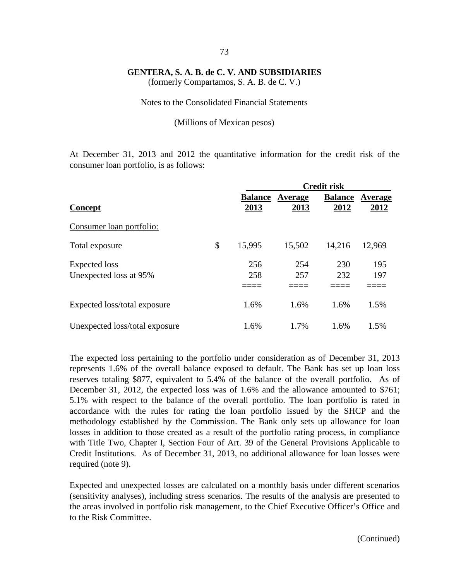(formerly Compartamos, S. A. B. de C. V.)

#### Notes to the Consolidated Financial Statements

#### (Millions of Mexican pesos)

At December 31, 2013 and 2012 the quantitative information for the credit risk of the consumer loan portfolio, is as follows:

|                                |                |         | <b>Credit risk</b> |         |
|--------------------------------|----------------|---------|--------------------|---------|
|                                | <b>Balance</b> | Average | <b>Balance</b>     | Average |
| Concept                        | 2013           | 2013    | 2012               | 2012    |
| Consumer loan portfolio:       |                |         |                    |         |
| Total exposure                 | \$<br>15,995   | 15,502  | 14,216             | 12,969  |
| Expected loss                  | 256            | 254     | 230                | 195     |
| Unexpected loss at 95%         | 258            | 257     | 232                | 197     |
|                                |                |         |                    |         |
| Expected loss/total exposure   | 1.6%           | 1.6%    | 1.6%               | 1.5%    |
| Unexpected loss/total exposure | 1.6%           | 1.7%    | 1.6%               | 1.5%    |

The expected loss pertaining to the portfolio under consideration as of December 31, 2013 represents 1.6% of the overall balance exposed to default. The Bank has set up loan loss reserves totaling \$877, equivalent to 5.4% of the balance of the overall portfolio. As of December 31, 2012, the expected loss was of 1.6% and the allowance amounted to \$761; 5.1% with respect to the balance of the overall portfolio. The loan portfolio is rated in accordance with the rules for rating the loan portfolio issued by the SHCP and the methodology established by the Commission. The Bank only sets up allowance for loan losses in addition to those created as a result of the portfolio rating process, in compliance with Title Two, Chapter I, Section Four of Art. 39 of the General Provisions Applicable to Credit Institutions. As of December 31, 2013, no additional allowance for loan losses were required (note 9).

Expected and unexpected losses are calculated on a monthly basis under different scenarios (sensitivity analyses), including stress scenarios. The results of the analysis are presented to the areas involved in portfolio risk management, to the Chief Executive Officer's Office and to the Risk Committee.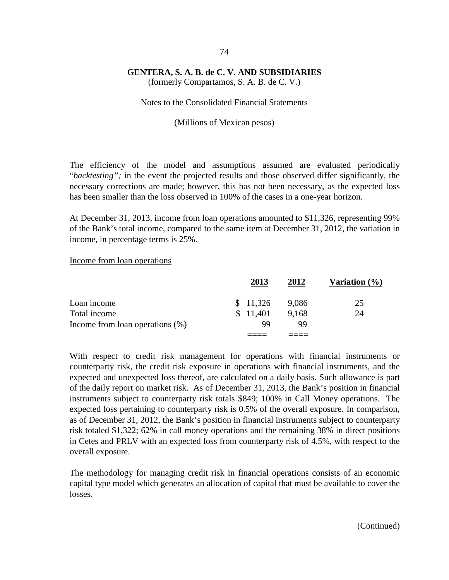(formerly Compartamos, S. A. B. de C. V.)

#### Notes to the Consolidated Financial Statements

#### (Millions of Mexican pesos)

The efficiency of the model and assumptions assumed are evaluated periodically "*backtesting";* in the event the projected results and those observed differ significantly, the necessary corrections are made; however, this has not been necessary, as the expected loss has been smaller than the loss observed in 100% of the cases in a one-year horizon.

At December 31, 2013, income from loan operations amounted to \$11,326, representing 99% of the Bank's total income, compared to the same item at December 31, 2012, the variation in income, in percentage terms is 25%.

#### Income from loan operations

|                                    | 2013     | 2012  | Variation $(\% )$ |
|------------------------------------|----------|-------|-------------------|
| Loan income                        | \$11,326 | 9.086 | 25                |
| Total income                       | \$11,401 | 9,168 | 24                |
| Income from loan operations $(\%)$ | 99       | 99    |                   |
|                                    |          |       |                   |

With respect to credit risk management for operations with financial instruments or counterparty risk, the credit risk exposure in operations with financial instruments, and the expected and unexpected loss thereof, are calculated on a daily basis. Such allowance is part of the daily report on market risk. As of December 31, 2013, the Bank's position in financial instruments subject to counterparty risk totals \$849; 100% in Call Money operations. The expected loss pertaining to counterparty risk is 0.5% of the overall exposure. In comparison, as of December 31, 2012, the Bank's position in financial instruments subject to counterparty risk totaled \$1,322; 62% in call money operations and the remaining 38% in direct positions in Cetes and PRLV with an expected loss from counterparty risk of 4.5%, with respect to the overall exposure.

The methodology for managing credit risk in financial operations consists of an economic capital type model which generates an allocation of capital that must be available to cover the losses.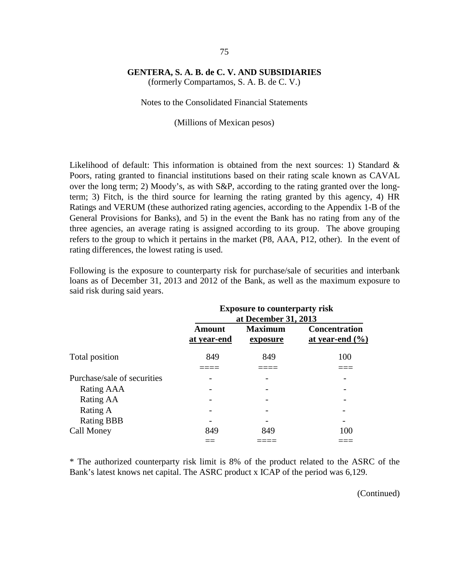(formerly Compartamos, S. A. B. de C. V.)

Notes to the Consolidated Financial Statements

(Millions of Mexican pesos)

Likelihood of default: This information is obtained from the next sources: 1) Standard & Poors, rating granted to financial institutions based on their rating scale known as CAVAL over the long term; 2) Moody's, as with S&P, according to the rating granted over the longterm; 3) Fitch, is the third source for learning the rating granted by this agency, 4) HR Ratings and VERUM (these authorized rating agencies, according to the Appendix 1-B of the General Provisions for Banks), and 5) in the event the Bank has no rating from any of the three agencies, an average rating is assigned according to its group. The above grouping refers to the group to which it pertains in the market (P8, AAA, P12, other). In the event of rating differences, the lowest rating is used.

Following is the exposure to counterparty risk for purchase/sale of securities and interbank loans as of December 31, 2013 and 2012 of the Bank, as well as the maximum exposure to said risk during said years.

|                             | <b>Exposure to counterparty risk</b><br>at December 31, 2013 |                            |                                             |  |  |
|-----------------------------|--------------------------------------------------------------|----------------------------|---------------------------------------------|--|--|
|                             | Amount<br>at year-end                                        | <b>Maximum</b><br>exposure | <b>Concentration</b><br>at year-end $(\% )$ |  |  |
| Total position              | 849                                                          | 849                        | 100                                         |  |  |
| Purchase/sale of securities |                                                              |                            |                                             |  |  |
| Rating AAA                  |                                                              |                            |                                             |  |  |
| Rating AA                   |                                                              |                            |                                             |  |  |
| Rating A                    |                                                              |                            |                                             |  |  |
| <b>Rating BBB</b>           |                                                              |                            |                                             |  |  |
| Call Money                  | 849                                                          | 849                        | 100                                         |  |  |
|                             |                                                              |                            |                                             |  |  |

\* The authorized counterparty risk limit is 8% of the product related to the ASRC of the Bank's latest knows net capital. The ASRC product x ICAP of the period was 6,129.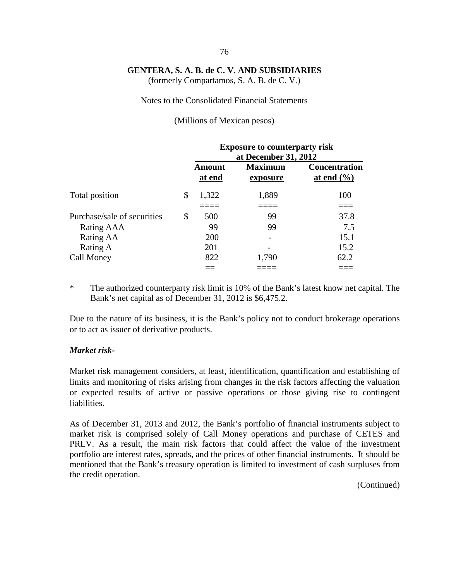(formerly Compartamos, S. A. B. de C. V.)

#### Notes to the Consolidated Financial Statements

#### (Millions of Mexican pesos)

|                             | <b>Exposure to counterparty risk</b><br>at December 31, 2012 |                            |                                 |  |  |
|-----------------------------|--------------------------------------------------------------|----------------------------|---------------------------------|--|--|
|                             | Amount<br>at end                                             | <b>Maximum</b><br>exposure | Concentration<br>at end $(\% )$ |  |  |
| Total position              | \$<br>1,322                                                  | 1,889                      | 100                             |  |  |
| Purchase/sale of securities | \$<br>500                                                    | 99                         | 37.8                            |  |  |
| Rating AAA                  | 99                                                           | 99                         | 7.5                             |  |  |
| Rating AA                   | 200                                                          |                            | 15.1                            |  |  |
| Rating A                    | 201                                                          |                            | 15.2                            |  |  |
| Call Money                  | 822                                                          | 1,790                      | 62.2                            |  |  |
|                             |                                                              |                            |                                 |  |  |

\* The authorized counterparty risk limit is 10% of the Bank's latest know net capital. The Bank's net capital as of December 31, 2012 is \$6,475.2.

Due to the nature of its business, it is the Bank's policy not to conduct brokerage operations or to act as issuer of derivative products.

#### *Market risk-*

Market risk management considers, at least, identification, quantification and establishing of limits and monitoring of risks arising from changes in the risk factors affecting the valuation or expected results of active or passive operations or those giving rise to contingent liabilities.

As of December 31, 2013 and 2012, the Bank's portfolio of financial instruments subject to market risk is comprised solely of Call Money operations and purchase of CETES and PRLV. As a result, the main risk factors that could affect the value of the investment portfolio are interest rates, spreads, and the prices of other financial instruments. It should be mentioned that the Bank's treasury operation is limited to investment of cash surpluses from the credit operation.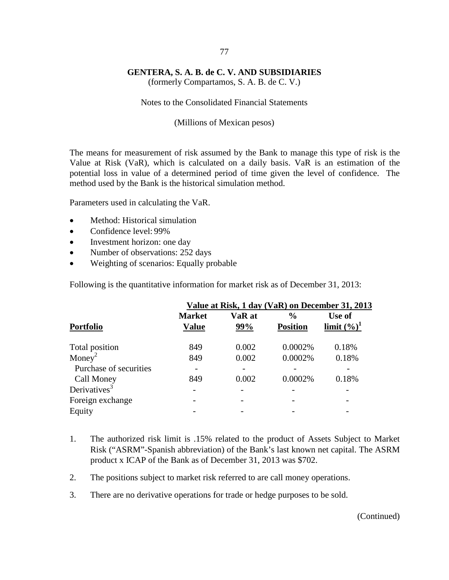(formerly Compartamos, S. A. B. de C. V.)

Notes to the Consolidated Financial Statements

(Millions of Mexican pesos)

The means for measurement of risk assumed by the Bank to manage this type of risk is the Value at Risk (VaR), which is calculated on a daily basis. VaR is an estimation of the potential loss in value of a determined period of time given the level of confidence. The method used by the Bank is the historical simulation method.

Parameters used in calculating the VaR.

- Method: Historical simulation
- Confidence level: 99%
- Investment horizon: one day
- Number of observations: 252 days
- Weighting of scenarios: Equally probable

Following is the quantitative information for market risk as of December 31, 2013:

|                          | Value at Risk, 1 day (VaR) on December 31, 2013 |               |                                  |                          |  |  |  |
|--------------------------|-------------------------------------------------|---------------|----------------------------------|--------------------------|--|--|--|
| <b>Portfolio</b>         | <b>Market</b><br><b>Value</b>                   | VaR at<br>99% | $\frac{0}{0}$<br><b>Position</b> | Use of<br>limit $(\%)^1$ |  |  |  |
| Total position           | 849                                             | 0.002         | 0.0002%                          | 0.18%                    |  |  |  |
| Money <sup>2</sup>       | 849                                             | 0.002         | 0.0002%                          | 0.18%                    |  |  |  |
| Purchase of securities   |                                                 |               |                                  |                          |  |  |  |
| Call Money               | 849                                             | 0.002         | 0.0002%                          | 0.18%                    |  |  |  |
| Derivatives <sup>3</sup> |                                                 |               |                                  |                          |  |  |  |
| Foreign exchange         |                                                 |               |                                  |                          |  |  |  |
| Equity                   |                                                 |               |                                  |                          |  |  |  |

- 1. The authorized risk limit is .15% related to the product of Assets Subject to Market Risk ("ASRM"-Spanish abbreviation) of the Bank's last known net capital. The ASRM product x ICAP of the Bank as of December 31, 2013 was \$702.
- 2. The positions subject to market risk referred to are call money operations.
- 3. There are no derivative operations for trade or hedge purposes to be sold.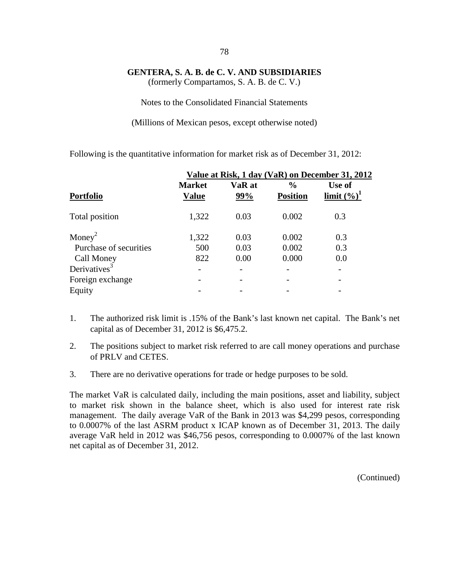(formerly Compartamos, S. A. B. de C. V.)

Notes to the Consolidated Financial Statements

(Millions of Mexican pesos, except otherwise noted)

Following is the quantitative information for market risk as of December 31, 2012:

|                          | Value at Risk, 1 day (VaR) on December 31, 2012 |               |                                  |                          |  |  |  |
|--------------------------|-------------------------------------------------|---------------|----------------------------------|--------------------------|--|--|--|
| <b>Portfolio</b>         | <b>Market</b><br><b>Value</b>                   | VaR at<br>99% | $\frac{6}{6}$<br><b>Position</b> | Use of<br>limit $(\%)^1$ |  |  |  |
| Total position           | 1,322                                           | 0.03          | 0.002                            | 0.3                      |  |  |  |
| Money <sup>2</sup>       | 1,322                                           | 0.03          | 0.002                            | 0.3                      |  |  |  |
| Purchase of securities   | 500                                             | 0.03          | 0.002                            | 0.3                      |  |  |  |
| Call Money               | 822                                             | 0.00          | 0.000                            | 0.0                      |  |  |  |
| Derivatives <sup>3</sup> |                                                 |               |                                  |                          |  |  |  |
| Foreign exchange         |                                                 |               |                                  |                          |  |  |  |
| Equity                   |                                                 |               |                                  |                          |  |  |  |

- 1. The authorized risk limit is .15% of the Bank's last known net capital. The Bank's net capital as of December 31, 2012 is \$6,475.2.
- 2. The positions subject to market risk referred to are call money operations and purchase of PRLV and CETES.
- 3. There are no derivative operations for trade or hedge purposes to be sold.

The market VaR is calculated daily, including the main positions, asset and liability, subject to market risk shown in the balance sheet, which is also used for interest rate risk management. The daily average VaR of the Bank in 2013 was \$4,299 pesos, corresponding to 0.0007% of the last ASRM product x ICAP known as of December 31, 2013. The daily average VaR held in 2012 was \$46,756 pesos, corresponding to 0.0007% of the last known net capital as of December 31, 2012.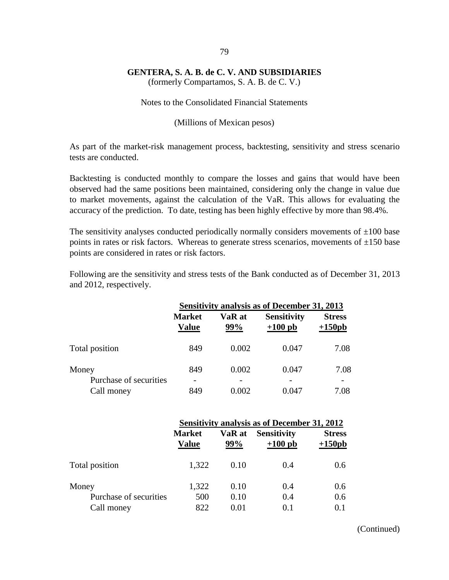(formerly Compartamos, S. A. B. de C. V.)

Notes to the Consolidated Financial Statements

(Millions of Mexican pesos)

As part of the market-risk management process, backtesting, sensitivity and stress scenario tests are conducted.

Backtesting is conducted monthly to compare the losses and gains that would have been observed had the same positions been maintained, considering only the change in value due to market movements, against the calculation of the VaR. This allows for evaluating the accuracy of the prediction. To date, testing has been highly effective by more than 98.4%.

The sensitivity analyses conducted periodically normally considers movements of  $\pm 100$  base points in rates or risk factors. Whereas to generate stress scenarios, movements of  $\pm 150$  base points are considered in rates or risk factors.

Following are the sensitivity and stress tests of the Bank conducted as of December 31, 2013 and 2012, respectively.

|                                 | <b>Sensitivity analysis as of December 31, 2013</b> |               |                                 |                                  |  |  |
|---------------------------------|-----------------------------------------------------|---------------|---------------------------------|----------------------------------|--|--|
|                                 | <b>Market</b><br><b>Value</b>                       | VaR at<br>99% | <b>Sensitivity</b><br>$+100$ pb | <b>Stress</b><br>$+150pb$        |  |  |
| Total position                  | 849                                                 | 0.002         | 0.047                           | 7.08                             |  |  |
| Money<br>Purchase of securities | 849<br>$\overline{\phantom{0}}$                     | 0.002         | 0.047                           | 7.08<br>$\overline{\phantom{0}}$ |  |  |
| Call money                      | 849                                                 | 0.002         | 0.047                           | 7.08                             |  |  |

|                        | <b>Sensitivity analysis as of December 31, 2012</b> |               |                                 |                            |
|------------------------|-----------------------------------------------------|---------------|---------------------------------|----------------------------|
|                        | <b>Market</b><br><b>Value</b>                       | VaR at<br>99% | <b>Sensitivity</b><br>$+100$ pb | <b>Stress</b><br>$+150$ pb |
| Total position         | 1,322                                               | 0.10          | 0.4                             | 0.6                        |
| Money                  | 1,322                                               | 0.10          | 0.4                             | 0.6                        |
| Purchase of securities | 500                                                 | 0.10          | 0.4                             | 0.6                        |
| Call money             | 822                                                 | 0.01          | 0.1                             | 0.1                        |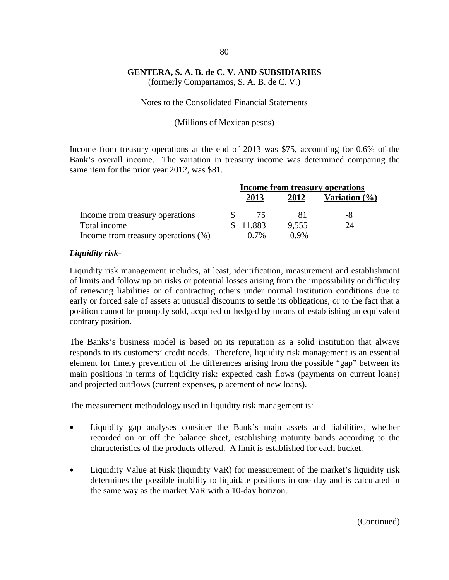(formerly Compartamos, S. A. B. de C. V.)

#### Notes to the Consolidated Financial Statements

#### (Millions of Mexican pesos)

Income from treasury operations at the end of 2013 was \$75, accounting for 0.6% of the Bank's overall income. The variation in treasury income was determined comparing the same item for the prior year 2012, was \$81.

|                                     | Income from treasury operations |         |                  |
|-------------------------------------|---------------------------------|---------|------------------|
|                                     | 2013                            | 2012    | Variation $(\%)$ |
| Income from treasury operations     | 75                              |         | -8               |
| Total income                        | \$11,883                        | 9,555   | 24               |
| Income from treasury operations (%) | $0.7\%$                         | $0.9\%$ |                  |

### *Liquidity risk-*

Liquidity risk management includes, at least, identification, measurement and establishment of limits and follow up on risks or potential losses arising from the impossibility or difficulty of renewing liabilities or of contracting others under normal Institution conditions due to early or forced sale of assets at unusual discounts to settle its obligations, or to the fact that a position cannot be promptly sold, acquired or hedged by means of establishing an equivalent contrary position.

The Banks's business model is based on its reputation as a solid institution that always responds to its customers' credit needs. Therefore, liquidity risk management is an essential element for timely prevention of the differences arising from the possible "gap" between its main positions in terms of liquidity risk: expected cash flows (payments on current loans) and projected outflows (current expenses, placement of new loans).

The measurement methodology used in liquidity risk management is:

- Liquidity gap analyses consider the Bank's main assets and liabilities, whether recorded on or off the balance sheet, establishing maturity bands according to the characteristics of the products offered. A limit is established for each bucket.
- Liquidity Value at Risk (liquidity VaR) for measurement of the market's liquidity risk determines the possible inability to liquidate positions in one day and is calculated in the same way as the market VaR with a 10-day horizon.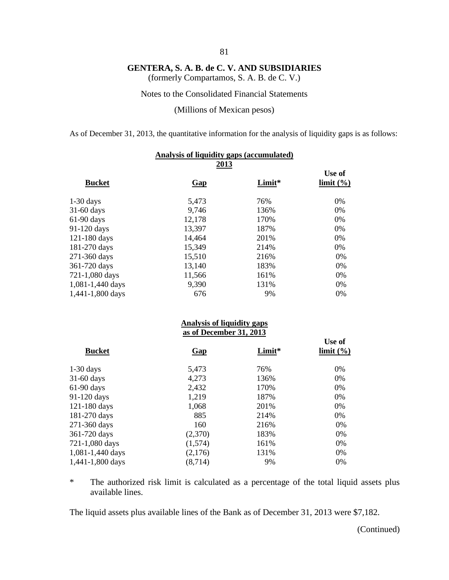(formerly Compartamos, S. A. B. de C. V.)

Notes to the Consolidated Financial Statements

(Millions of Mexican pesos)

As of December 31, 2013, the quantitative information for the analysis of liquidity gaps is as follows:

| Analysis of liquidity gaps (accumulated) |        |                     |  |  |
|------------------------------------------|--------|---------------------|--|--|
| Gap                                      | Limit* | Use of<br>limit (%) |  |  |
| 5,473                                    | 76%    | 0%                  |  |  |
| 9,746                                    | 136%   | 0%                  |  |  |
| 12,178                                   | 170%   | 0%                  |  |  |
| 13,397                                   | 187%   | 0%                  |  |  |
| 14,464                                   | 201%   | 0%                  |  |  |
| 15,349                                   | 214%   | 0%                  |  |  |
| 15,510                                   | 216%   | 0%                  |  |  |
| 13,140                                   | 183%   | 0%                  |  |  |
| 11,566                                   | 161%   | 0%                  |  |  |
| 9,390                                    | 131%   | 0%                  |  |  |
| 676                                      | 9%     | 0%                  |  |  |
|                                          |        | 2013                |  |  |

#### **Analysis of liquidity gaps as of December 31, 2013**

| <b>Bucket</b>    | <b>Gap</b> | Limit* | Use of<br>$\lim$ it $\left(\frac{9}{6}\right)$ |
|------------------|------------|--------|------------------------------------------------|
| $1-30$ days      | 5,473      | 76%    | 0%                                             |
| $31-60$ days     | 4,273      | 136%   | 0%                                             |
| $61-90$ days     | 2,432      | 170%   | 0%                                             |
| 91-120 days      | 1,219      | 187%   | 0%                                             |
| 121-180 days     | 1,068      | 201%   | 0%                                             |
| 181-270 days     | 885        | 214%   | 0%                                             |
| 271-360 days     | 160        | 216%   | 0%                                             |
| 361-720 days     | (2,370)    | 183%   | 0%                                             |
| 721-1,080 days   | (1,574)    | 161%   | 0%                                             |
| 1,081-1,440 days | (2,176)    | 131%   | 0%                                             |
| 1,441-1,800 days | (8,714)    | 9%     | 0%                                             |

\* The authorized risk limit is calculated as a percentage of the total liquid assets plus available lines.

The liquid assets plus available lines of the Bank as of December 31, 2013 were \$7,182.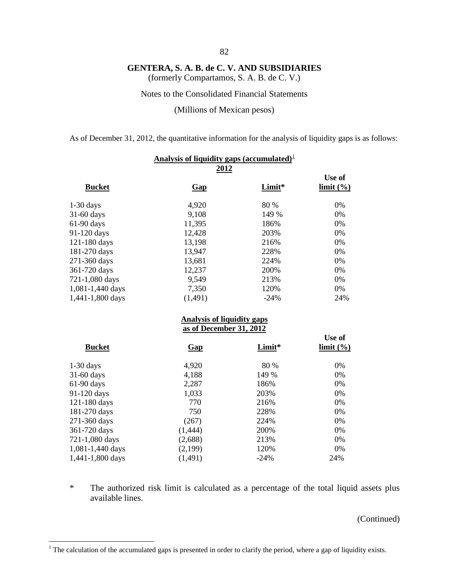(formerly Compartamos, S. A. B. de C. V.)

Notes to the Consolidated Financial Statements

(Millions of Mexican pesos)

As of December 31, 2012, the quantitative information for the analysis of liquidity gaps is as follows:

| Analysis of liquidity gaps (accumulated) $\perp$ |                                                              |        |                     |  |
|--------------------------------------------------|--------------------------------------------------------------|--------|---------------------|--|
| <u>2012</u>                                      |                                                              |        |                     |  |
| <b>Bucket</b>                                    | $Gap$                                                        | Limit* | Use of<br>limit (%) |  |
| $1-30$ days                                      | 4,920                                                        | 80 %   | 0%                  |  |
| 31-60 days                                       | 9,108                                                        | 149 %  | 0%                  |  |
| 61-90 days                                       | 11,395                                                       | 186%   | 0%                  |  |
| 91-120 days                                      | 12,428                                                       | 203%   | 0%                  |  |
| 121-180 days                                     | 13,198                                                       | 216%   | 0%                  |  |
| 181-270 days                                     | 13,947                                                       | 228%   | 0%                  |  |
| 271-360 days                                     | 13,681                                                       | 224%   | 0%                  |  |
| 361-720 days                                     | 12,237                                                       | 200%   | 0%                  |  |
| 721-1,080 days                                   | 9,549                                                        | 213%   | 0%                  |  |
| 1,081-1,440 days                                 | 7,350                                                        | 120%   | 0%                  |  |
| 1,441-1,800 days                                 | (1, 491)                                                     | $-24%$ | 24%                 |  |
|                                                  | <b>Analysis of liquidity gaps</b><br>as of December 31, 2012 |        |                     |  |
| <b>Bucket</b>                                    | <b>Gap</b>                                                   | Limit* | Use of<br>limit (%) |  |
| $1-30$ days                                      | 4,920                                                        | 80 %   | 0%                  |  |
| 31-60 days                                       | 4,188                                                        | 149 %  | 0%                  |  |
| 61-90 days                                       | 2,287                                                        | 186%   | 0%                  |  |
| 91-120 days                                      | 1,033                                                        | 203%   | 0%                  |  |
| 121-180 days                                     | 770                                                          | 216%   | 0%                  |  |
| 181-270 days                                     | 750                                                          | 228%   | 0%                  |  |
| 271-360 days                                     | (267)                                                        | 224%   | 0%                  |  |
| 361-720 days                                     | (1, 444)                                                     | 200%   | 0%                  |  |
| 721-1,080 days                                   | (2,688)                                                      | 213%   | 0%                  |  |
| 1,081-1,440 days                                 | (2,199)                                                      | 120%   | 0%                  |  |
| 1,441-1,800 days                                 | (1, 491)                                                     | $-24%$ | 24%                 |  |

\* The authorized risk limit is calculated as a percentage of the total liquid assets plus available lines.

<span id="page-88-0"></span><sup>&</sup>lt;sup>1</sup> The calculation of the accumulated gaps is presented in order to clarify the period, where a gap of liquidity exists.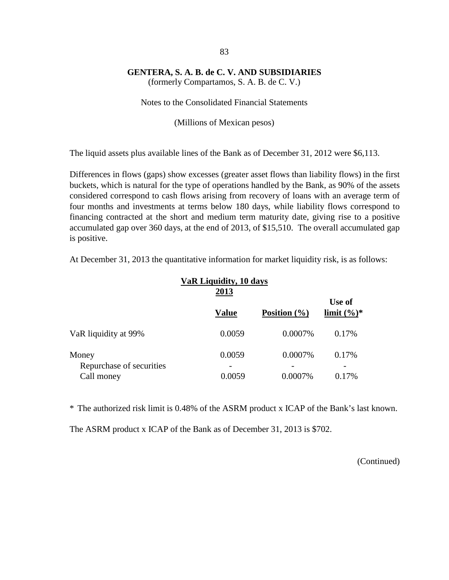(formerly Compartamos, S. A. B. de C. V.)

Notes to the Consolidated Financial Statements

(Millions of Mexican pesos)

The liquid assets plus available lines of the Bank as of December 31, 2012 were \$6,113.

Differences in flows (gaps) show excesses (greater asset flows than liability flows) in the first buckets, which is natural for the type of operations handled by the Bank, as 90% of the assets considered correspond to cash flows arising from recovery of loans with an average term of four months and investments at terms below 180 days, while liability flows correspond to financing contracted at the short and medium term maturity date, giving rise to a positive accumulated gap over 360 days, at the end of 2013, of \$15,510. The overall accumulated gap is positive.

**VaR Liquidity, 10 days 2013 Use of Value Position (%) limit (%)\*** VaR liquidity at 99% 0.0059 0.0007% 0.17% Money 0.0059 0.0007% 0.17% Repurchase of securities Call money 0.0059 0.0007% 0.17%

At December 31, 2013 the quantitative information for market liquidity risk, is as follows:

\* The authorized risk limit is 0.48% of the ASRM product x ICAP of the Bank's last known.

The ASRM product x ICAP of the Bank as of December 31, 2013 is \$702.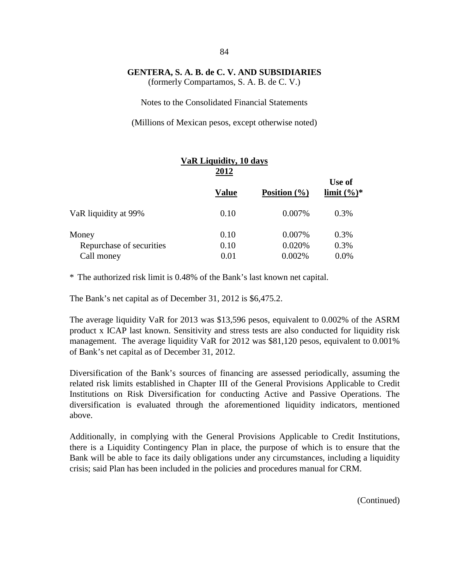(formerly Compartamos, S. A. B. de C. V.)

Notes to the Consolidated Financial Statements

(Millions of Mexican pesos, except otherwise noted)

|                          | VaR Liquidity, 10 days<br>2012 |                  |                          |
|--------------------------|--------------------------------|------------------|--------------------------|
|                          | <b>Value</b>                   | Position $(\% )$ | Use of<br>limit $(\%)^*$ |
| VaR liquidity at 99%     | 0.10                           | 0.007%           | 0.3%                     |
| Money                    | 0.10                           | 0.007%           | 0.3%                     |
| Repurchase of securities | 0.10                           | 0.020%           | 0.3%                     |
| Call money               | 0.01                           | 0.002%           | 0.0%                     |

\* The authorized risk limit is 0.48% of the Bank's last known net capital.

The Bank's net capital as of December 31, 2012 is \$6,475.2.

The average liquidity VaR for 2013 was \$13,596 pesos, equivalent to 0.002% of the ASRM product x ICAP last known. Sensitivity and stress tests are also conducted for liquidity risk management. The average liquidity VaR for 2012 was \$81,120 pesos, equivalent to 0.001% of Bank's net capital as of December 31, 2012.

Diversification of the Bank's sources of financing are assessed periodically, assuming the related risk limits established in Chapter III of the General Provisions Applicable to Credit Institutions on Risk Diversification for conducting Active and Passive Operations. The diversification is evaluated through the aforementioned liquidity indicators, mentioned above.

Additionally, in complying with the General Provisions Applicable to Credit Institutions, there is a Liquidity Contingency Plan in place, the purpose of which is to ensure that the Bank will be able to face its daily obligations under any circumstances, including a liquidity crisis; said Plan has been included in the policies and procedures manual for CRM.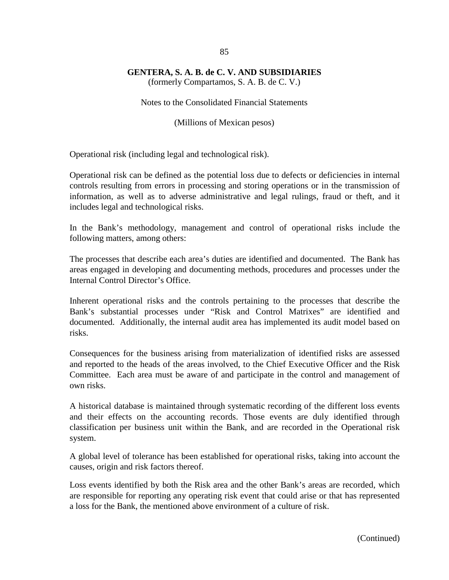(formerly Compartamos, S. A. B. de C. V.)

Notes to the Consolidated Financial Statements

(Millions of Mexican pesos)

Operational risk (including legal and technological risk).

Operational risk can be defined as the potential loss due to defects or deficiencies in internal controls resulting from errors in processing and storing operations or in the transmission of information, as well as to adverse administrative and legal rulings, fraud or theft, and it includes legal and technological risks.

In the Bank's methodology, management and control of operational risks include the following matters, among others:

The processes that describe each area's duties are identified and documented. The Bank has areas engaged in developing and documenting methods, procedures and processes under the Internal Control Director's Office.

Inherent operational risks and the controls pertaining to the processes that describe the Bank's substantial processes under "Risk and Control Matrixes" are identified and documented. Additionally, the internal audit area has implemented its audit model based on risks.

Consequences for the business arising from materialization of identified risks are assessed and reported to the heads of the areas involved, to the Chief Executive Officer and the Risk Committee. Each area must be aware of and participate in the control and management of own risks.

A historical database is maintained through systematic recording of the different loss events and their effects on the accounting records. Those events are duly identified through classification per business unit within the Bank, and are recorded in the Operational risk system.

A global level of tolerance has been established for operational risks, taking into account the causes, origin and risk factors thereof.

Loss events identified by both the Risk area and the other Bank's areas are recorded, which are responsible for reporting any operating risk event that could arise or that has represented a loss for the Bank, the mentioned above environment of a culture of risk.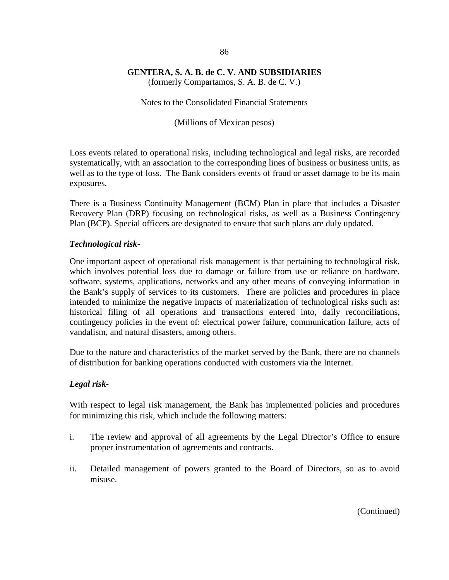(formerly Compartamos, S. A. B. de C. V.)

Notes to the Consolidated Financial Statements

(Millions of Mexican pesos)

Loss events related to operational risks, including technological and legal risks, are recorded systematically, with an association to the corresponding lines of business or business units, as well as to the type of loss. The Bank considers events of fraud or asset damage to be its main exposures.

There is a Business Continuity Management (BCM) Plan in place that includes a Disaster Recovery Plan (DRP) focusing on technological risks, as well as a Business Contingency Plan (BCP). Special officers are designated to ensure that such plans are duly updated.

## *Technological risk-*

One important aspect of operational risk management is that pertaining to technological risk, which involves potential loss due to damage or failure from use or reliance on hardware, software, systems, applications, networks and any other means of conveying information in the Bank's supply of services to its customers. There are policies and procedures in place intended to minimize the negative impacts of materialization of technological risks such as: historical filing of all operations and transactions entered into, daily reconciliations, contingency policies in the event of: electrical power failure, communication failure, acts of vandalism, and natural disasters, among others.

Due to the nature and characteristics of the market served by the Bank, there are no channels of distribution for banking operations conducted with customers via the Internet.

## *Legal risk-*

With respect to legal risk management, the Bank has implemented policies and procedures for minimizing this risk, which include the following matters:

- i. The review and approval of all agreements by the Legal Director's Office to ensure proper instrumentation of agreements and contracts.
- ii. Detailed management of powers granted to the Board of Directors, so as to avoid misuse.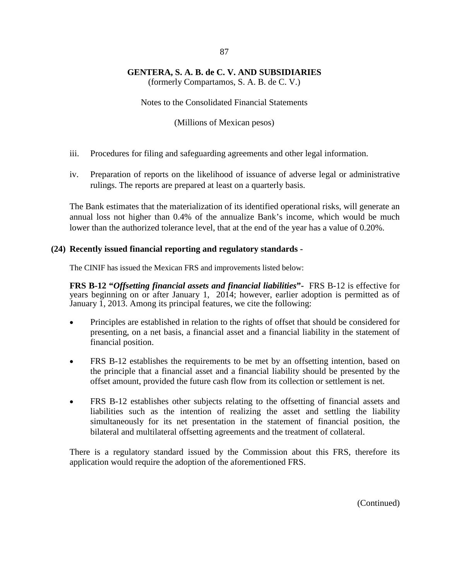(formerly Compartamos, S. A. B. de C. V.)

Notes to the Consolidated Financial Statements

(Millions of Mexican pesos)

- iii. Procedures for filing and safeguarding agreements and other legal information.
- iv. Preparation of reports on the likelihood of issuance of adverse legal or administrative rulings. The reports are prepared at least on a quarterly basis.

The Bank estimates that the materialization of its identified operational risks, will generate an annual loss not higher than 0.4% of the annualize Bank's income, which would be much lower than the authorized tolerance level, that at the end of the year has a value of 0.20%.

### **(24) Recently issued financial reporting and regulatory standards -**

The CINIF has issued the Mexican FRS and improvements listed below:

**FRS B-12 "***Offsetting financial assets and financial liabilities***"-** FRS B-12 is effective for years beginning on or after January 1, 2014; however, earlier adoption is permitted as of January 1, 2013. Among its principal features, we cite the following:

- Principles are established in relation to the rights of offset that should be considered for presenting, on a net basis, a financial asset and a financial liability in the statement of financial position.
- FRS B-12 establishes the requirements to be met by an offsetting intention, based on the principle that a financial asset and a financial liability should be presented by the offset amount, provided the future cash flow from its collection or settlement is net.
- FRS B-12 establishes other subjects relating to the offsetting of financial assets and liabilities such as the intention of realizing the asset and settling the liability simultaneously for its net presentation in the statement of financial position, the bilateral and multilateral offsetting agreements and the treatment of collateral.

There is a regulatory standard issued by the Commission about this FRS, therefore its application would require the adoption of the aforementioned FRS.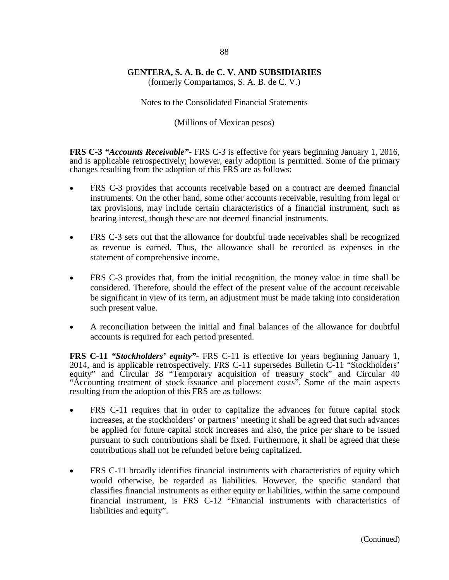(formerly Compartamos, S. A. B. de C. V.)

Notes to the Consolidated Financial Statements

(Millions of Mexican pesos)

**FRS C-3** *"Accounts Receivable"***-** FRS C-3 is effective for years beginning January 1, 2016, and is applicable retrospectively; however, early adoption is permitted. Some of the primary changes resulting from the adoption of this FRS are as follows:

- FRS C-3 provides that accounts receivable based on a contract are deemed financial instruments. On the other hand, some other accounts receivable, resulting from legal or tax provisions, may include certain characteristics of a financial instrument, such as bearing interest, though these are not deemed financial instruments.
- FRS C-3 sets out that the allowance for doubtful trade receivables shall be recognized as revenue is earned. Thus, the allowance shall be recorded as expenses in the statement of comprehensive income.
- FRS C-3 provides that, from the initial recognition, the money value in time shall be considered. Therefore, should the effect of the present value of the account receivable be significant in view of its term, an adjustment must be made taking into consideration such present value.
- A reconciliation between the initial and final balances of the allowance for doubtful accounts is required for each period presented.

**FRS C-11** *"Stockholders' equity"***-** FRS C-11 is effective for years beginning January 1, 2014, and is applicable retrospectively. FRS C-11 supersedes Bulletin C-11 "Stockholders' equity" and Circular 38 "Temporary acquisition of treasury stock" and Circular 40 "Accounting treatment of stock issuance and placement costs". Some of the main aspects resulting from the adoption of this FRS are as follows:

- FRS C-11 requires that in order to capitalize the advances for future capital stock increases, at the stockholders' or partners' meeting it shall be agreed that such advances be applied for future capital stock increases and also, the price per share to be issued pursuant to such contributions shall be fixed. Furthermore, it shall be agreed that these contributions shall not be refunded before being capitalized.
- FRS C-11 broadly identifies financial instruments with characteristics of equity which would otherwise, be regarded as liabilities. However, the specific standard that classifies financial instruments as either equity or liabilities, within the same compound financial instrument, is FRS C-12 "Financial instruments with characteristics of liabilities and equity".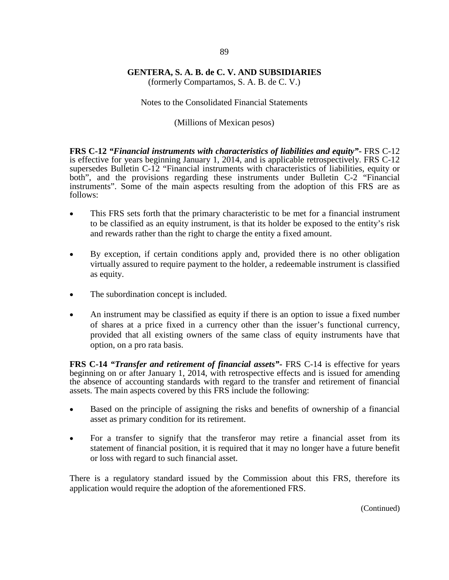(formerly Compartamos, S. A. B. de C. V.)

#### Notes to the Consolidated Financial Statements

#### (Millions of Mexican pesos)

**FRS C-12** *"Financial instruments with characteristics of liabilities and equity"***-** FRS C-12 is effective for years beginning January 1, 2014, and is applicable retrospectively. FRS C-12 supersedes Bulletin C-12 "Financial instruments with characteristics of liabilities, equity or both", and the provisions regarding these instruments under Bulletin C-2 "Financial instruments". Some of the main aspects resulting from the adoption of this FRS are as follows:

- This FRS sets forth that the primary characteristic to be met for a financial instrument to be classified as an equity instrument, is that its holder be exposed to the entity's risk and rewards rather than the right to charge the entity a fixed amount.
- By exception, if certain conditions apply and, provided there is no other obligation virtually assured to require payment to the holder, a redeemable instrument is classified as equity.
- The subordination concept is included.
- An instrument may be classified as equity if there is an option to issue a fixed number of shares at a price fixed in a currency other than the issuer's functional currency, provided that all existing owners of the same class of equity instruments have that option, on a pro rata basis.

**FRS C-14** *"Transfer and retirement of financial assets"***-** FRS C-14 is effective for years beginning on or after January 1, 2014, with retrospective effects and is issued for amending the absence of accounting standards with regard to the transfer and retirement of financial assets. The main aspects covered by this FRS include the following:

- Based on the principle of assigning the risks and benefits of ownership of a financial asset as primary condition for its retirement.
- For a transfer to signify that the transferor may retire a financial asset from its statement of financial position, it is required that it may no longer have a future benefit or loss with regard to such financial asset.

There is a regulatory standard issued by the Commission about this FRS, therefore its application would require the adoption of the aforementioned FRS.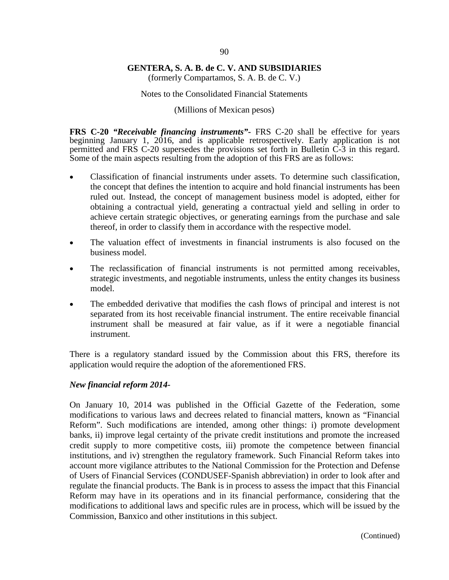(formerly Compartamos, S. A. B. de C. V.)

#### Notes to the Consolidated Financial Statements

(Millions of Mexican pesos)

**FRS C-20** *"Receivable financing instruments"***-** FRS C-20 shall be effective for years beginning January 1, 2016, and is applicable retrospectively. Early application is not permitted and FRS C-20 supersedes the provisions set forth in Bulletin C-3 in this regard. Some of the main aspects resulting from the adoption of this FRS are as follows:

- Classification of financial instruments under assets. To determine such classification, the concept that defines the intention to acquire and hold financial instruments has been ruled out. Instead, the concept of management business model is adopted, either for obtaining a contractual yield, generating a contractual yield and selling in order to achieve certain strategic objectives, or generating earnings from the purchase and sale thereof, in order to classify them in accordance with the respective model.
- The valuation effect of investments in financial instruments is also focused on the business model.
- The reclassification of financial instruments is not permitted among receivables, strategic investments, and negotiable instruments, unless the entity changes its business model.
- The embedded derivative that modifies the cash flows of principal and interest is not separated from its host receivable financial instrument. The entire receivable financial instrument shall be measured at fair value, as if it were a negotiable financial instrument.

There is a regulatory standard issued by the Commission about this FRS, therefore its application would require the adoption of the aforementioned FRS.

#### *New financial reform 2014-*

On January 10, 2014 was published in the Official Gazette of the Federation, some modifications to various laws and decrees related to financial matters, known as "Financial Reform". Such modifications are intended, among other things: i) promote development banks, ii) improve legal certainty of the private credit institutions and promote the increased credit supply to more competitive costs, iii) promote the competence between financial institutions, and iv) strengthen the regulatory framework. Such Financial Reform takes into account more vigilance attributes to the National Commission for the Protection and Defense of Users of Financial Services (CONDUSEF-Spanish abbreviation) in order to look after and regulate the financial products. The Bank is in process to assess the impact that this Financial Reform may have in its operations and in its financial performance, considering that the modifications to additional laws and specific rules are in process, which will be issued by the Commission, Banxico and other institutions in this subject.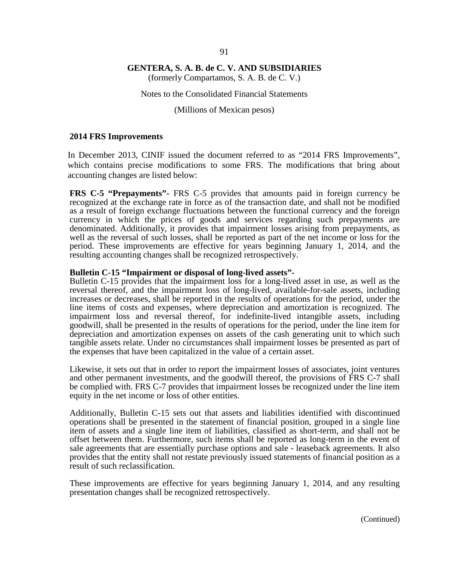(formerly Compartamos, S. A. B. de C. V.)

#### Notes to the Consolidated Financial Statements

#### (Millions of Mexican pesos)

#### **2014 FRS Improvements**

In December 2013, CINIF issued the document referred to as "2014 FRS Improvements", which contains precise modifications to some FRS. The modifications that bring about accounting changes are listed below:

**FRS C-5 "Prepayments"-** FRS C-5 provides that amounts paid in foreign currency be recognized at the exchange rate in force as of the transaction date, and shall not be modified as a result of foreign exchange fluctuations between the functional currency and the foreign currency in which the prices of goods and services regarding such prepayments are denominated. Additionally, it provides that impairment losses arising from prepayments, as well as the reversal of such losses, shall be reported as part of the net income or loss for the period. These improvements are effective for years beginning January 1, 2014, and the resulting accounting changes shall be recognized retrospectively.

**Bulletin C-15 "Impairment or disposal of long-lived assets"-** Bulletin C-15 provides that the impairment loss for a long-lived asset in use, as well as the reversal thereof, and the impairment loss of long-lived, available-for-sale assets, including increases or decreases, shall be reported in the results of operations for the period, under the line items of costs and expenses, where depreciation and amortization is recognized. The impairment loss and reversal thereof, for indefinite-lived intangible assets, including goodwill, shall be presented in the results of operations for the period, under the line item for depreciation and amortization expenses on assets of the cash generating unit to which such tangible assets relate. Under no circumstances shall impairment losses be presented as part of the expenses that have been capitalized in the value of a certain asset.

Likewise, it sets out that in order to report the impairment losses of associates, joint ventures and other permanent investments, and the goodwill thereof, the provisions of FRS C-7 shall be complied with. FRS C-7 provides that impairment losses be recognized under the line item equity in the net income or loss of other entities.

Additionally, Bulletin C-15 sets out that assets and liabilities identified with discontinued operations shall be presented in the statement of financial position, grouped in a single line item of assets and a single line item of liabilities, classified as short-term, and shall not be offset between them. Furthermore, such items shall be reported as long-term in the event of sale agreements that are essentially purchase options and sale - leaseback agreements. It also provides that the entity shall not restate previously issued statements of financial position as a result of such reclassification.

These improvements are effective for years beginning January 1, 2014, and any resulting presentation changes shall be recognized retrospectively.

91